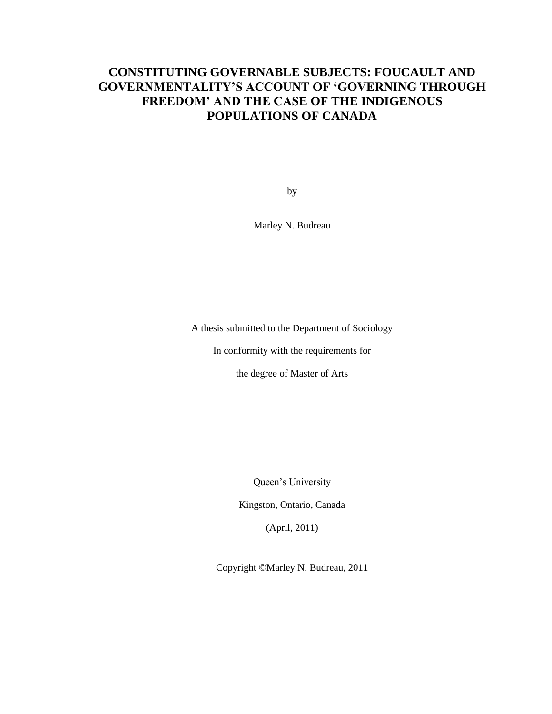### **CONSTITUTING GOVERNABLE SUBJECTS: FOUCAULT AND GOVERNMENTALITY'S ACCOUNT OF 'GOVERNING THROUGH FREEDOM' AND THE CASE OF THE INDIGENOUS POPULATIONS OF CANADA**

by

Marley N. Budreau

A thesis submitted to the Department of Sociology

In conformity with the requirements for

the degree of Master of Arts

Queen"s University

Kingston, Ontario, Canada

(April, 2011)

Copyright ©Marley N. Budreau, 2011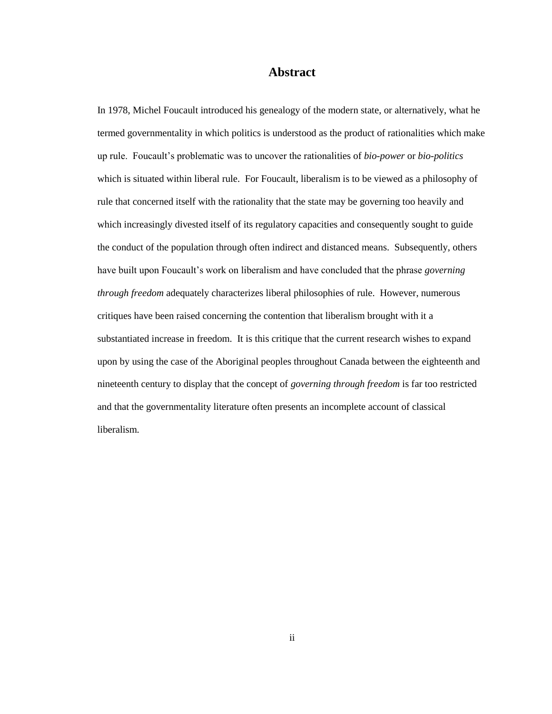#### **Abstract**

In 1978, Michel Foucault introduced his genealogy of the modern state, or alternatively, what he termed governmentality in which politics is understood as the product of rationalities which make up rule. Foucault"s problematic was to uncover the rationalities of *bio-power* or *bio-politics* which is situated within liberal rule. For Foucault, liberalism is to be viewed as a philosophy of rule that concerned itself with the rationality that the state may be governing too heavily and which increasingly divested itself of its regulatory capacities and consequently sought to guide the conduct of the population through often indirect and distanced means. Subsequently, others have built upon Foucault"s work on liberalism and have concluded that the phrase *governing through freedom* adequately characterizes liberal philosophies of rule. However, numerous critiques have been raised concerning the contention that liberalism brought with it a substantiated increase in freedom. It is this critique that the current research wishes to expand upon by using the case of the Aboriginal peoples throughout Canada between the eighteenth and nineteenth century to display that the concept of *governing through freedom* is far too restricted and that the governmentality literature often presents an incomplete account of classical liberalism.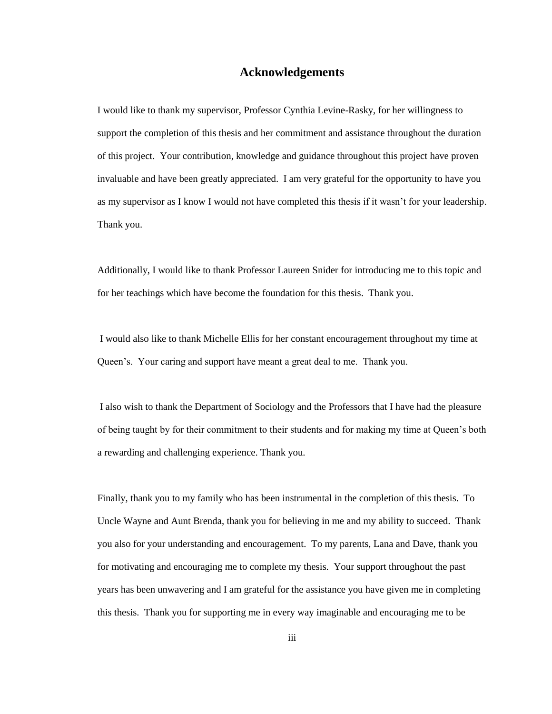### **Acknowledgements**

I would like to thank my supervisor, Professor Cynthia Levine-Rasky, for her willingness to support the completion of this thesis and her commitment and assistance throughout the duration of this project. Your contribution, knowledge and guidance throughout this project have proven invaluable and have been greatly appreciated. I am very grateful for the opportunity to have you as my supervisor as I know I would not have completed this thesis if it wasn"t for your leadership. Thank you.

Additionally, I would like to thank Professor Laureen Snider for introducing me to this topic and for her teachings which have become the foundation for this thesis. Thank you.

I would also like to thank Michelle Ellis for her constant encouragement throughout my time at Queen"s. Your caring and support have meant a great deal to me. Thank you.

I also wish to thank the Department of Sociology and the Professors that I have had the pleasure of being taught by for their commitment to their students and for making my time at Queen"s both a rewarding and challenging experience. Thank you.

Finally, thank you to my family who has been instrumental in the completion of this thesis. To Uncle Wayne and Aunt Brenda, thank you for believing in me and my ability to succeed. Thank you also for your understanding and encouragement. To my parents, Lana and Dave, thank you for motivating and encouraging me to complete my thesis. Your support throughout the past years has been unwavering and I am grateful for the assistance you have given me in completing this thesis. Thank you for supporting me in every way imaginable and encouraging me to be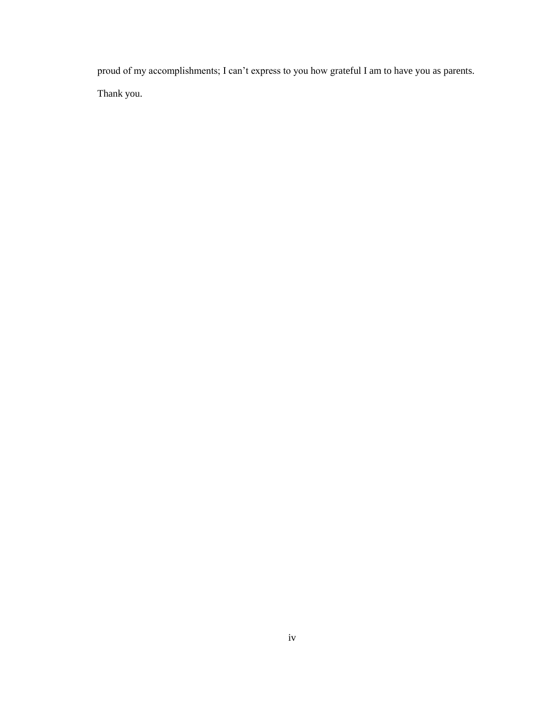proud of my accomplishments; I can"t express to you how grateful I am to have you as parents. Thank you.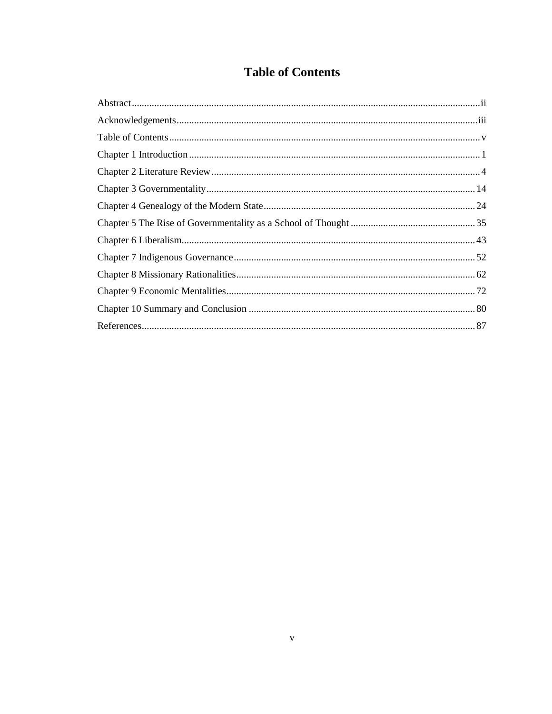## **Table of Contents**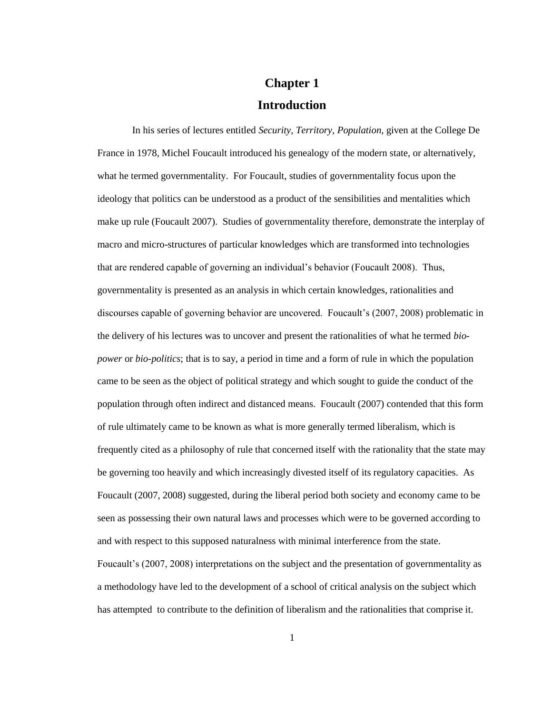# **Chapter 1 Introduction**

In his series of lectures entitled *Security, Territory, Population,* given at the College De France in 1978, Michel Foucault introduced his genealogy of the modern state, or alternatively, what he termed governmentality. For Foucault, studies of governmentality focus upon the ideology that politics can be understood as a product of the sensibilities and mentalities which make up rule (Foucault 2007). Studies of governmentality therefore, demonstrate the interplay of macro and micro-structures of particular knowledges which are transformed into technologies that are rendered capable of governing an individual"s behavior (Foucault 2008). Thus, governmentality is presented as an analysis in which certain knowledges, rationalities and discourses capable of governing behavior are uncovered. Foucault"s (2007, 2008) problematic in the delivery of his lectures was to uncover and present the rationalities of what he termed *biopower* or *bio-politics*; that is to say, a period in time and a form of rule in which the population came to be seen as the object of political strategy and which sought to guide the conduct of the population through often indirect and distanced means. Foucault (2007) contended that this form of rule ultimately came to be known as what is more generally termed liberalism, which is frequently cited as a philosophy of rule that concerned itself with the rationality that the state may be governing too heavily and which increasingly divested itself of its regulatory capacities. As Foucault (2007, 2008) suggested, during the liberal period both society and economy came to be seen as possessing their own natural laws and processes which were to be governed according to and with respect to this supposed naturalness with minimal interference from the state. Foucault"s (2007, 2008) interpretations on the subject and the presentation of governmentality as a methodology have led to the development of a school of critical analysis on the subject which has attempted to contribute to the definition of liberalism and the rationalities that comprise it.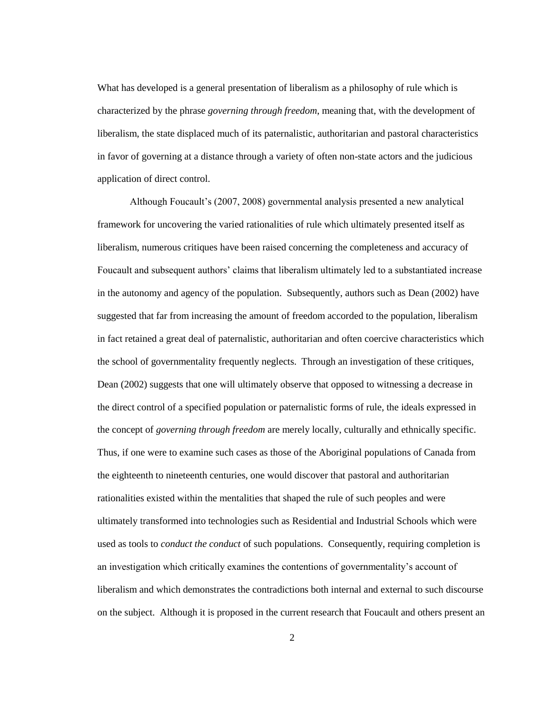What has developed is a general presentation of liberalism as a philosophy of rule which is characterized by the phrase *governing through freedom*, meaning that, with the development of liberalism, the state displaced much of its paternalistic, authoritarian and pastoral characteristics in favor of governing at a distance through a variety of often non-state actors and the judicious application of direct control.

Although Foucault"s (2007, 2008) governmental analysis presented a new analytical framework for uncovering the varied rationalities of rule which ultimately presented itself as liberalism, numerous critiques have been raised concerning the completeness and accuracy of Foucault and subsequent authors' claims that liberalism ultimately led to a substantiated increase in the autonomy and agency of the population. Subsequently, authors such as Dean (2002) have suggested that far from increasing the amount of freedom accorded to the population, liberalism in fact retained a great deal of paternalistic, authoritarian and often coercive characteristics which the school of governmentality frequently neglects. Through an investigation of these critiques, Dean (2002) suggests that one will ultimately observe that opposed to witnessing a decrease in the direct control of a specified population or paternalistic forms of rule, the ideals expressed in the concept of *governing through freedom* are merely locally, culturally and ethnically specific. Thus, if one were to examine such cases as those of the Aboriginal populations of Canada from the eighteenth to nineteenth centuries, one would discover that pastoral and authoritarian rationalities existed within the mentalities that shaped the rule of such peoples and were ultimately transformed into technologies such as Residential and Industrial Schools which were used as tools to *conduct the conduct* of such populations. Consequently, requiring completion is an investigation which critically examines the contentions of governmentality"s account of liberalism and which demonstrates the contradictions both internal and external to such discourse on the subject. Although it is proposed in the current research that Foucault and others present an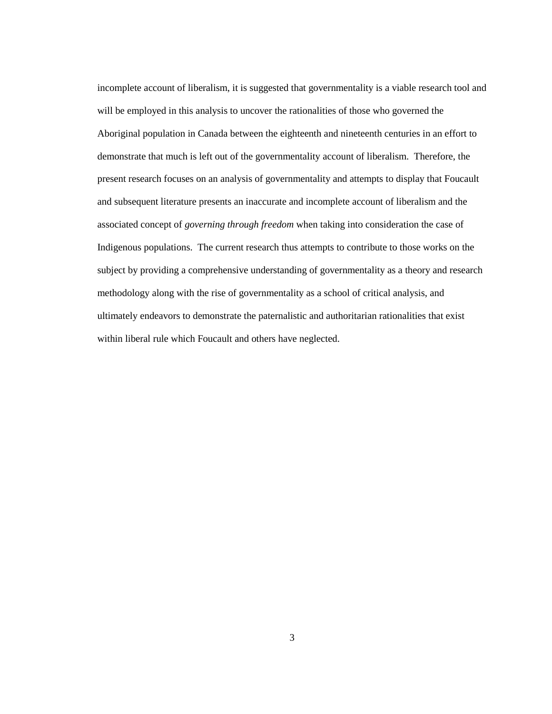incomplete account of liberalism, it is suggested that governmentality is a viable research tool and will be employed in this analysis to uncover the rationalities of those who governed the Aboriginal population in Canada between the eighteenth and nineteenth centuries in an effort to demonstrate that much is left out of the governmentality account of liberalism. Therefore, the present research focuses on an analysis of governmentality and attempts to display that Foucault and subsequent literature presents an inaccurate and incomplete account of liberalism and the associated concept of *governing through freedom* when taking into consideration the case of Indigenous populations. The current research thus attempts to contribute to those works on the subject by providing a comprehensive understanding of governmentality as a theory and research methodology along with the rise of governmentality as a school of critical analysis, and ultimately endeavors to demonstrate the paternalistic and authoritarian rationalities that exist within liberal rule which Foucault and others have neglected.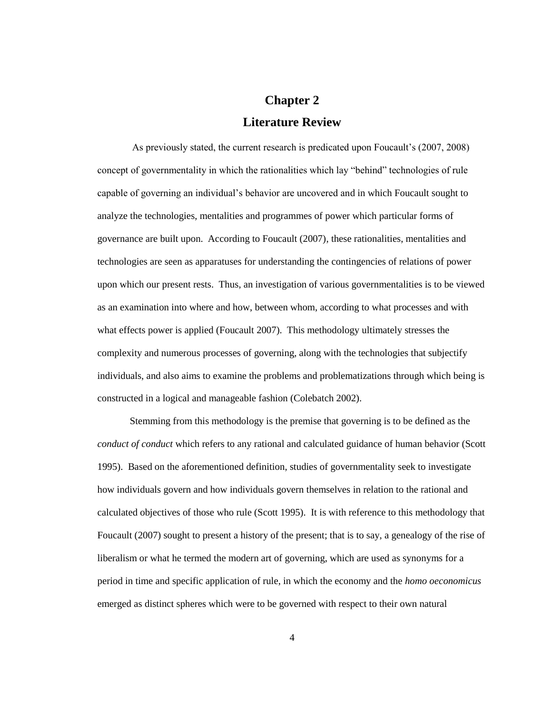# **Chapter 2 Literature Review**

As previously stated, the current research is predicated upon Foucault"s (2007, 2008) concept of governmentality in which the rationalities which lay "behind" technologies of rule capable of governing an individual"s behavior are uncovered and in which Foucault sought to analyze the technologies, mentalities and programmes of power which particular forms of governance are built upon. According to Foucault (2007), these rationalities, mentalities and technologies are seen as apparatuses for understanding the contingencies of relations of power upon which our present rests. Thus, an investigation of various governmentalities is to be viewed as an examination into where and how, between whom, according to what processes and with what effects power is applied (Foucault 2007). This methodology ultimately stresses the complexity and numerous processes of governing, along with the technologies that subjectify individuals, and also aims to examine the problems and problematizations through which being is constructed in a logical and manageable fashion (Colebatch 2002).

Stemming from this methodology is the premise that governing is to be defined as the *conduct of conduct* which refers to any rational and calculated guidance of human behavior (Scott 1995). Based on the aforementioned definition, studies of governmentality seek to investigate how individuals govern and how individuals govern themselves in relation to the rational and calculated objectives of those who rule (Scott 1995). It is with reference to this methodology that Foucault (2007) sought to present a history of the present; that is to say, a genealogy of the rise of liberalism or what he termed the modern art of governing, which are used as synonyms for a period in time and specific application of rule, in which the economy and the *homo oeconomicus* emerged as distinct spheres which were to be governed with respect to their own natural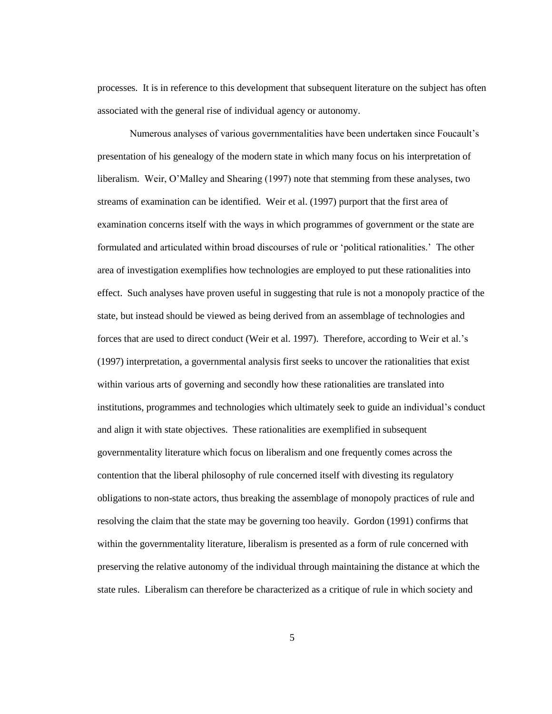processes. It is in reference to this development that subsequent literature on the subject has often associated with the general rise of individual agency or autonomy.

Numerous analyses of various governmentalities have been undertaken since Foucault"s presentation of his genealogy of the modern state in which many focus on his interpretation of liberalism. Weir, O"Malley and Shearing (1997) note that stemming from these analyses, two streams of examination can be identified. Weir et al. (1997) purport that the first area of examination concerns itself with the ways in which programmes of government or the state are formulated and articulated within broad discourses of rule or "political rationalities." The other area of investigation exemplifies how technologies are employed to put these rationalities into effect. Such analyses have proven useful in suggesting that rule is not a monopoly practice of the state, but instead should be viewed as being derived from an assemblage of technologies and forces that are used to direct conduct (Weir et al. 1997). Therefore, according to Weir et al."s (1997) interpretation, a governmental analysis first seeks to uncover the rationalities that exist within various arts of governing and secondly how these rationalities are translated into institutions, programmes and technologies which ultimately seek to guide an individual"s conduct and align it with state objectives. These rationalities are exemplified in subsequent governmentality literature which focus on liberalism and one frequently comes across the contention that the liberal philosophy of rule concerned itself with divesting its regulatory obligations to non-state actors, thus breaking the assemblage of monopoly practices of rule and resolving the claim that the state may be governing too heavily. Gordon (1991) confirms that within the governmentality literature, liberalism is presented as a form of rule concerned with preserving the relative autonomy of the individual through maintaining the distance at which the state rules. Liberalism can therefore be characterized as a critique of rule in which society and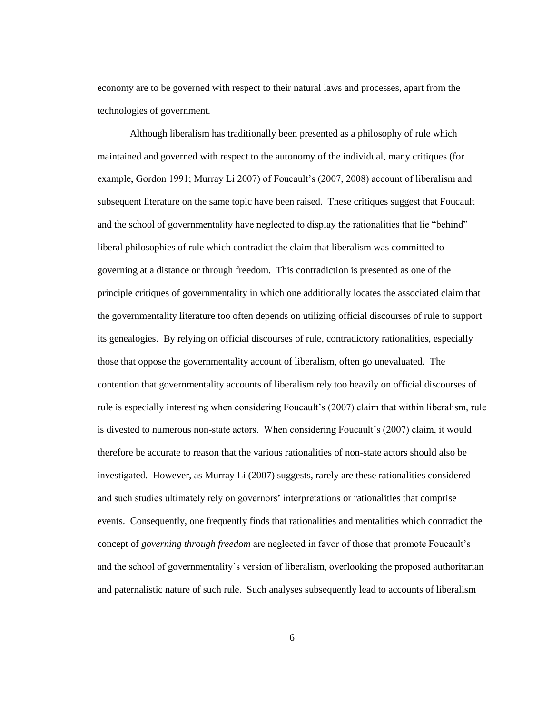economy are to be governed with respect to their natural laws and processes, apart from the technologies of government.

Although liberalism has traditionally been presented as a philosophy of rule which maintained and governed with respect to the autonomy of the individual, many critiques (for example, Gordon 1991; Murray Li 2007) of Foucault's (2007, 2008) account of liberalism and subsequent literature on the same topic have been raised. These critiques suggest that Foucault and the school of governmentality have neglected to display the rationalities that lie "behind" liberal philosophies of rule which contradict the claim that liberalism was committed to governing at a distance or through freedom. This contradiction is presented as one of the principle critiques of governmentality in which one additionally locates the associated claim that the governmentality literature too often depends on utilizing official discourses of rule to support its genealogies. By relying on official discourses of rule, contradictory rationalities, especially those that oppose the governmentality account of liberalism, often go unevaluated. The contention that governmentality accounts of liberalism rely too heavily on official discourses of rule is especially interesting when considering Foucault"s (2007) claim that within liberalism, rule is divested to numerous non-state actors. When considering Foucault's (2007) claim, it would therefore be accurate to reason that the various rationalities of non-state actors should also be investigated. However, as Murray Li (2007) suggests, rarely are these rationalities considered and such studies ultimately rely on governors" interpretations or rationalities that comprise events. Consequently, one frequently finds that rationalities and mentalities which contradict the concept of *governing through freedom* are neglected in favor of those that promote Foucault"s and the school of governmentality"s version of liberalism, overlooking the proposed authoritarian and paternalistic nature of such rule. Such analyses subsequently lead to accounts of liberalism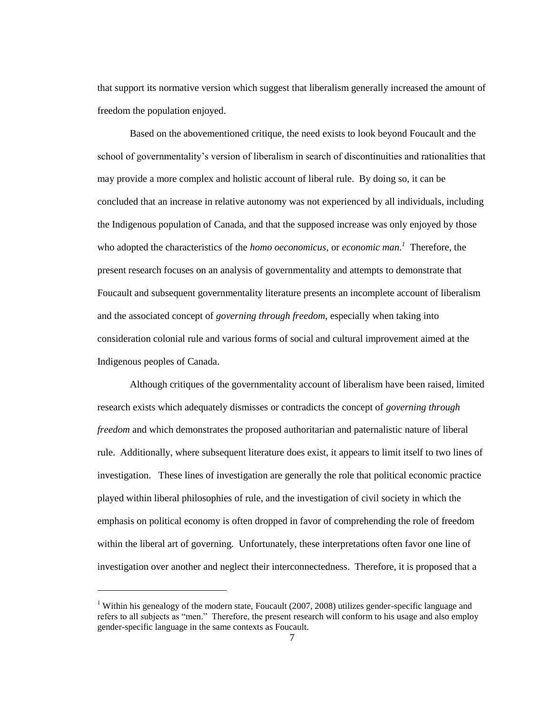that support its normative version which suggest that liberalism generally increased the amount of freedom the population enjoyed.

Based on the abovementioned critique, the need exists to look beyond Foucault and the school of governmentality"s version of liberalism in search of discontinuities and rationalities that may provide a more complex and holistic account of liberal rule. By doing so, it can be concluded that an increase in relative autonomy was not experienced by all individuals, including the Indigenous population of Canada, and that the supposed increase was only enjoyed by those who adopted the characteristics of the *homo oeconomicus*, or *economic man. 1* Therefore, the present research focuses on an analysis of governmentality and attempts to demonstrate that Foucault and subsequent governmentality literature presents an incomplete account of liberalism and the associated concept of *governing through freedom*, especially when taking into consideration colonial rule and various forms of social and cultural improvement aimed at the Indigenous peoples of Canada.

Although critiques of the governmentality account of liberalism have been raised, limited research exists which adequately dismisses or contradicts the concept of *governing through freedom* and which demonstrates the proposed authoritarian and paternalistic nature of liberal rule. Additionally, where subsequent literature does exist, it appears to limit itself to two lines of investigation. These lines of investigation are generally the role that political economic practice played within liberal philosophies of rule, and the investigation of civil society in which the emphasis on political economy is often dropped in favor of comprehending the role of freedom within the liberal art of governing. Unfortunately, these interpretations often favor one line of investigation over another and neglect their interconnectedness. Therefore, it is proposed that a

l

<sup>&</sup>lt;sup>1</sup> Within his genealogy of the modern state, Foucault (2007, 2008) utilizes gender-specific language and refers to all subjects as "men." Therefore, the present research will conform to his usage and also employ gender-specific language in the same contexts as Foucault.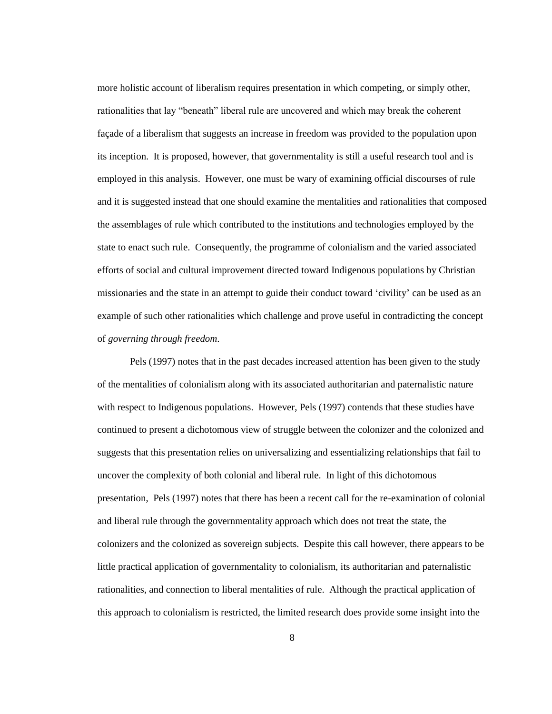more holistic account of liberalism requires presentation in which competing, or simply other, rationalities that lay "beneath" liberal rule are uncovered and which may break the coherent façade of a liberalism that suggests an increase in freedom was provided to the population upon its inception. It is proposed, however, that governmentality is still a useful research tool and is employed in this analysis. However, one must be wary of examining official discourses of rule and it is suggested instead that one should examine the mentalities and rationalities that composed the assemblages of rule which contributed to the institutions and technologies employed by the state to enact such rule. Consequently, the programme of colonialism and the varied associated efforts of social and cultural improvement directed toward Indigenous populations by Christian missionaries and the state in an attempt to guide their conduct toward "civility" can be used as an example of such other rationalities which challenge and prove useful in contradicting the concept of *governing through freedom*.

Pels (1997) notes that in the past decades increased attention has been given to the study of the mentalities of colonialism along with its associated authoritarian and paternalistic nature with respect to Indigenous populations. However, Pels (1997) contends that these studies have continued to present a dichotomous view of struggle between the colonizer and the colonized and suggests that this presentation relies on universalizing and essentializing relationships that fail to uncover the complexity of both colonial and liberal rule. In light of this dichotomous presentation, Pels (1997) notes that there has been a recent call for the re-examination of colonial and liberal rule through the governmentality approach which does not treat the state, the colonizers and the colonized as sovereign subjects. Despite this call however, there appears to be little practical application of governmentality to colonialism, its authoritarian and paternalistic rationalities, and connection to liberal mentalities of rule. Although the practical application of this approach to colonialism is restricted, the limited research does provide some insight into the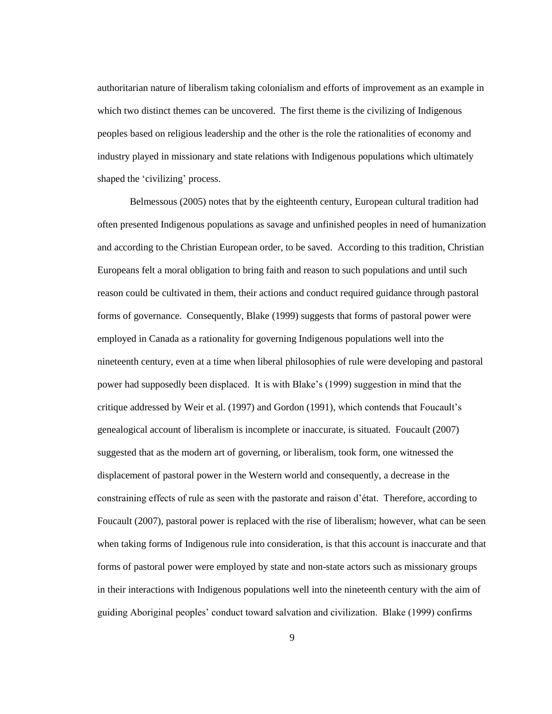authoritarian nature of liberalism taking colonialism and efforts of improvement as an example in which two distinct themes can be uncovered. The first theme is the civilizing of Indigenous peoples based on religious leadership and the other is the role the rationalities of economy and industry played in missionary and state relations with Indigenous populations which ultimately shaped the 'civilizing' process.

Belmessous (2005) notes that by the eighteenth century, European cultural tradition had often presented Indigenous populations as savage and unfinished peoples in need of humanization and according to the Christian European order, to be saved. According to this tradition, Christian Europeans felt a moral obligation to bring faith and reason to such populations and until such reason could be cultivated in them, their actions and conduct required guidance through pastoral forms of governance. Consequently, Blake (1999) suggests that forms of pastoral power were employed in Canada as a rationality for governing Indigenous populations well into the nineteenth century, even at a time when liberal philosophies of rule were developing and pastoral power had supposedly been displaced. It is with Blake"s (1999) suggestion in mind that the critique addressed by Weir et al. (1997) and Gordon (1991), which contends that Foucault"s genealogical account of liberalism is incomplete or inaccurate, is situated. Foucault (2007) suggested that as the modern art of governing, or liberalism, took form, one witnessed the displacement of pastoral power in the Western world and consequently, a decrease in the constraining effects of rule as seen with the pastorate and raison d"état. Therefore, according to Foucault (2007), pastoral power is replaced with the rise of liberalism; however, what can be seen when taking forms of Indigenous rule into consideration, is that this account is inaccurate and that forms of pastoral power were employed by state and non-state actors such as missionary groups in their interactions with Indigenous populations well into the nineteenth century with the aim of guiding Aboriginal peoples" conduct toward salvation and civilization. Blake (1999) confirms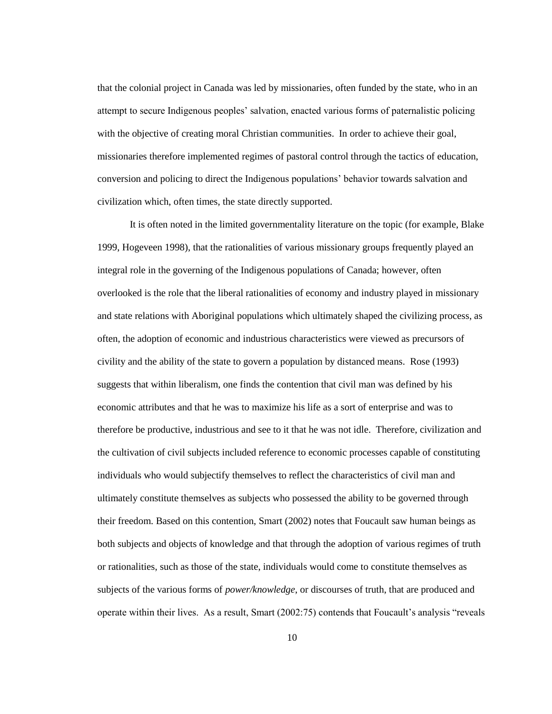that the colonial project in Canada was led by missionaries, often funded by the state, who in an attempt to secure Indigenous peoples" salvation, enacted various forms of paternalistic policing with the objective of creating moral Christian communities. In order to achieve their goal, missionaries therefore implemented regimes of pastoral control through the tactics of education, conversion and policing to direct the Indigenous populations" behavior towards salvation and civilization which, often times, the state directly supported.

It is often noted in the limited governmentality literature on the topic (for example, Blake 1999, Hogeveen 1998), that the rationalities of various missionary groups frequently played an integral role in the governing of the Indigenous populations of Canada; however, often overlooked is the role that the liberal rationalities of economy and industry played in missionary and state relations with Aboriginal populations which ultimately shaped the civilizing process, as often, the adoption of economic and industrious characteristics were viewed as precursors of civility and the ability of the state to govern a population by distanced means. Rose (1993) suggests that within liberalism, one finds the contention that civil man was defined by his economic attributes and that he was to maximize his life as a sort of enterprise and was to therefore be productive, industrious and see to it that he was not idle. Therefore, civilization and the cultivation of civil subjects included reference to economic processes capable of constituting individuals who would subjectify themselves to reflect the characteristics of civil man and ultimately constitute themselves as subjects who possessed the ability to be governed through their freedom. Based on this contention, Smart (2002) notes that Foucault saw human beings as both subjects and objects of knowledge and that through the adoption of various regimes of truth or rationalities, such as those of the state, individuals would come to constitute themselves as subjects of the various forms of *power/knowledge*, or discourses of truth, that are produced and operate within their lives. As a result, Smart (2002:75) contends that Foucault"s analysis "reveals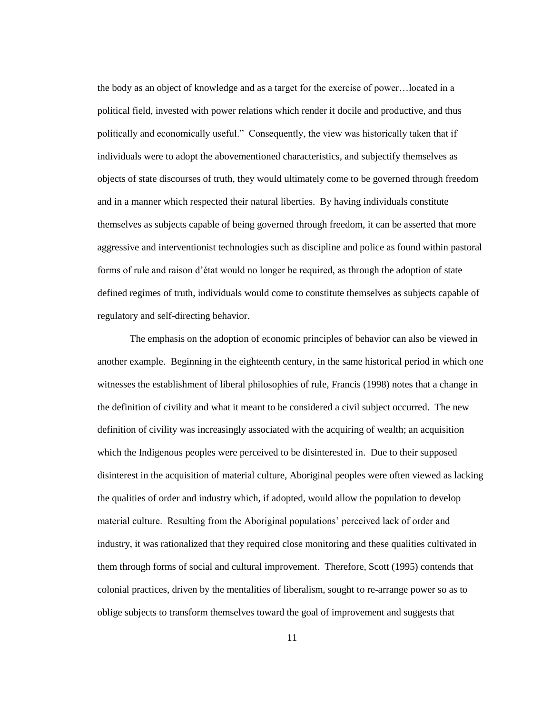the body as an object of knowledge and as a target for the exercise of power…located in a political field, invested with power relations which render it docile and productive, and thus politically and economically useful." Consequently, the view was historically taken that if individuals were to adopt the abovementioned characteristics, and subjectify themselves as objects of state discourses of truth, they would ultimately come to be governed through freedom and in a manner which respected their natural liberties. By having individuals constitute themselves as subjects capable of being governed through freedom, it can be asserted that more aggressive and interventionist technologies such as discipline and police as found within pastoral forms of rule and raison d"état would no longer be required, as through the adoption of state defined regimes of truth, individuals would come to constitute themselves as subjects capable of regulatory and self-directing behavior.

The emphasis on the adoption of economic principles of behavior can also be viewed in another example. Beginning in the eighteenth century, in the same historical period in which one witnesses the establishment of liberal philosophies of rule, Francis (1998) notes that a change in the definition of civility and what it meant to be considered a civil subject occurred. The new definition of civility was increasingly associated with the acquiring of wealth; an acquisition which the Indigenous peoples were perceived to be disinterested in. Due to their supposed disinterest in the acquisition of material culture, Aboriginal peoples were often viewed as lacking the qualities of order and industry which, if adopted, would allow the population to develop material culture. Resulting from the Aboriginal populations" perceived lack of order and industry, it was rationalized that they required close monitoring and these qualities cultivated in them through forms of social and cultural improvement. Therefore, Scott (1995) contends that colonial practices, driven by the mentalities of liberalism, sought to re-arrange power so as to oblige subjects to transform themselves toward the goal of improvement and suggests that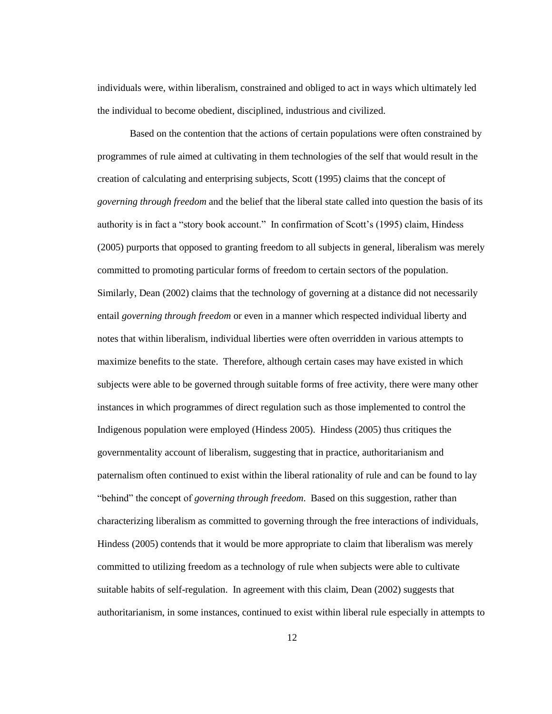individuals were, within liberalism, constrained and obliged to act in ways which ultimately led the individual to become obedient, disciplined, industrious and civilized.

Based on the contention that the actions of certain populations were often constrained by programmes of rule aimed at cultivating in them technologies of the self that would result in the creation of calculating and enterprising subjects, Scott (1995) claims that the concept of *governing through freedom* and the belief that the liberal state called into question the basis of its authority is in fact a "story book account." In confirmation of Scott's (1995) claim, Hindess (2005) purports that opposed to granting freedom to all subjects in general, liberalism was merely committed to promoting particular forms of freedom to certain sectors of the population. Similarly, Dean (2002) claims that the technology of governing at a distance did not necessarily entail *governing through freedom* or even in a manner which respected individual liberty and notes that within liberalism, individual liberties were often overridden in various attempts to maximize benefits to the state. Therefore, although certain cases may have existed in which subjects were able to be governed through suitable forms of free activity, there were many other instances in which programmes of direct regulation such as those implemented to control the Indigenous population were employed (Hindess 2005). Hindess (2005) thus critiques the governmentality account of liberalism, suggesting that in practice, authoritarianism and paternalism often continued to exist within the liberal rationality of rule and can be found to lay "behind" the concept of *governing through freedom*. Based on this suggestion, rather than characterizing liberalism as committed to governing through the free interactions of individuals, Hindess (2005) contends that it would be more appropriate to claim that liberalism was merely committed to utilizing freedom as a technology of rule when subjects were able to cultivate suitable habits of self-regulation. In agreement with this claim, Dean (2002) suggests that authoritarianism, in some instances, continued to exist within liberal rule especially in attempts to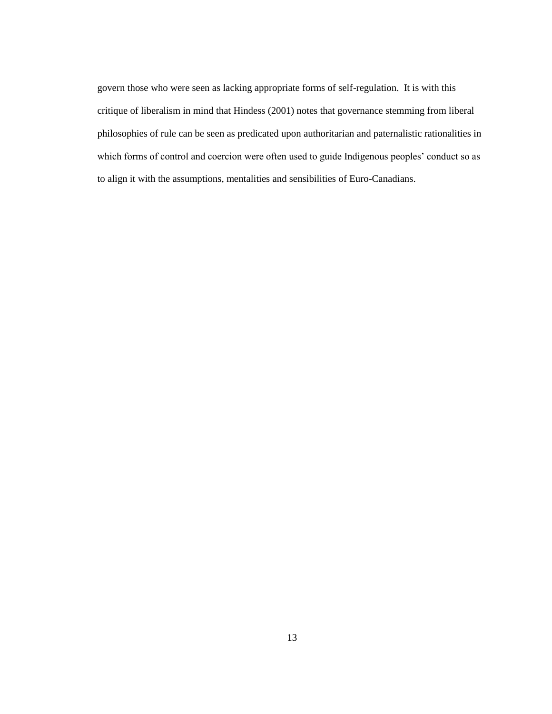govern those who were seen as lacking appropriate forms of self-regulation. It is with this critique of liberalism in mind that Hindess (2001) notes that governance stemming from liberal philosophies of rule can be seen as predicated upon authoritarian and paternalistic rationalities in which forms of control and coercion were often used to guide Indigenous peoples' conduct so as to align it with the assumptions, mentalities and sensibilities of Euro-Canadians.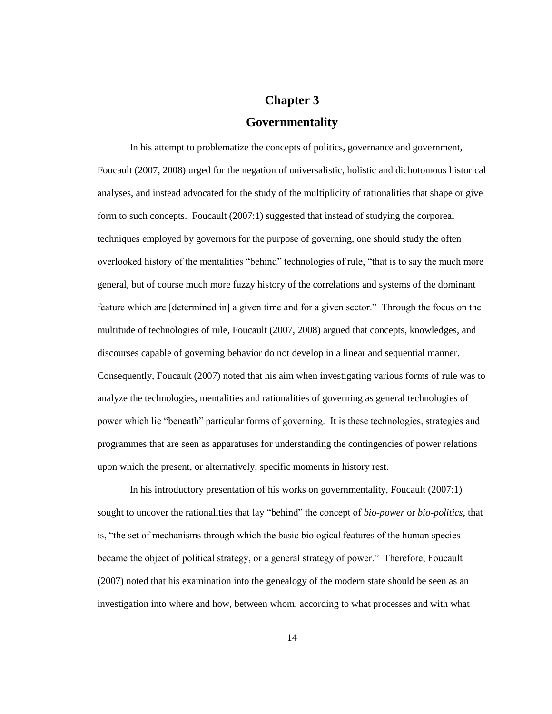# **Chapter 3 Governmentality**

In his attempt to problematize the concepts of politics, governance and government, Foucault (2007, 2008) urged for the negation of universalistic, holistic and dichotomous historical analyses, and instead advocated for the study of the multiplicity of rationalities that shape or give form to such concepts. Foucault (2007:1) suggested that instead of studying the corporeal techniques employed by governors for the purpose of governing, one should study the often overlooked history of the mentalities "behind" technologies of rule, "that is to say the much more general, but of course much more fuzzy history of the correlations and systems of the dominant feature which are [determined in] a given time and for a given sector." Through the focus on the multitude of technologies of rule, Foucault (2007, 2008) argued that concepts, knowledges, and discourses capable of governing behavior do not develop in a linear and sequential manner. Consequently, Foucault (2007) noted that his aim when investigating various forms of rule was to analyze the technologies, mentalities and rationalities of governing as general technologies of power which lie "beneath" particular forms of governing. It is these technologies, strategies and programmes that are seen as apparatuses for understanding the contingencies of power relations upon which the present, or alternatively, specific moments in history rest.

In his introductory presentation of his works on governmentality, Foucault (2007:1) sought to uncover the rationalities that lay "behind" the concept of *bio-power* or *bio-politics*, that is, "the set of mechanisms through which the basic biological features of the human species became the object of political strategy, or a general strategy of power." Therefore, Foucault (2007) noted that his examination into the genealogy of the modern state should be seen as an investigation into where and how, between whom, according to what processes and with what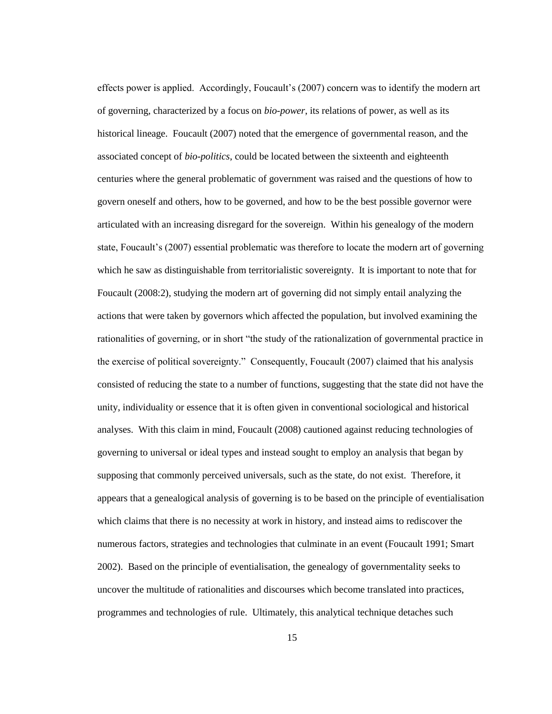effects power is applied. Accordingly, Foucault's (2007) concern was to identify the modern art of governing, characterized by a focus on *bio-power*, its relations of power, as well as its historical lineage. Foucault (2007) noted that the emergence of governmental reason, and the associated concept of *bio-politics*, could be located between the sixteenth and eighteenth centuries where the general problematic of government was raised and the questions of how to govern oneself and others, how to be governed, and how to be the best possible governor were articulated with an increasing disregard for the sovereign. Within his genealogy of the modern state, Foucault's (2007) essential problematic was therefore to locate the modern art of governing which he saw as distinguishable from territorialistic sovereignty. It is important to note that for Foucault (2008:2), studying the modern art of governing did not simply entail analyzing the actions that were taken by governors which affected the population, but involved examining the rationalities of governing, or in short "the study of the rationalization of governmental practice in the exercise of political sovereignty." Consequently, Foucault (2007) claimed that his analysis consisted of reducing the state to a number of functions, suggesting that the state did not have the unity, individuality or essence that it is often given in conventional sociological and historical analyses. With this claim in mind, Foucault (2008) cautioned against reducing technologies of governing to universal or ideal types and instead sought to employ an analysis that began by supposing that commonly perceived universals, such as the state, do not exist. Therefore, it appears that a genealogical analysis of governing is to be based on the principle of eventialisation which claims that there is no necessity at work in history, and instead aims to rediscover the numerous factors, strategies and technologies that culminate in an event (Foucault 1991; Smart 2002). Based on the principle of eventialisation, the genealogy of governmentality seeks to uncover the multitude of rationalities and discourses which become translated into practices, programmes and technologies of rule. Ultimately, this analytical technique detaches such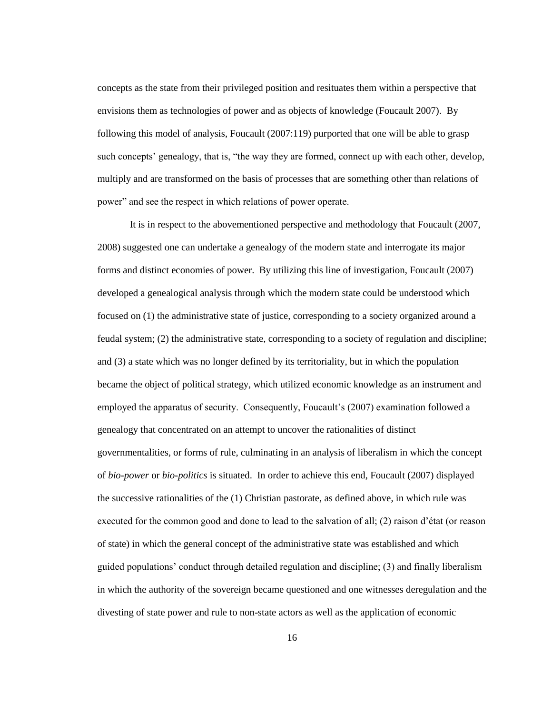concepts as the state from their privileged position and resituates them within a perspective that envisions them as technologies of power and as objects of knowledge (Foucault 2007). By following this model of analysis, Foucault (2007:119) purported that one will be able to grasp such concepts' genealogy, that is, "the way they are formed, connect up with each other, develop, multiply and are transformed on the basis of processes that are something other than relations of power" and see the respect in which relations of power operate.

It is in respect to the abovementioned perspective and methodology that Foucault (2007, 2008) suggested one can undertake a genealogy of the modern state and interrogate its major forms and distinct economies of power. By utilizing this line of investigation, Foucault (2007) developed a genealogical analysis through which the modern state could be understood which focused on (1) the administrative state of justice, corresponding to a society organized around a feudal system; (2) the administrative state, corresponding to a society of regulation and discipline; and (3) a state which was no longer defined by its territoriality, but in which the population became the object of political strategy, which utilized economic knowledge as an instrument and employed the apparatus of security. Consequently, Foucault's (2007) examination followed a genealogy that concentrated on an attempt to uncover the rationalities of distinct governmentalities, or forms of rule, culminating in an analysis of liberalism in which the concept of *bio-power* or *bio-politics* is situated. In order to achieve this end, Foucault (2007) displayed the successive rationalities of the (1) Christian pastorate, as defined above, in which rule was executed for the common good and done to lead to the salvation of all; (2) raison d"état (or reason of state) in which the general concept of the administrative state was established and which guided populations" conduct through detailed regulation and discipline; (3) and finally liberalism in which the authority of the sovereign became questioned and one witnesses deregulation and the divesting of state power and rule to non-state actors as well as the application of economic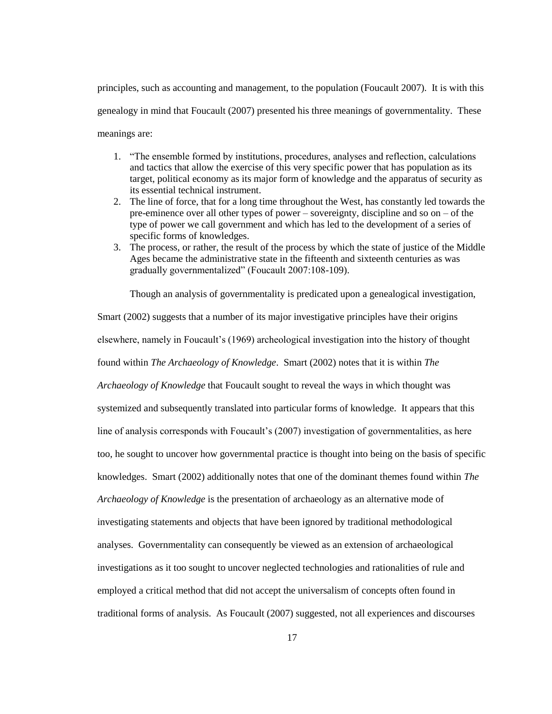principles, such as accounting and management, to the population (Foucault 2007). It is with this genealogy in mind that Foucault (2007) presented his three meanings of governmentality. These meanings are:

- 1. "The ensemble formed by institutions, procedures, analyses and reflection, calculations and tactics that allow the exercise of this very specific power that has population as its target, political economy as its major form of knowledge and the apparatus of security as its essential technical instrument.
- 2. The line of force, that for a long time throughout the West, has constantly led towards the pre-eminence over all other types of power – sovereignty, discipline and so on – of the type of power we call government and which has led to the development of a series of specific forms of knowledges.
- 3. The process, or rather, the result of the process by which the state of justice of the Middle Ages became the administrative state in the fifteenth and sixteenth centuries as was gradually governmentalized" (Foucault 2007:108-109).

Though an analysis of governmentality is predicated upon a genealogical investigation,

Smart (2002) suggests that a number of its major investigative principles have their origins elsewhere, namely in Foucault"s (1969) archeological investigation into the history of thought found within *The Archaeology of Knowledge*. Smart (2002) notes that it is within *The Archaeology of Knowledge* that Foucault sought to reveal the ways in which thought was systemized and subsequently translated into particular forms of knowledge. It appears that this line of analysis corresponds with Foucault's (2007) investigation of governmentalities, as here too, he sought to uncover how governmental practice is thought into being on the basis of specific knowledges. Smart (2002) additionally notes that one of the dominant themes found within *The Archaeology of Knowledge* is the presentation of archaeology as an alternative mode of investigating statements and objects that have been ignored by traditional methodological analyses. Governmentality can consequently be viewed as an extension of archaeological investigations as it too sought to uncover neglected technologies and rationalities of rule and employed a critical method that did not accept the universalism of concepts often found in traditional forms of analysis. As Foucault (2007) suggested, not all experiences and discourses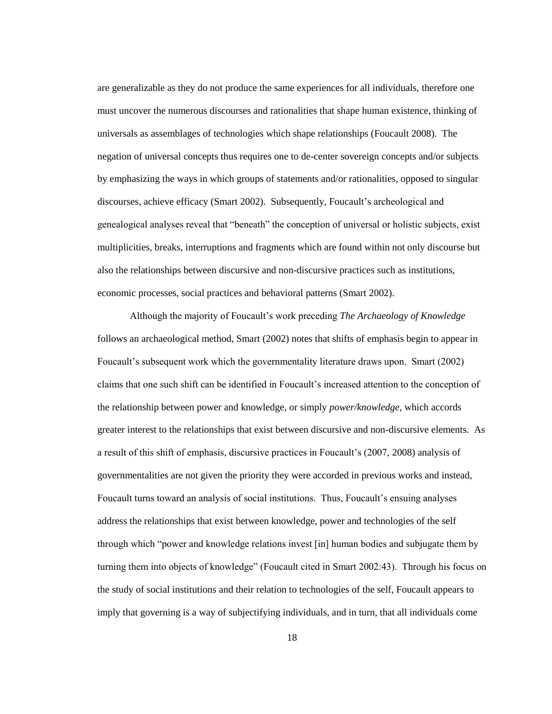are generalizable as they do not produce the same experiences for all individuals, therefore one must uncover the numerous discourses and rationalities that shape human existence, thinking of universals as assemblages of technologies which shape relationships (Foucault 2008). The negation of universal concepts thus requires one to de-center sovereign concepts and/or subjects by emphasizing the ways in which groups of statements and/or rationalities, opposed to singular discourses, achieve efficacy (Smart 2002). Subsequently, Foucault"s archeological and genealogical analyses reveal that "beneath" the conception of universal or holistic subjects, exist multiplicities, breaks, interruptions and fragments which are found within not only discourse but also the relationships between discursive and non-discursive practices such as institutions, economic processes, social practices and behavioral patterns (Smart 2002).

Although the majority of Foucault"s work preceding *The Archaeology of Knowledge* follows an archaeological method, Smart (2002) notes that shifts of emphasis begin to appear in Foucault"s subsequent work which the governmentality literature draws upon. Smart (2002) claims that one such shift can be identified in Foucault"s increased attention to the conception of the relationship between power and knowledge, or simply *power/knowledge,* which accords greater interest to the relationships that exist between discursive and non-discursive elements. As a result of this shift of emphasis, discursive practices in Foucault's (2007, 2008) analysis of governmentalities are not given the priority they were accorded in previous works and instead, Foucault turns toward an analysis of social institutions. Thus, Foucault's ensuing analyses address the relationships that exist between knowledge, power and technologies of the self through which "power and knowledge relations invest [in] human bodies and subjugate them by turning them into objects of knowledge" (Foucault cited in Smart 2002:43). Through his focus on the study of social institutions and their relation to technologies of the self, Foucault appears to imply that governing is a way of subjectifying individuals, and in turn, that all individuals come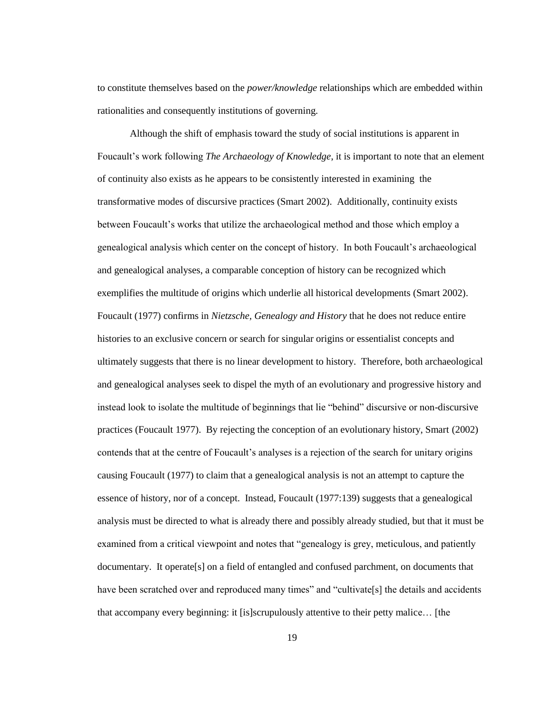to constitute themselves based on the *power/knowledge* relationships which are embedded within rationalities and consequently institutions of governing.

Although the shift of emphasis toward the study of social institutions is apparent in Foucault"s work following *The Archaeology of Knowledge*, it is important to note that an element of continuity also exists as he appears to be consistently interested in examining the transformative modes of discursive practices (Smart 2002). Additionally, continuity exists between Foucault"s works that utilize the archaeological method and those which employ a genealogical analysis which center on the concept of history. In both Foucault"s archaeological and genealogical analyses, a comparable conception of history can be recognized which exemplifies the multitude of origins which underlie all historical developments (Smart 2002). Foucault (1977) confirms in *Nietzsche, Genealogy and History* that he does not reduce entire histories to an exclusive concern or search for singular origins or essentialist concepts and ultimately suggests that there is no linear development to history. Therefore, both archaeological and genealogical analyses seek to dispel the myth of an evolutionary and progressive history and instead look to isolate the multitude of beginnings that lie "behind" discursive or non-discursive practices (Foucault 1977). By rejecting the conception of an evolutionary history, Smart (2002) contends that at the centre of Foucault"s analyses is a rejection of the search for unitary origins causing Foucault (1977) to claim that a genealogical analysis is not an attempt to capture the essence of history, nor of a concept. Instead, Foucault (1977:139) suggests that a genealogical analysis must be directed to what is already there and possibly already studied, but that it must be examined from a critical viewpoint and notes that "genealogy is grey, meticulous, and patiently documentary. It operate[s] on a field of entangled and confused parchment, on documents that have been scratched over and reproduced many times" and "cultivate[s] the details and accidents that accompany every beginning: it [is]scrupulously attentive to their petty malice… [the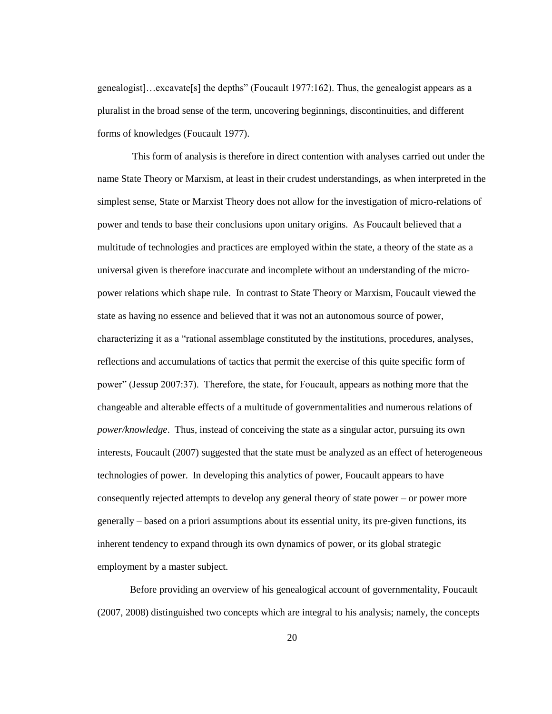genealogist]…excavate[s] the depths" (Foucault 1977:162). Thus, the genealogist appears as a pluralist in the broad sense of the term, uncovering beginnings, discontinuities, and different forms of knowledges (Foucault 1977).

This form of analysis is therefore in direct contention with analyses carried out under the name State Theory or Marxism, at least in their crudest understandings, as when interpreted in the simplest sense, State or Marxist Theory does not allow for the investigation of micro-relations of power and tends to base their conclusions upon unitary origins. As Foucault believed that a multitude of technologies and practices are employed within the state, a theory of the state as a universal given is therefore inaccurate and incomplete without an understanding of the micropower relations which shape rule. In contrast to State Theory or Marxism, Foucault viewed the state as having no essence and believed that it was not an autonomous source of power, characterizing it as a "rational assemblage constituted by the institutions, procedures, analyses, reflections and accumulations of tactics that permit the exercise of this quite specific form of power" (Jessup 2007:37). Therefore, the state, for Foucault, appears as nothing more that the changeable and alterable effects of a multitude of governmentalities and numerous relations of *power/knowledge*. Thus, instead of conceiving the state as a singular actor, pursuing its own interests, Foucault (2007) suggested that the state must be analyzed as an effect of heterogeneous technologies of power. In developing this analytics of power, Foucault appears to have consequently rejected attempts to develop any general theory of state power – or power more generally – based on a priori assumptions about its essential unity, its pre-given functions, its inherent tendency to expand through its own dynamics of power, or its global strategic employment by a master subject.

Before providing an overview of his genealogical account of governmentality, Foucault (2007, 2008) distinguished two concepts which are integral to his analysis; namely, the concepts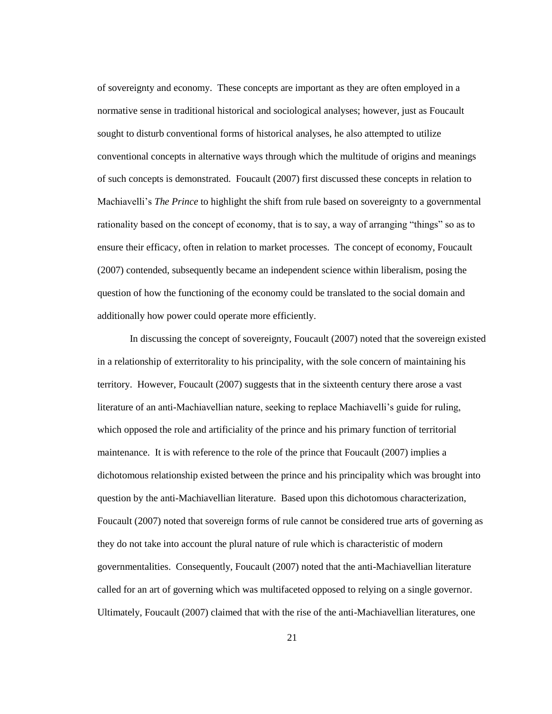of sovereignty and economy. These concepts are important as they are often employed in a normative sense in traditional historical and sociological analyses; however, just as Foucault sought to disturb conventional forms of historical analyses, he also attempted to utilize conventional concepts in alternative ways through which the multitude of origins and meanings of such concepts is demonstrated. Foucault (2007) first discussed these concepts in relation to Machiavelli"s *The Prince* to highlight the shift from rule based on sovereignty to a governmental rationality based on the concept of economy, that is to say, a way of arranging "things" so as to ensure their efficacy, often in relation to market processes. The concept of economy, Foucault (2007) contended, subsequently became an independent science within liberalism, posing the question of how the functioning of the economy could be translated to the social domain and additionally how power could operate more efficiently.

In discussing the concept of sovereignty, Foucault (2007) noted that the sovereign existed in a relationship of exterritorality to his principality, with the sole concern of maintaining his territory. However, Foucault (2007) suggests that in the sixteenth century there arose a vast literature of an anti-Machiavellian nature, seeking to replace Machiavelli"s guide for ruling, which opposed the role and artificiality of the prince and his primary function of territorial maintenance. It is with reference to the role of the prince that Foucault (2007) implies a dichotomous relationship existed between the prince and his principality which was brought into question by the anti-Machiavellian literature. Based upon this dichotomous characterization, Foucault (2007) noted that sovereign forms of rule cannot be considered true arts of governing as they do not take into account the plural nature of rule which is characteristic of modern governmentalities. Consequently, Foucault (2007) noted that the anti-Machiavellian literature called for an art of governing which was multifaceted opposed to relying on a single governor. Ultimately, Foucault (2007) claimed that with the rise of the anti-Machiavellian literatures, one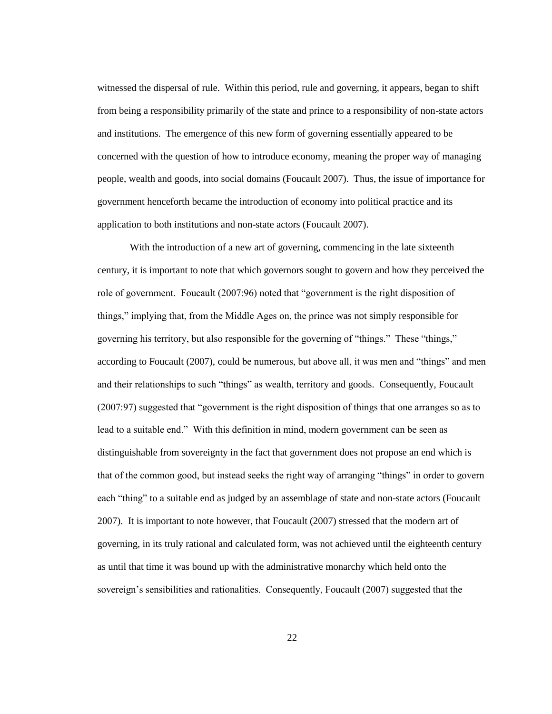witnessed the dispersal of rule. Within this period, rule and governing, it appears, began to shift from being a responsibility primarily of the state and prince to a responsibility of non-state actors and institutions. The emergence of this new form of governing essentially appeared to be concerned with the question of how to introduce economy, meaning the proper way of managing people, wealth and goods, into social domains (Foucault 2007). Thus, the issue of importance for government henceforth became the introduction of economy into political practice and its application to both institutions and non-state actors (Foucault 2007).

With the introduction of a new art of governing, commencing in the late sixteenth century, it is important to note that which governors sought to govern and how they perceived the role of government. Foucault (2007:96) noted that "government is the right disposition of things," implying that, from the Middle Ages on, the prince was not simply responsible for governing his territory, but also responsible for the governing of "things." These "things," according to Foucault (2007), could be numerous, but above all, it was men and "things" and men and their relationships to such "things" as wealth, territory and goods. Consequently, Foucault (2007:97) suggested that "government is the right disposition of things that one arranges so as to lead to a suitable end." With this definition in mind, modern government can be seen as distinguishable from sovereignty in the fact that government does not propose an end which is that of the common good, but instead seeks the right way of arranging "things" in order to govern each "thing" to a suitable end as judged by an assemblage of state and non-state actors (Foucault 2007). It is important to note however, that Foucault (2007) stressed that the modern art of governing, in its truly rational and calculated form, was not achieved until the eighteenth century as until that time it was bound up with the administrative monarchy which held onto the sovereign's sensibilities and rationalities. Consequently, Foucault (2007) suggested that the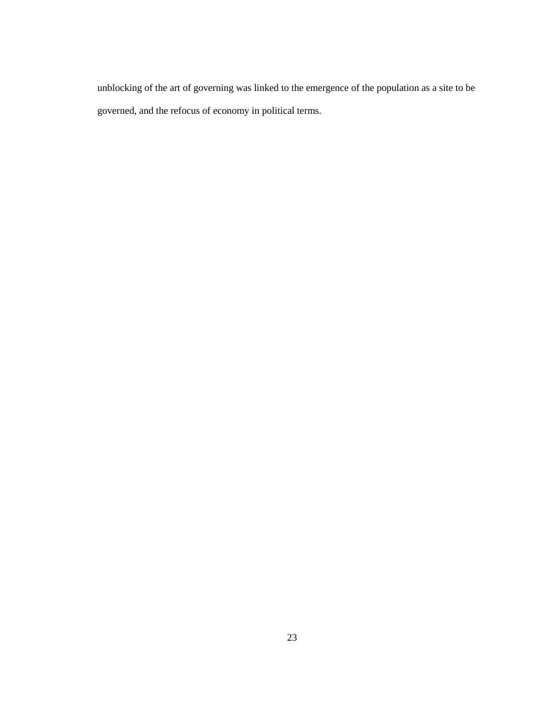unblocking of the art of governing was linked to the emergence of the population as a site to be governed, and the refocus of economy in political terms.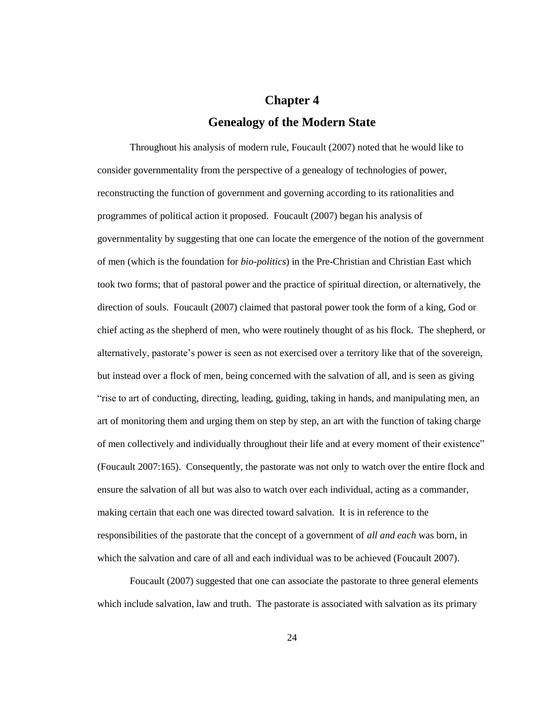# **Chapter 4 Genealogy of the Modern State**

Throughout his analysis of modern rule, Foucault (2007) noted that he would like to consider governmentality from the perspective of a genealogy of technologies of power, reconstructing the function of government and governing according to its rationalities and programmes of political action it proposed. Foucault (2007) began his analysis of governmentality by suggesting that one can locate the emergence of the notion of the government of men (which is the foundation for *bio-politics*) in the Pre-Christian and Christian East which took two forms; that of pastoral power and the practice of spiritual direction, or alternatively, the direction of souls. Foucault (2007) claimed that pastoral power took the form of a king, God or chief acting as the shepherd of men, who were routinely thought of as his flock. The shepherd, or alternatively, pastorate's power is seen as not exercised over a territory like that of the sovereign, but instead over a flock of men, being concerned with the salvation of all, and is seen as giving "rise to art of conducting, directing, leading, guiding, taking in hands, and manipulating men, an art of monitoring them and urging them on step by step, an art with the function of taking charge of men collectively and individually throughout their life and at every moment of their existence" (Foucault 2007:165). Consequently, the pastorate was not only to watch over the entire flock and ensure the salvation of all but was also to watch over each individual, acting as a commander, making certain that each one was directed toward salvation. It is in reference to the responsibilities of the pastorate that the concept of a government of *all and each* was born, in which the salvation and care of all and each individual was to be achieved (Foucault 2007).

Foucault (2007) suggested that one can associate the pastorate to three general elements which include salvation, law and truth. The pastorate is associated with salvation as its primary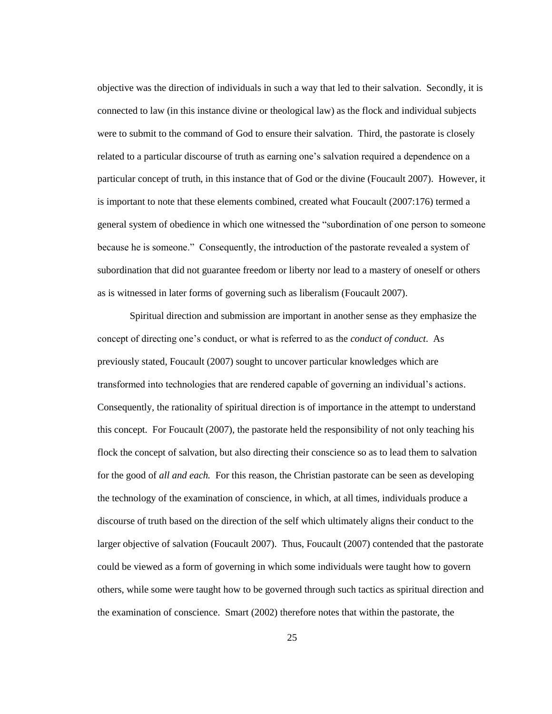objective was the direction of individuals in such a way that led to their salvation. Secondly, it is connected to law (in this instance divine or theological law) as the flock and individual subjects were to submit to the command of God to ensure their salvation. Third, the pastorate is closely related to a particular discourse of truth as earning one"s salvation required a dependence on a particular concept of truth, in this instance that of God or the divine (Foucault 2007). However, it is important to note that these elements combined, created what Foucault (2007:176) termed a general system of obedience in which one witnessed the "subordination of one person to someone because he is someone." Consequently, the introduction of the pastorate revealed a system of subordination that did not guarantee freedom or liberty nor lead to a mastery of oneself or others as is witnessed in later forms of governing such as liberalism (Foucault 2007).

Spiritual direction and submission are important in another sense as they emphasize the concept of directing one"s conduct, or what is referred to as the *conduct of conduct*. As previously stated, Foucault (2007) sought to uncover particular knowledges which are transformed into technologies that are rendered capable of governing an individual"s actions. Consequently, the rationality of spiritual direction is of importance in the attempt to understand this concept. For Foucault (2007), the pastorate held the responsibility of not only teaching his flock the concept of salvation, but also directing their conscience so as to lead them to salvation for the good of *all and each.* For this reason, the Christian pastorate can be seen as developing the technology of the examination of conscience, in which, at all times, individuals produce a discourse of truth based on the direction of the self which ultimately aligns their conduct to the larger objective of salvation (Foucault 2007). Thus, Foucault (2007) contended that the pastorate could be viewed as a form of governing in which some individuals were taught how to govern others, while some were taught how to be governed through such tactics as spiritual direction and the examination of conscience. Smart (2002) therefore notes that within the pastorate, the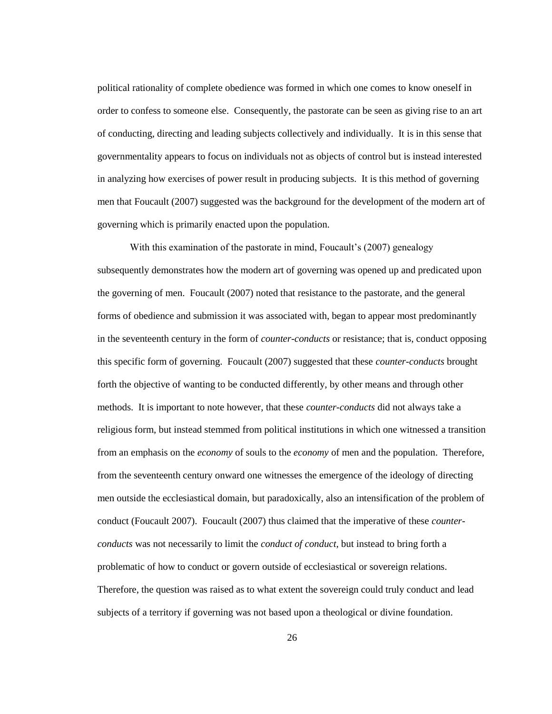political rationality of complete obedience was formed in which one comes to know oneself in order to confess to someone else. Consequently, the pastorate can be seen as giving rise to an art of conducting, directing and leading subjects collectively and individually. It is in this sense that governmentality appears to focus on individuals not as objects of control but is instead interested in analyzing how exercises of power result in producing subjects. It is this method of governing men that Foucault (2007) suggested was the background for the development of the modern art of governing which is primarily enacted upon the population.

With this examination of the pastorate in mind, Foucault's (2007) genealogy subsequently demonstrates how the modern art of governing was opened up and predicated upon the governing of men. Foucault (2007) noted that resistance to the pastorate, and the general forms of obedience and submission it was associated with, began to appear most predominantly in the seventeenth century in the form of *counter-conducts* or resistance; that is, conduct opposing this specific form of governing. Foucault (2007) suggested that these *counter-conducts* brought forth the objective of wanting to be conducted differently, by other means and through other methods. It is important to note however, that these *counter-conducts* did not always take a religious form, but instead stemmed from political institutions in which one witnessed a transition from an emphasis on the *economy* of souls to the *economy* of men and the population. Therefore, from the seventeenth century onward one witnesses the emergence of the ideology of directing men outside the ecclesiastical domain, but paradoxically, also an intensification of the problem of conduct (Foucault 2007). Foucault (2007) thus claimed that the imperative of these *counterconducts* was not necessarily to limit the *conduct of conduct*, but instead to bring forth a problematic of how to conduct or govern outside of ecclesiastical or sovereign relations. Therefore, the question was raised as to what extent the sovereign could truly conduct and lead subjects of a territory if governing was not based upon a theological or divine foundation.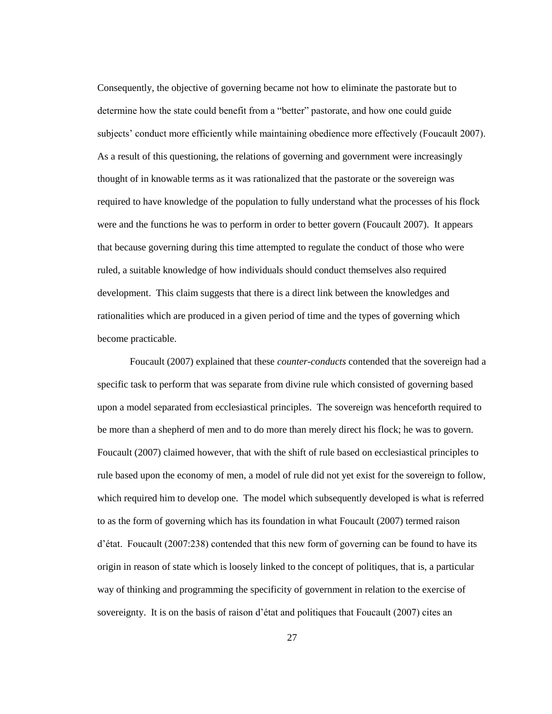Consequently, the objective of governing became not how to eliminate the pastorate but to determine how the state could benefit from a "better" pastorate, and how one could guide subjects' conduct more efficiently while maintaining obedience more effectively (Foucault 2007). As a result of this questioning, the relations of governing and government were increasingly thought of in knowable terms as it was rationalized that the pastorate or the sovereign was required to have knowledge of the population to fully understand what the processes of his flock were and the functions he was to perform in order to better govern (Foucault 2007). It appears that because governing during this time attempted to regulate the conduct of those who were ruled, a suitable knowledge of how individuals should conduct themselves also required development. This claim suggests that there is a direct link between the knowledges and rationalities which are produced in a given period of time and the types of governing which become practicable.

Foucault (2007) explained that these *counter-conducts* contended that the sovereign had a specific task to perform that was separate from divine rule which consisted of governing based upon a model separated from ecclesiastical principles. The sovereign was henceforth required to be more than a shepherd of men and to do more than merely direct his flock; he was to govern. Foucault (2007) claimed however, that with the shift of rule based on ecclesiastical principles to rule based upon the economy of men, a model of rule did not yet exist for the sovereign to follow, which required him to develop one. The model which subsequently developed is what is referred to as the form of governing which has its foundation in what Foucault (2007) termed raison d"état. Foucault (2007:238) contended that this new form of governing can be found to have its origin in reason of state which is loosely linked to the concept of politiques, that is, a particular way of thinking and programming the specificity of government in relation to the exercise of sovereignty. It is on the basis of raison d'état and politiques that Foucault (2007) cites an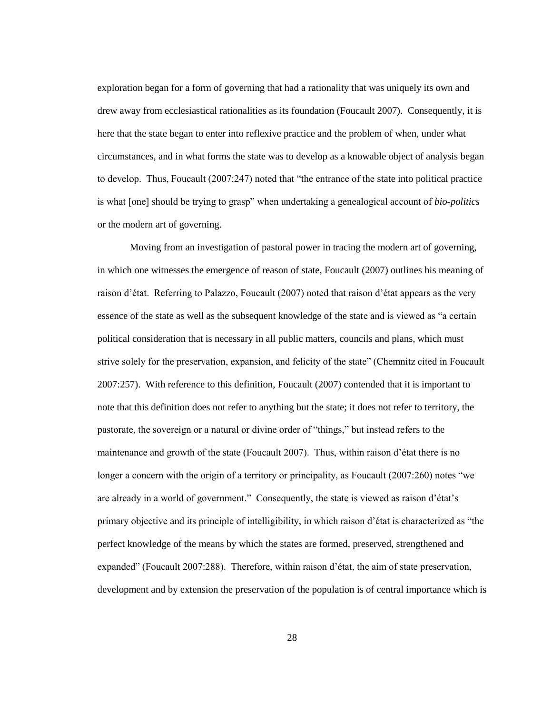exploration began for a form of governing that had a rationality that was uniquely its own and drew away from ecclesiastical rationalities as its foundation (Foucault 2007). Consequently, it is here that the state began to enter into reflexive practice and the problem of when, under what circumstances, and in what forms the state was to develop as a knowable object of analysis began to develop. Thus, Foucault (2007:247) noted that "the entrance of the state into political practice is what [one] should be trying to grasp" when undertaking a genealogical account of *bio-politics* or the modern art of governing.

Moving from an investigation of pastoral power in tracing the modern art of governing, in which one witnesses the emergence of reason of state, Foucault (2007) outlines his meaning of raison d"état. Referring to Palazzo, Foucault (2007) noted that raison d"état appears as the very essence of the state as well as the subsequent knowledge of the state and is viewed as "a certain political consideration that is necessary in all public matters, councils and plans, which must strive solely for the preservation, expansion, and felicity of the state" (Chemnitz cited in Foucault 2007:257). With reference to this definition, Foucault (2007) contended that it is important to note that this definition does not refer to anything but the state; it does not refer to territory, the pastorate, the sovereign or a natural or divine order of "things," but instead refers to the maintenance and growth of the state (Foucault 2007). Thus, within raison d"état there is no longer a concern with the origin of a territory or principality, as Foucault (2007:260) notes "we are already in a world of government." Consequently, the state is viewed as raison d"état"s primary objective and its principle of intelligibility, in which raison d"état is characterized as "the perfect knowledge of the means by which the states are formed, preserved, strengthened and expanded" (Foucault 2007:288). Therefore, within raison d"état, the aim of state preservation, development and by extension the preservation of the population is of central importance which is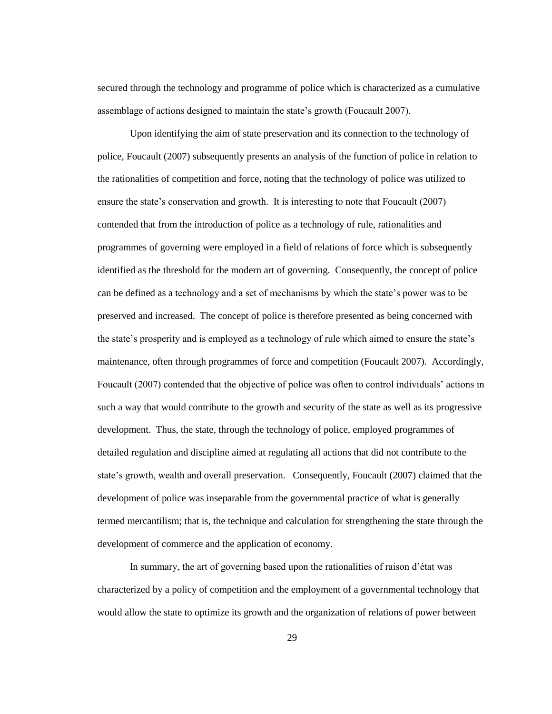secured through the technology and programme of police which is characterized as a cumulative assemblage of actions designed to maintain the state"s growth (Foucault 2007).

Upon identifying the aim of state preservation and its connection to the technology of police, Foucault (2007) subsequently presents an analysis of the function of police in relation to the rationalities of competition and force, noting that the technology of police was utilized to ensure the state"s conservation and growth. It is interesting to note that Foucault (2007) contended that from the introduction of police as a technology of rule, rationalities and programmes of governing were employed in a field of relations of force which is subsequently identified as the threshold for the modern art of governing. Consequently, the concept of police can be defined as a technology and a set of mechanisms by which the state"s power was to be preserved and increased. The concept of police is therefore presented as being concerned with the state"s prosperity and is employed as a technology of rule which aimed to ensure the state"s maintenance, often through programmes of force and competition (Foucault 2007). Accordingly, Foucault (2007) contended that the objective of police was often to control individuals" actions in such a way that would contribute to the growth and security of the state as well as its progressive development. Thus, the state, through the technology of police, employed programmes of detailed regulation and discipline aimed at regulating all actions that did not contribute to the state's growth, wealth and overall preservation. Consequently, Foucault (2007) claimed that the development of police was inseparable from the governmental practice of what is generally termed mercantilism; that is, the technique and calculation for strengthening the state through the development of commerce and the application of economy.

In summary, the art of governing based upon the rationalities of raison d"état was characterized by a policy of competition and the employment of a governmental technology that would allow the state to optimize its growth and the organization of relations of power between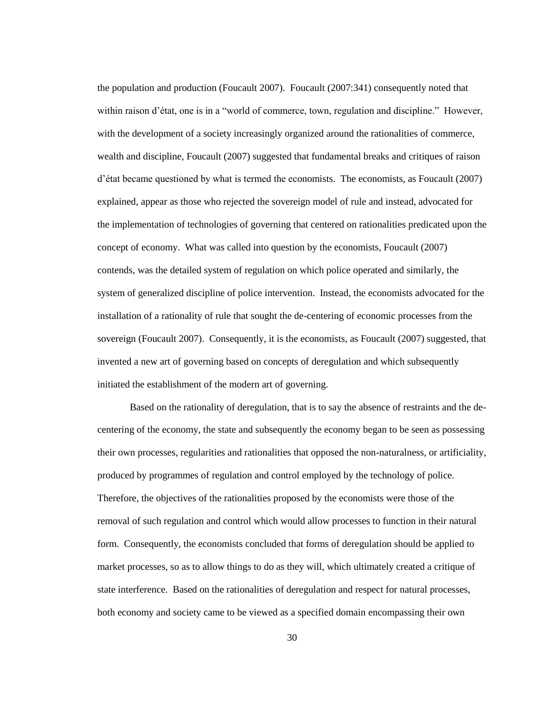the population and production (Foucault 2007). Foucault (2007:341) consequently noted that within raison d'état, one is in a "world of commerce, town, regulation and discipline." However, with the development of a society increasingly organized around the rationalities of commerce, wealth and discipline, Foucault (2007) suggested that fundamental breaks and critiques of raison d"état became questioned by what is termed the economists. The economists, as Foucault (2007) explained, appear as those who rejected the sovereign model of rule and instead, advocated for the implementation of technologies of governing that centered on rationalities predicated upon the concept of economy. What was called into question by the economists, Foucault (2007) contends, was the detailed system of regulation on which police operated and similarly, the system of generalized discipline of police intervention. Instead, the economists advocated for the installation of a rationality of rule that sought the de-centering of economic processes from the sovereign (Foucault 2007). Consequently, it is the economists, as Foucault (2007) suggested, that invented a new art of governing based on concepts of deregulation and which subsequently initiated the establishment of the modern art of governing.

Based on the rationality of deregulation, that is to say the absence of restraints and the decentering of the economy, the state and subsequently the economy began to be seen as possessing their own processes, regularities and rationalities that opposed the non-naturalness, or artificiality, produced by programmes of regulation and control employed by the technology of police. Therefore, the objectives of the rationalities proposed by the economists were those of the removal of such regulation and control which would allow processes to function in their natural form. Consequently, the economists concluded that forms of deregulation should be applied to market processes, so as to allow things to do as they will, which ultimately created a critique of state interference. Based on the rationalities of deregulation and respect for natural processes, both economy and society came to be viewed as a specified domain encompassing their own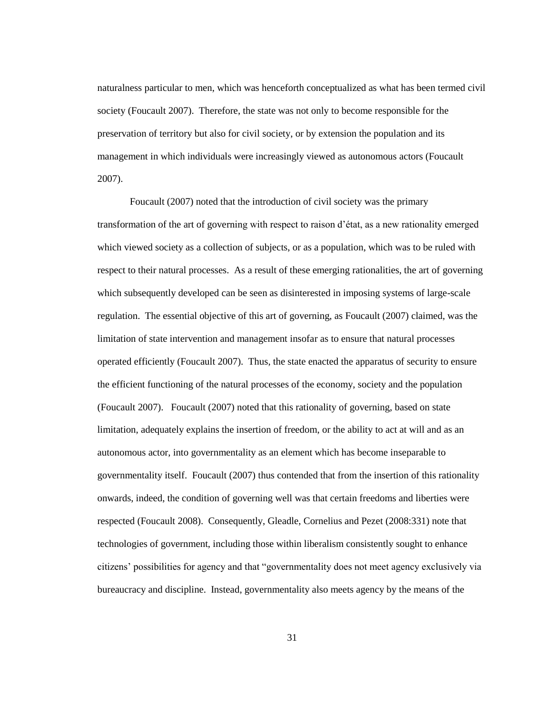naturalness particular to men, which was henceforth conceptualized as what has been termed civil society (Foucault 2007). Therefore, the state was not only to become responsible for the preservation of territory but also for civil society, or by extension the population and its management in which individuals were increasingly viewed as autonomous actors (Foucault 2007).

Foucault (2007) noted that the introduction of civil society was the primary transformation of the art of governing with respect to raison d"état, as a new rationality emerged which viewed society as a collection of subjects, or as a population, which was to be ruled with respect to their natural processes. As a result of these emerging rationalities, the art of governing which subsequently developed can be seen as disinterested in imposing systems of large-scale regulation. The essential objective of this art of governing, as Foucault (2007) claimed, was the limitation of state intervention and management insofar as to ensure that natural processes operated efficiently (Foucault 2007). Thus, the state enacted the apparatus of security to ensure the efficient functioning of the natural processes of the economy, society and the population (Foucault 2007). Foucault (2007) noted that this rationality of governing, based on state limitation, adequately explains the insertion of freedom, or the ability to act at will and as an autonomous actor, into governmentality as an element which has become inseparable to governmentality itself. Foucault (2007) thus contended that from the insertion of this rationality onwards, indeed, the condition of governing well was that certain freedoms and liberties were respected (Foucault 2008). Consequently, Gleadle, Cornelius and Pezet (2008:331) note that technologies of government, including those within liberalism consistently sought to enhance citizens" possibilities for agency and that "governmentality does not meet agency exclusively via bureaucracy and discipline. Instead, governmentality also meets agency by the means of the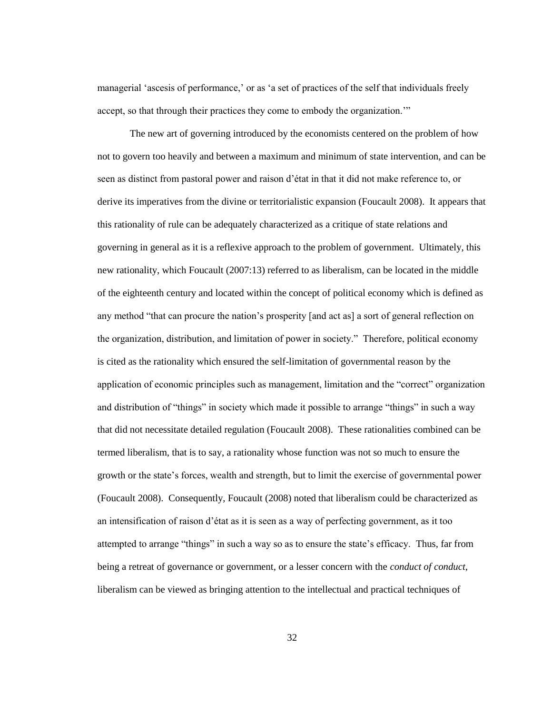managerial 'ascesis of performance,' or as 'a set of practices of the self that individuals freely accept, so that through their practices they come to embody the organization.""

The new art of governing introduced by the economists centered on the problem of how not to govern too heavily and between a maximum and minimum of state intervention, and can be seen as distinct from pastoral power and raison d"état in that it did not make reference to, or derive its imperatives from the divine or territorialistic expansion (Foucault 2008). It appears that this rationality of rule can be adequately characterized as a critique of state relations and governing in general as it is a reflexive approach to the problem of government. Ultimately, this new rationality, which Foucault (2007:13) referred to as liberalism, can be located in the middle of the eighteenth century and located within the concept of political economy which is defined as any method "that can procure the nation"s prosperity [and act as] a sort of general reflection on the organization, distribution, and limitation of power in society." Therefore, political economy is cited as the rationality which ensured the self-limitation of governmental reason by the application of economic principles such as management, limitation and the "correct" organization and distribution of "things" in society which made it possible to arrange "things" in such a way that did not necessitate detailed regulation (Foucault 2008). These rationalities combined can be termed liberalism, that is to say, a rationality whose function was not so much to ensure the growth or the state"s forces, wealth and strength, but to limit the exercise of governmental power (Foucault 2008). Consequently, Foucault (2008) noted that liberalism could be characterized as an intensification of raison d"état as it is seen as a way of perfecting government, as it too attempted to arrange "things" in such a way so as to ensure the state"s efficacy. Thus, far from being a retreat of governance or government, or a lesser concern with the *conduct of conduct*, liberalism can be viewed as bringing attention to the intellectual and practical techniques of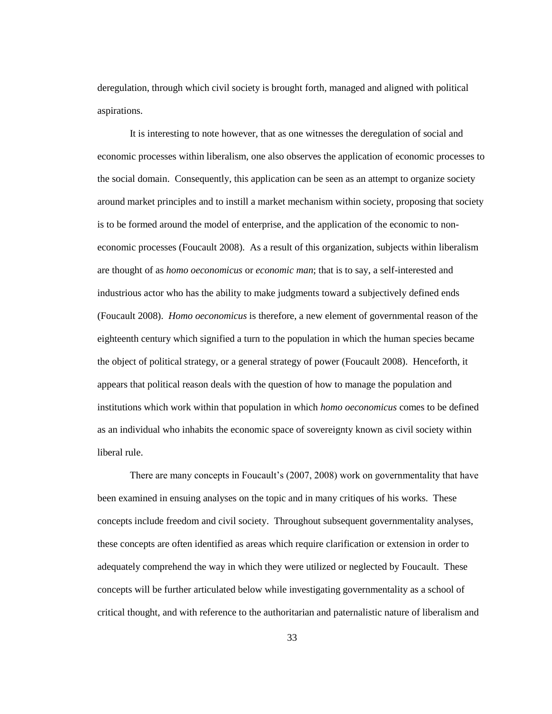deregulation, through which civil society is brought forth, managed and aligned with political aspirations.

It is interesting to note however, that as one witnesses the deregulation of social and economic processes within liberalism, one also observes the application of economic processes to the social domain. Consequently, this application can be seen as an attempt to organize society around market principles and to instill a market mechanism within society, proposing that society is to be formed around the model of enterprise, and the application of the economic to noneconomic processes (Foucault 2008). As a result of this organization, subjects within liberalism are thought of as *homo oeconomicus* or *economic man*; that is to say, a self-interested and industrious actor who has the ability to make judgments toward a subjectively defined ends (Foucault 2008). *Homo oeconomicus* is therefore, a new element of governmental reason of the eighteenth century which signified a turn to the population in which the human species became the object of political strategy, or a general strategy of power (Foucault 2008). Henceforth, it appears that political reason deals with the question of how to manage the population and institutions which work within that population in which *homo oeconomicus* comes to be defined as an individual who inhabits the economic space of sovereignty known as civil society within liberal rule.

There are many concepts in Foucault"s (2007, 2008) work on governmentality that have been examined in ensuing analyses on the topic and in many critiques of his works. These concepts include freedom and civil society. Throughout subsequent governmentality analyses, these concepts are often identified as areas which require clarification or extension in order to adequately comprehend the way in which they were utilized or neglected by Foucault. These concepts will be further articulated below while investigating governmentality as a school of critical thought, and with reference to the authoritarian and paternalistic nature of liberalism and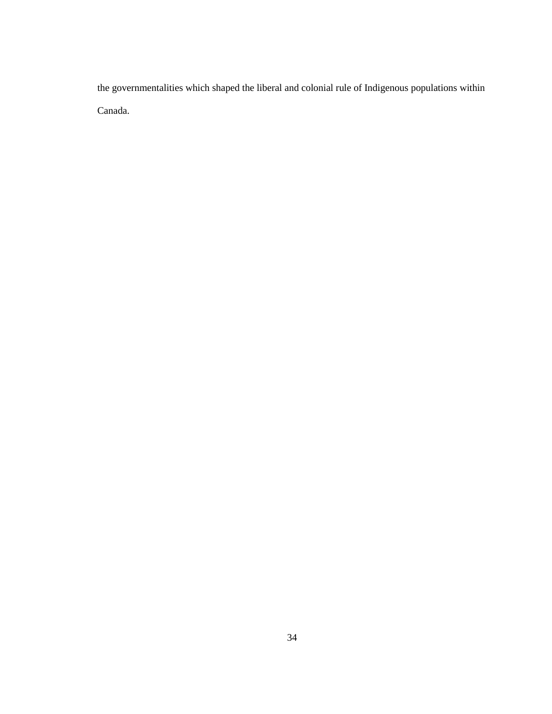the governmentalities which shaped the liberal and colonial rule of Indigenous populations within Canada.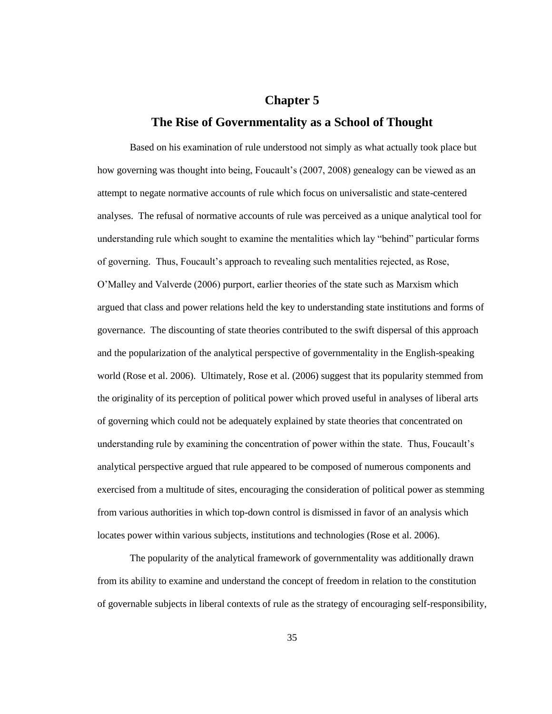### **Chapter 5**

#### **The Rise of Governmentality as a School of Thought**

Based on his examination of rule understood not simply as what actually took place but how governing was thought into being, Foucault's (2007, 2008) genealogy can be viewed as an attempt to negate normative accounts of rule which focus on universalistic and state-centered analyses. The refusal of normative accounts of rule was perceived as a unique analytical tool for understanding rule which sought to examine the mentalities which lay "behind" particular forms of governing. Thus, Foucault"s approach to revealing such mentalities rejected, as Rose, O"Malley and Valverde (2006) purport, earlier theories of the state such as Marxism which argued that class and power relations held the key to understanding state institutions and forms of governance. The discounting of state theories contributed to the swift dispersal of this approach and the popularization of the analytical perspective of governmentality in the English-speaking world (Rose et al. 2006). Ultimately, Rose et al. (2006) suggest that its popularity stemmed from the originality of its perception of political power which proved useful in analyses of liberal arts of governing which could not be adequately explained by state theories that concentrated on understanding rule by examining the concentration of power within the state. Thus, Foucault"s analytical perspective argued that rule appeared to be composed of numerous components and exercised from a multitude of sites, encouraging the consideration of political power as stemming from various authorities in which top-down control is dismissed in favor of an analysis which locates power within various subjects, institutions and technologies (Rose et al. 2006).

The popularity of the analytical framework of governmentality was additionally drawn from its ability to examine and understand the concept of freedom in relation to the constitution of governable subjects in liberal contexts of rule as the strategy of encouraging self-responsibility,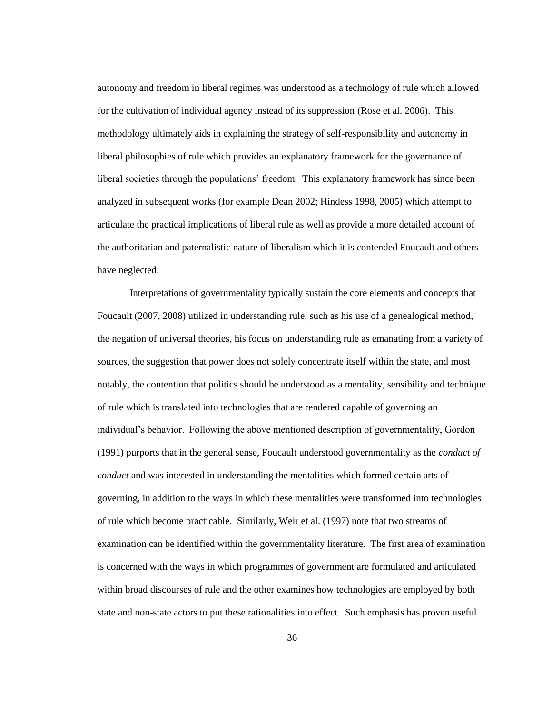autonomy and freedom in liberal regimes was understood as a technology of rule which allowed for the cultivation of individual agency instead of its suppression (Rose et al. 2006). This methodology ultimately aids in explaining the strategy of self-responsibility and autonomy in liberal philosophies of rule which provides an explanatory framework for the governance of liberal societies through the populations" freedom. This explanatory framework has since been analyzed in subsequent works (for example Dean 2002; Hindess 1998, 2005) which attempt to articulate the practical implications of liberal rule as well as provide a more detailed account of the authoritarian and paternalistic nature of liberalism which it is contended Foucault and others have neglected.

Interpretations of governmentality typically sustain the core elements and concepts that Foucault (2007, 2008) utilized in understanding rule, such as his use of a genealogical method, the negation of universal theories, his focus on understanding rule as emanating from a variety of sources, the suggestion that power does not solely concentrate itself within the state, and most notably, the contention that politics should be understood as a mentality, sensibility and technique of rule which is translated into technologies that are rendered capable of governing an individual"s behavior. Following the above mentioned description of governmentality, Gordon (1991) purports that in the general sense, Foucault understood governmentality as the *conduct of conduct* and was interested in understanding the mentalities which formed certain arts of governing, in addition to the ways in which these mentalities were transformed into technologies of rule which become practicable. Similarly, Weir et al. (1997) note that two streams of examination can be identified within the governmentality literature. The first area of examination is concerned with the ways in which programmes of government are formulated and articulated within broad discourses of rule and the other examines how technologies are employed by both state and non-state actors to put these rationalities into effect. Such emphasis has proven useful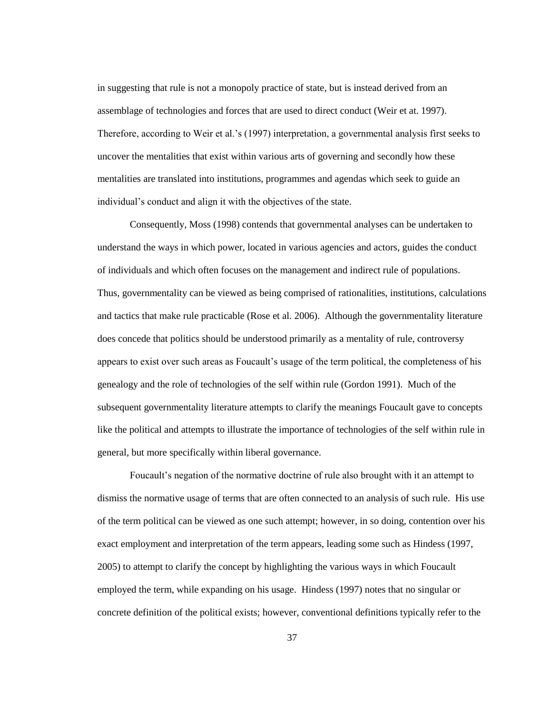in suggesting that rule is not a monopoly practice of state, but is instead derived from an assemblage of technologies and forces that are used to direct conduct (Weir et at. 1997). Therefore, according to Weir et al."s (1997) interpretation, a governmental analysis first seeks to uncover the mentalities that exist within various arts of governing and secondly how these mentalities are translated into institutions, programmes and agendas which seek to guide an individual's conduct and align it with the objectives of the state.

Consequently, Moss (1998) contends that governmental analyses can be undertaken to understand the ways in which power, located in various agencies and actors, guides the conduct of individuals and which often focuses on the management and indirect rule of populations. Thus, governmentality can be viewed as being comprised of rationalities, institutions, calculations and tactics that make rule practicable (Rose et al. 2006). Although the governmentality literature does concede that politics should be understood primarily as a mentality of rule, controversy appears to exist over such areas as Foucault's usage of the term political, the completeness of his genealogy and the role of technologies of the self within rule (Gordon 1991). Much of the subsequent governmentality literature attempts to clarify the meanings Foucault gave to concepts like the political and attempts to illustrate the importance of technologies of the self within rule in general, but more specifically within liberal governance.

Foucault"s negation of the normative doctrine of rule also brought with it an attempt to dismiss the normative usage of terms that are often connected to an analysis of such rule. His use of the term political can be viewed as one such attempt; however, in so doing, contention over his exact employment and interpretation of the term appears, leading some such as Hindess (1997, 2005) to attempt to clarify the concept by highlighting the various ways in which Foucault employed the term, while expanding on his usage. Hindess (1997) notes that no singular or concrete definition of the political exists; however, conventional definitions typically refer to the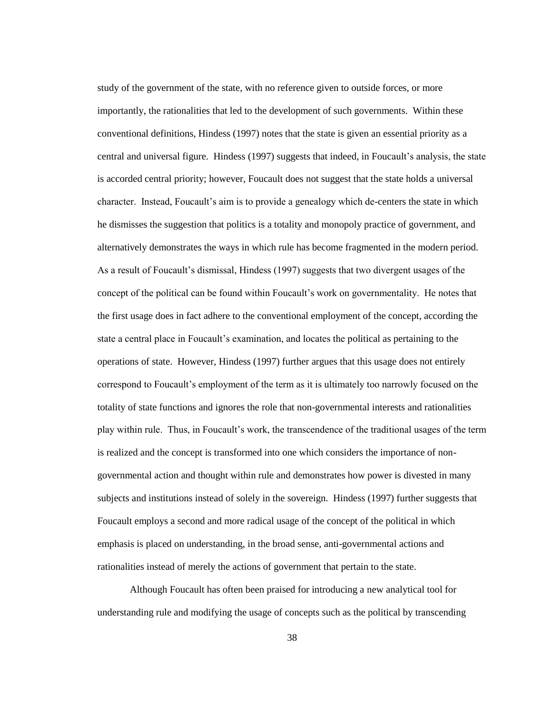study of the government of the state, with no reference given to outside forces, or more importantly, the rationalities that led to the development of such governments. Within these conventional definitions, Hindess (1997) notes that the state is given an essential priority as a central and universal figure. Hindess (1997) suggests that indeed, in Foucault"s analysis, the state is accorded central priority; however, Foucault does not suggest that the state holds a universal character. Instead, Foucault"s aim is to provide a genealogy which de-centers the state in which he dismisses the suggestion that politics is a totality and monopoly practice of government, and alternatively demonstrates the ways in which rule has become fragmented in the modern period. As a result of Foucault's dismissal, Hindess (1997) suggests that two divergent usages of the concept of the political can be found within Foucault"s work on governmentality. He notes that the first usage does in fact adhere to the conventional employment of the concept, according the state a central place in Foucault"s examination, and locates the political as pertaining to the operations of state. However, Hindess (1997) further argues that this usage does not entirely correspond to Foucault"s employment of the term as it is ultimately too narrowly focused on the totality of state functions and ignores the role that non-governmental interests and rationalities play within rule. Thus, in Foucault"s work, the transcendence of the traditional usages of the term is realized and the concept is transformed into one which considers the importance of nongovernmental action and thought within rule and demonstrates how power is divested in many subjects and institutions instead of solely in the sovereign. Hindess (1997) further suggests that Foucault employs a second and more radical usage of the concept of the political in which emphasis is placed on understanding, in the broad sense, anti-governmental actions and rationalities instead of merely the actions of government that pertain to the state.

Although Foucault has often been praised for introducing a new analytical tool for understanding rule and modifying the usage of concepts such as the political by transcending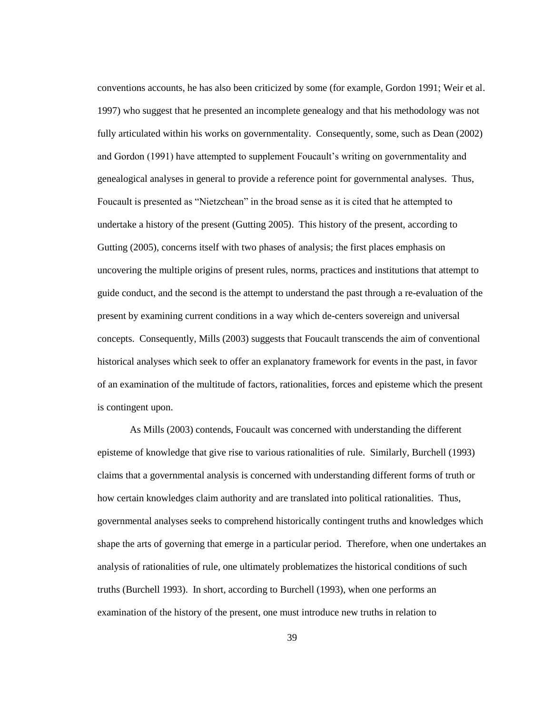conventions accounts, he has also been criticized by some (for example, Gordon 1991; Weir et al. 1997) who suggest that he presented an incomplete genealogy and that his methodology was not fully articulated within his works on governmentality. Consequently, some, such as Dean (2002) and Gordon (1991) have attempted to supplement Foucault's writing on governmentality and genealogical analyses in general to provide a reference point for governmental analyses. Thus, Foucault is presented as "Nietzchean" in the broad sense as it is cited that he attempted to undertake a history of the present (Gutting 2005). This history of the present, according to Gutting (2005), concerns itself with two phases of analysis; the first places emphasis on uncovering the multiple origins of present rules, norms, practices and institutions that attempt to guide conduct, and the second is the attempt to understand the past through a re-evaluation of the present by examining current conditions in a way which de-centers sovereign and universal concepts. Consequently, Mills (2003) suggests that Foucault transcends the aim of conventional historical analyses which seek to offer an explanatory framework for events in the past, in favor of an examination of the multitude of factors, rationalities, forces and episteme which the present is contingent upon.

As Mills (2003) contends, Foucault was concerned with understanding the different episteme of knowledge that give rise to various rationalities of rule. Similarly, Burchell (1993) claims that a governmental analysis is concerned with understanding different forms of truth or how certain knowledges claim authority and are translated into political rationalities. Thus, governmental analyses seeks to comprehend historically contingent truths and knowledges which shape the arts of governing that emerge in a particular period. Therefore, when one undertakes an analysis of rationalities of rule, one ultimately problematizes the historical conditions of such truths (Burchell 1993). In short, according to Burchell (1993), when one performs an examination of the history of the present, one must introduce new truths in relation to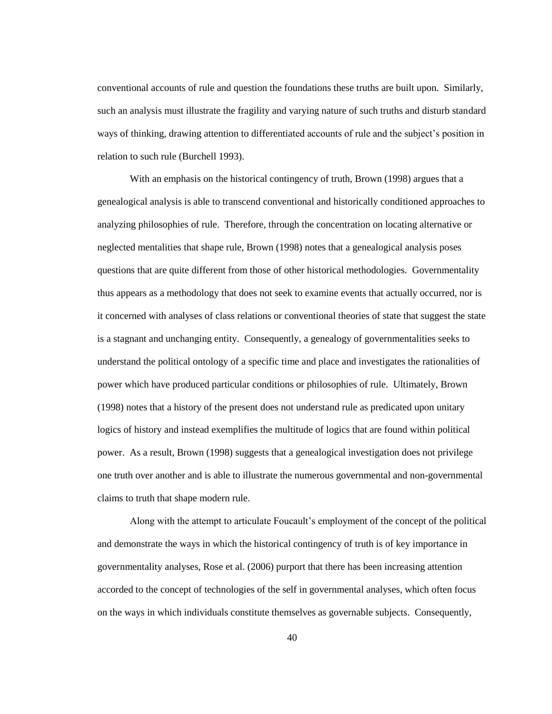conventional accounts of rule and question the foundations these truths are built upon. Similarly, such an analysis must illustrate the fragility and varying nature of such truths and disturb standard ways of thinking, drawing attention to differentiated accounts of rule and the subject's position in relation to such rule (Burchell 1993).

With an emphasis on the historical contingency of truth, Brown (1998) argues that a genealogical analysis is able to transcend conventional and historically conditioned approaches to analyzing philosophies of rule. Therefore, through the concentration on locating alternative or neglected mentalities that shape rule, Brown (1998) notes that a genealogical analysis poses questions that are quite different from those of other historical methodologies. Governmentality thus appears as a methodology that does not seek to examine events that actually occurred, nor is it concerned with analyses of class relations or conventional theories of state that suggest the state is a stagnant and unchanging entity. Consequently, a genealogy of governmentalities seeks to understand the political ontology of a specific time and place and investigates the rationalities of power which have produced particular conditions or philosophies of rule. Ultimately, Brown (1998) notes that a history of the present does not understand rule as predicated upon unitary logics of history and instead exemplifies the multitude of logics that are found within political power. As a result, Brown (1998) suggests that a genealogical investigation does not privilege one truth over another and is able to illustrate the numerous governmental and non-governmental claims to truth that shape modern rule.

Along with the attempt to articulate Foucault"s employment of the concept of the political and demonstrate the ways in which the historical contingency of truth is of key importance in governmentality analyses, Rose et al. (2006) purport that there has been increasing attention accorded to the concept of technologies of the self in governmental analyses, which often focus on the ways in which individuals constitute themselves as governable subjects. Consequently,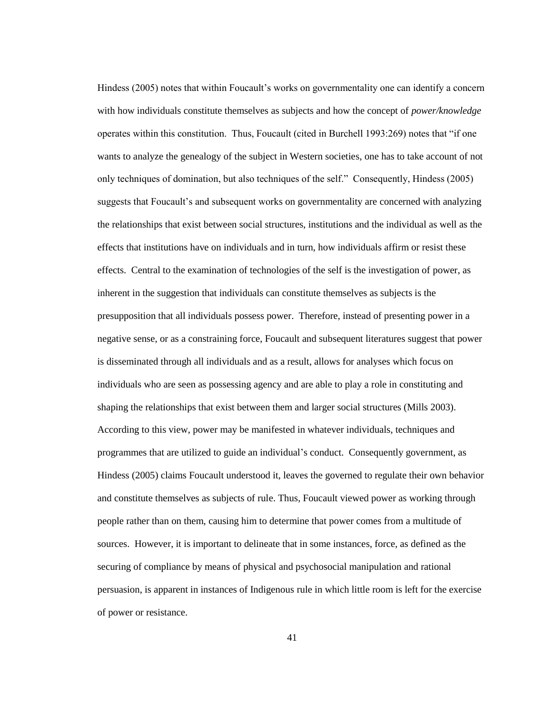Hindess (2005) notes that within Foucault"s works on governmentality one can identify a concern with how individuals constitute themselves as subjects and how the concept of *power/knowledge* operates within this constitution. Thus, Foucault (cited in Burchell 1993:269) notes that "if one wants to analyze the genealogy of the subject in Western societies, one has to take account of not only techniques of domination, but also techniques of the self." Consequently, Hindess (2005) suggests that Foucault's and subsequent works on governmentality are concerned with analyzing the relationships that exist between social structures, institutions and the individual as well as the effects that institutions have on individuals and in turn, how individuals affirm or resist these effects. Central to the examination of technologies of the self is the investigation of power, as inherent in the suggestion that individuals can constitute themselves as subjects is the presupposition that all individuals possess power. Therefore, instead of presenting power in a negative sense, or as a constraining force, Foucault and subsequent literatures suggest that power is disseminated through all individuals and as a result, allows for analyses which focus on individuals who are seen as possessing agency and are able to play a role in constituting and shaping the relationships that exist between them and larger social structures (Mills 2003). According to this view, power may be manifested in whatever individuals, techniques and programmes that are utilized to guide an individual"s conduct. Consequently government, as Hindess (2005) claims Foucault understood it, leaves the governed to regulate their own behavior and constitute themselves as subjects of rule. Thus, Foucault viewed power as working through people rather than on them, causing him to determine that power comes from a multitude of sources. However, it is important to delineate that in some instances, force, as defined as the securing of compliance by means of physical and psychosocial manipulation and rational persuasion, is apparent in instances of Indigenous rule in which little room is left for the exercise of power or resistance.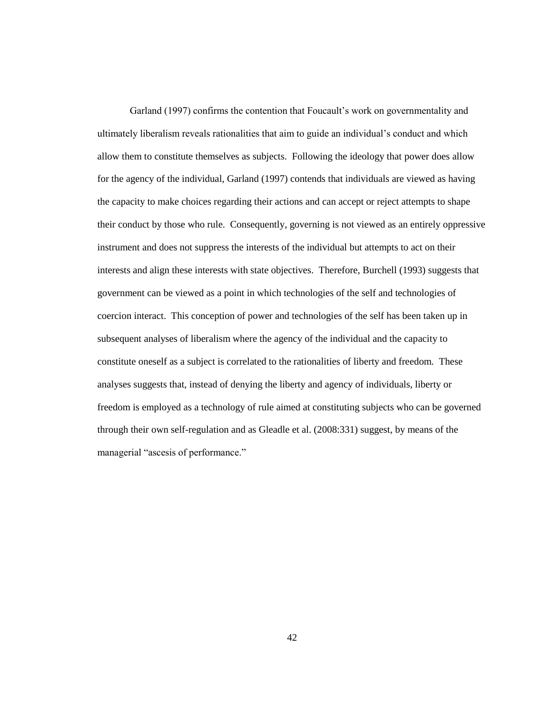Garland (1997) confirms the contention that Foucault"s work on governmentality and ultimately liberalism reveals rationalities that aim to guide an individual"s conduct and which allow them to constitute themselves as subjects. Following the ideology that power does allow for the agency of the individual, Garland (1997) contends that individuals are viewed as having the capacity to make choices regarding their actions and can accept or reject attempts to shape their conduct by those who rule. Consequently, governing is not viewed as an entirely oppressive instrument and does not suppress the interests of the individual but attempts to act on their interests and align these interests with state objectives. Therefore, Burchell (1993) suggests that government can be viewed as a point in which technologies of the self and technologies of coercion interact. This conception of power and technologies of the self has been taken up in subsequent analyses of liberalism where the agency of the individual and the capacity to constitute oneself as a subject is correlated to the rationalities of liberty and freedom. These analyses suggests that, instead of denying the liberty and agency of individuals, liberty or freedom is employed as a technology of rule aimed at constituting subjects who can be governed through their own self-regulation and as Gleadle et al. (2008:331) suggest, by means of the managerial "ascesis of performance."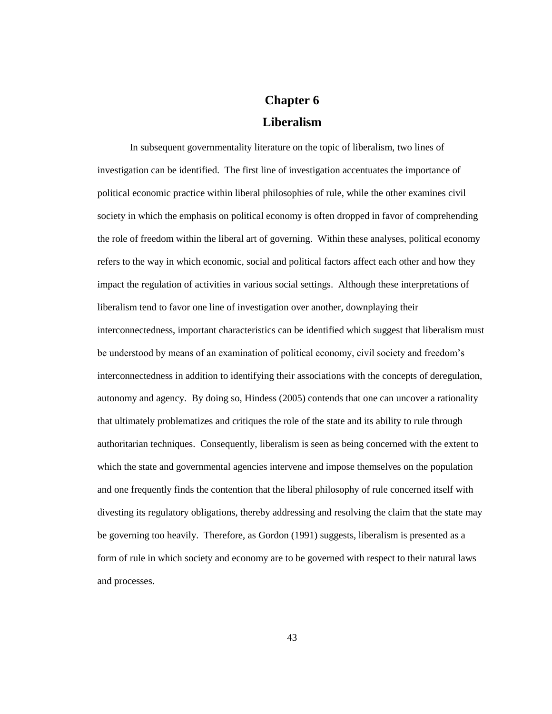# **Chapter 6 Liberalism**

In subsequent governmentality literature on the topic of liberalism, two lines of investigation can be identified. The first line of investigation accentuates the importance of political economic practice within liberal philosophies of rule, while the other examines civil society in which the emphasis on political economy is often dropped in favor of comprehending the role of freedom within the liberal art of governing. Within these analyses, political economy refers to the way in which economic, social and political factors affect each other and how they impact the regulation of activities in various social settings. Although these interpretations of liberalism tend to favor one line of investigation over another, downplaying their interconnectedness, important characteristics can be identified which suggest that liberalism must be understood by means of an examination of political economy, civil society and freedom"s interconnectedness in addition to identifying their associations with the concepts of deregulation, autonomy and agency. By doing so, Hindess (2005) contends that one can uncover a rationality that ultimately problematizes and critiques the role of the state and its ability to rule through authoritarian techniques. Consequently, liberalism is seen as being concerned with the extent to which the state and governmental agencies intervene and impose themselves on the population and one frequently finds the contention that the liberal philosophy of rule concerned itself with divesting its regulatory obligations, thereby addressing and resolving the claim that the state may be governing too heavily. Therefore, as Gordon (1991) suggests, liberalism is presented as a form of rule in which society and economy are to be governed with respect to their natural laws and processes.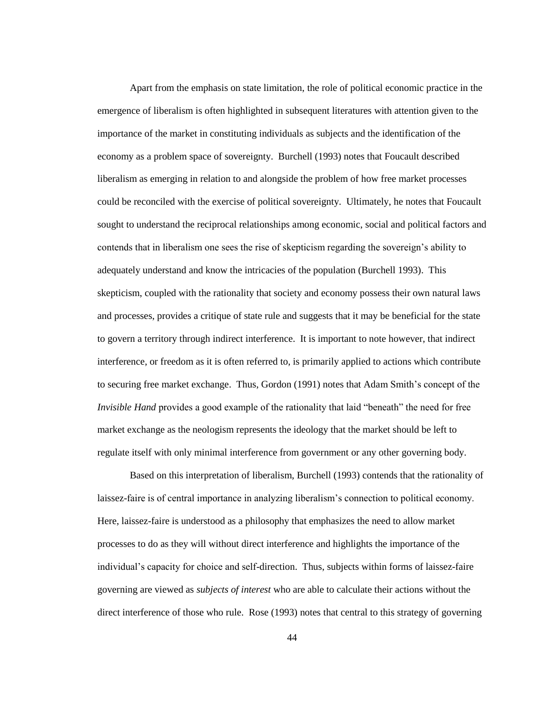Apart from the emphasis on state limitation, the role of political economic practice in the emergence of liberalism is often highlighted in subsequent literatures with attention given to the importance of the market in constituting individuals as subjects and the identification of the economy as a problem space of sovereignty. Burchell (1993) notes that Foucault described liberalism as emerging in relation to and alongside the problem of how free market processes could be reconciled with the exercise of political sovereignty. Ultimately, he notes that Foucault sought to understand the reciprocal relationships among economic, social and political factors and contends that in liberalism one sees the rise of skepticism regarding the sovereign"s ability to adequately understand and know the intricacies of the population (Burchell 1993). This skepticism, coupled with the rationality that society and economy possess their own natural laws and processes, provides a critique of state rule and suggests that it may be beneficial for the state to govern a territory through indirect interference. It is important to note however, that indirect interference, or freedom as it is often referred to, is primarily applied to actions which contribute to securing free market exchange. Thus, Gordon (1991) notes that Adam Smith"s concept of the *Invisible Hand* provides a good example of the rationality that laid "beneath" the need for free market exchange as the neologism represents the ideology that the market should be left to regulate itself with only minimal interference from government or any other governing body.

Based on this interpretation of liberalism, Burchell (1993) contends that the rationality of laissez-faire is of central importance in analyzing liberalism"s connection to political economy. Here, laissez-faire is understood as a philosophy that emphasizes the need to allow market processes to do as they will without direct interference and highlights the importance of the individual's capacity for choice and self-direction. Thus, subjects within forms of laissez-faire governing are viewed as *subjects of interest* who are able to calculate their actions without the direct interference of those who rule. Rose (1993) notes that central to this strategy of governing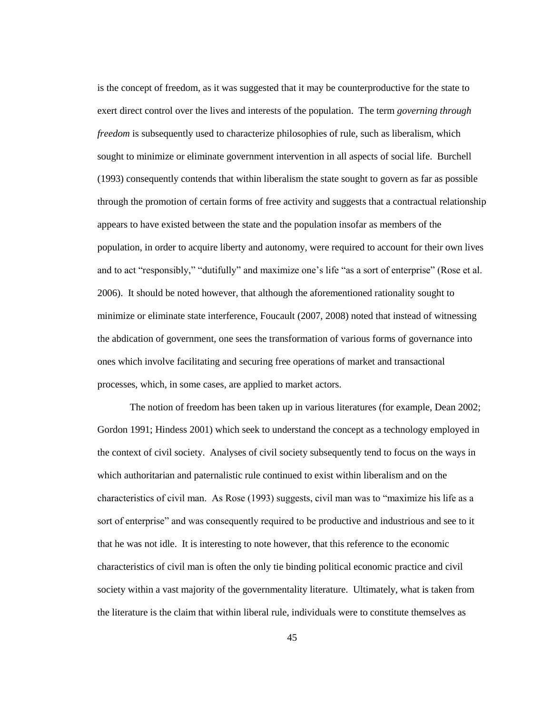is the concept of freedom, as it was suggested that it may be counterproductive for the state to exert direct control over the lives and interests of the population. The term *governing through freedom* is subsequently used to characterize philosophies of rule, such as liberalism, which sought to minimize or eliminate government intervention in all aspects of social life. Burchell (1993) consequently contends that within liberalism the state sought to govern as far as possible through the promotion of certain forms of free activity and suggests that a contractual relationship appears to have existed between the state and the population insofar as members of the population, in order to acquire liberty and autonomy, were required to account for their own lives and to act "responsibly," "dutifully" and maximize one"s life "as a sort of enterprise" (Rose et al. 2006). It should be noted however, that although the aforementioned rationality sought to minimize or eliminate state interference, Foucault (2007, 2008) noted that instead of witnessing the abdication of government, one sees the transformation of various forms of governance into ones which involve facilitating and securing free operations of market and transactional processes, which, in some cases, are applied to market actors.

The notion of freedom has been taken up in various literatures (for example, Dean 2002; Gordon 1991; Hindess 2001) which seek to understand the concept as a technology employed in the context of civil society. Analyses of civil society subsequently tend to focus on the ways in which authoritarian and paternalistic rule continued to exist within liberalism and on the characteristics of civil man. As Rose (1993) suggests, civil man was to "maximize his life as a sort of enterprise" and was consequently required to be productive and industrious and see to it that he was not idle. It is interesting to note however, that this reference to the economic characteristics of civil man is often the only tie binding political economic practice and civil society within a vast majority of the governmentality literature. Ultimately, what is taken from the literature is the claim that within liberal rule, individuals were to constitute themselves as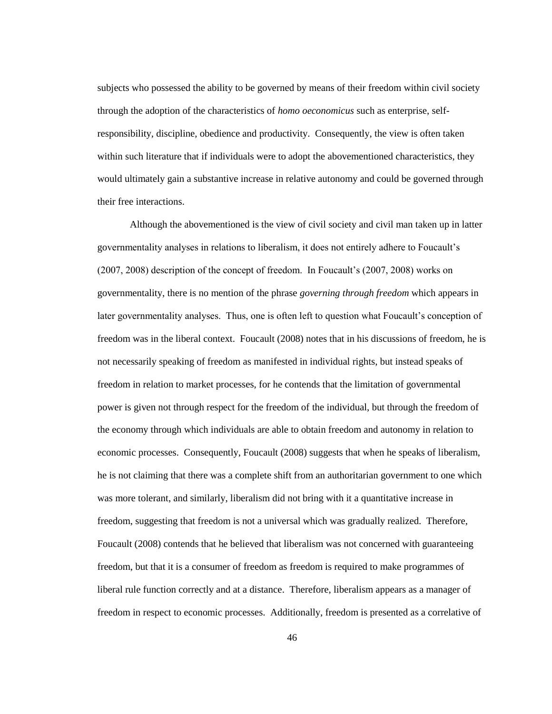subjects who possessed the ability to be governed by means of their freedom within civil society through the adoption of the characteristics of *homo oeconomicus* such as enterprise, selfresponsibility, discipline, obedience and productivity. Consequently, the view is often taken within such literature that if individuals were to adopt the abovementioned characteristics, they would ultimately gain a substantive increase in relative autonomy and could be governed through their free interactions.

Although the abovementioned is the view of civil society and civil man taken up in latter governmentality analyses in relations to liberalism, it does not entirely adhere to Foucault"s (2007, 2008) description of the concept of freedom. In Foucault"s (2007, 2008) works on governmentality, there is no mention of the phrase *governing through freedom* which appears in later governmentality analyses. Thus, one is often left to question what Foucault's conception of freedom was in the liberal context. Foucault (2008) notes that in his discussions of freedom, he is not necessarily speaking of freedom as manifested in individual rights, but instead speaks of freedom in relation to market processes, for he contends that the limitation of governmental power is given not through respect for the freedom of the individual, but through the freedom of the economy through which individuals are able to obtain freedom and autonomy in relation to economic processes. Consequently, Foucault (2008) suggests that when he speaks of liberalism, he is not claiming that there was a complete shift from an authoritarian government to one which was more tolerant, and similarly, liberalism did not bring with it a quantitative increase in freedom, suggesting that freedom is not a universal which was gradually realized. Therefore, Foucault (2008) contends that he believed that liberalism was not concerned with guaranteeing freedom, but that it is a consumer of freedom as freedom is required to make programmes of liberal rule function correctly and at a distance. Therefore, liberalism appears as a manager of freedom in respect to economic processes. Additionally, freedom is presented as a correlative of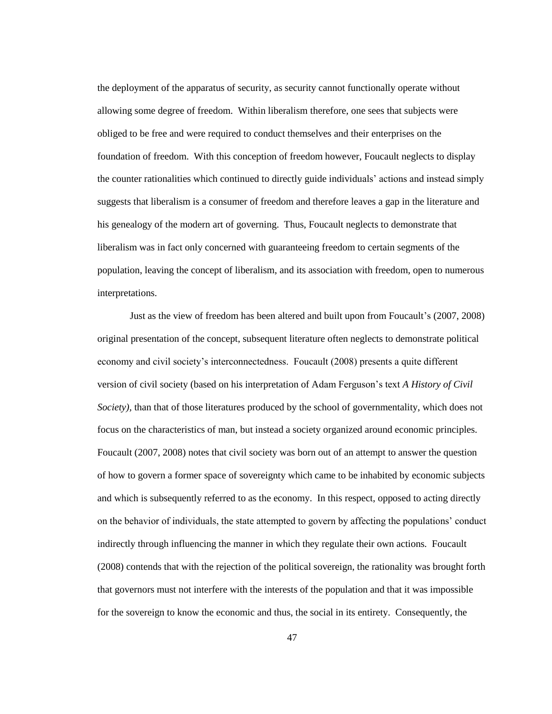the deployment of the apparatus of security, as security cannot functionally operate without allowing some degree of freedom. Within liberalism therefore, one sees that subjects were obliged to be free and were required to conduct themselves and their enterprises on the foundation of freedom. With this conception of freedom however, Foucault neglects to display the counter rationalities which continued to directly guide individuals" actions and instead simply suggests that liberalism is a consumer of freedom and therefore leaves a gap in the literature and his genealogy of the modern art of governing. Thus, Foucault neglects to demonstrate that liberalism was in fact only concerned with guaranteeing freedom to certain segments of the population, leaving the concept of liberalism, and its association with freedom, open to numerous interpretations.

Just as the view of freedom has been altered and built upon from Foucault"s (2007, 2008) original presentation of the concept, subsequent literature often neglects to demonstrate political economy and civil society"s interconnectedness. Foucault (2008) presents a quite different version of civil society (based on his interpretation of Adam Ferguson"s text *A History of Civil Society),* than that of those literatures produced by the school of governmentality, which does not focus on the characteristics of man, but instead a society organized around economic principles. Foucault (2007, 2008) notes that civil society was born out of an attempt to answer the question of how to govern a former space of sovereignty which came to be inhabited by economic subjects and which is subsequently referred to as the economy. In this respect, opposed to acting directly on the behavior of individuals, the state attempted to govern by affecting the populations" conduct indirectly through influencing the manner in which they regulate their own actions. Foucault (2008) contends that with the rejection of the political sovereign, the rationality was brought forth that governors must not interfere with the interests of the population and that it was impossible for the sovereign to know the economic and thus, the social in its entirety. Consequently, the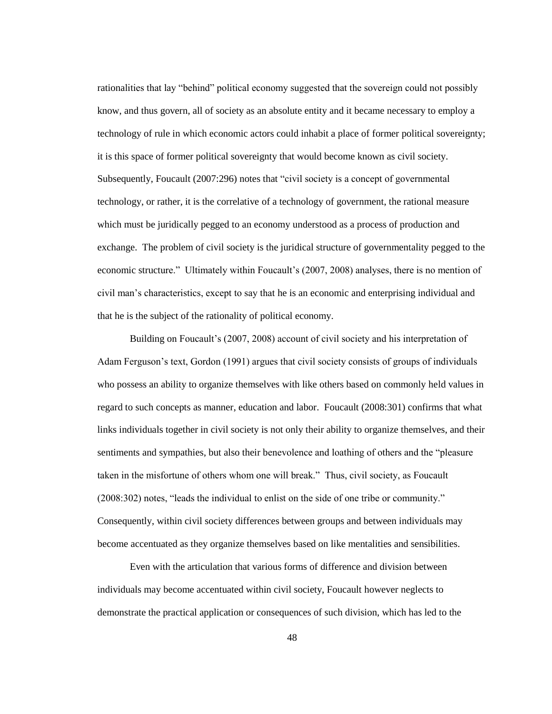rationalities that lay "behind" political economy suggested that the sovereign could not possibly know, and thus govern, all of society as an absolute entity and it became necessary to employ a technology of rule in which economic actors could inhabit a place of former political sovereignty; it is this space of former political sovereignty that would become known as civil society. Subsequently, Foucault (2007:296) notes that "civil society is a concept of governmental technology, or rather, it is the correlative of a technology of government, the rational measure which must be juridically pegged to an economy understood as a process of production and exchange. The problem of civil society is the juridical structure of governmentality pegged to the economic structure." Ultimately within Foucault"s (2007, 2008) analyses, there is no mention of civil man"s characteristics, except to say that he is an economic and enterprising individual and that he is the subject of the rationality of political economy.

Building on Foucault's (2007, 2008) account of civil society and his interpretation of Adam Ferguson"s text, Gordon (1991) argues that civil society consists of groups of individuals who possess an ability to organize themselves with like others based on commonly held values in regard to such concepts as manner, education and labor. Foucault (2008:301) confirms that what links individuals together in civil society is not only their ability to organize themselves, and their sentiments and sympathies, but also their benevolence and loathing of others and the "pleasure taken in the misfortune of others whom one will break." Thus, civil society, as Foucault (2008:302) notes, "leads the individual to enlist on the side of one tribe or community." Consequently, within civil society differences between groups and between individuals may become accentuated as they organize themselves based on like mentalities and sensibilities.

Even with the articulation that various forms of difference and division between individuals may become accentuated within civil society, Foucault however neglects to demonstrate the practical application or consequences of such division, which has led to the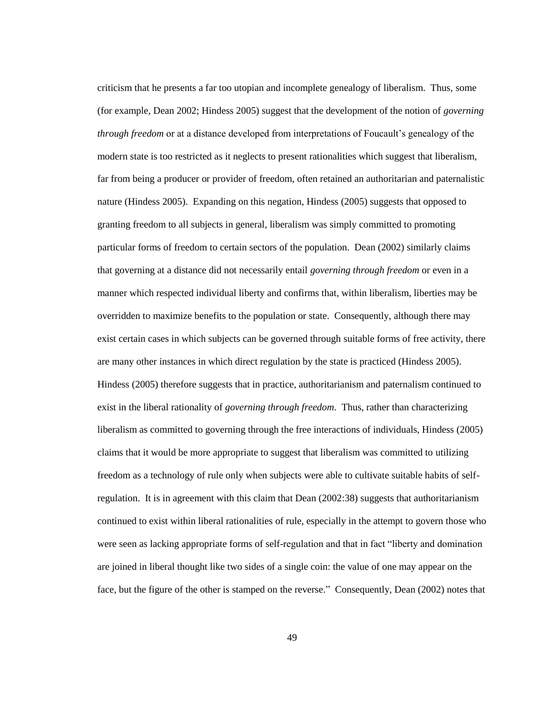criticism that he presents a far too utopian and incomplete genealogy of liberalism. Thus, some (for example, Dean 2002; Hindess 2005) suggest that the development of the notion of *governing through freedom* or at a distance developed from interpretations of Foucault"s genealogy of the modern state is too restricted as it neglects to present rationalities which suggest that liberalism, far from being a producer or provider of freedom, often retained an authoritarian and paternalistic nature (Hindess 2005). Expanding on this negation, Hindess (2005) suggests that opposed to granting freedom to all subjects in general, liberalism was simply committed to promoting particular forms of freedom to certain sectors of the population. Dean (2002) similarly claims that governing at a distance did not necessarily entail *governing through freedom* or even in a manner which respected individual liberty and confirms that, within liberalism, liberties may be overridden to maximize benefits to the population or state. Consequently, although there may exist certain cases in which subjects can be governed through suitable forms of free activity, there are many other instances in which direct regulation by the state is practiced (Hindess 2005). Hindess (2005) therefore suggests that in practice, authoritarianism and paternalism continued to exist in the liberal rationality of *governing through freedom*. Thus, rather than characterizing liberalism as committed to governing through the free interactions of individuals, Hindess (2005) claims that it would be more appropriate to suggest that liberalism was committed to utilizing freedom as a technology of rule only when subjects were able to cultivate suitable habits of selfregulation. It is in agreement with this claim that Dean (2002:38) suggests that authoritarianism continued to exist within liberal rationalities of rule, especially in the attempt to govern those who were seen as lacking appropriate forms of self-regulation and that in fact "liberty and domination are joined in liberal thought like two sides of a single coin: the value of one may appear on the face, but the figure of the other is stamped on the reverse." Consequently, Dean (2002) notes that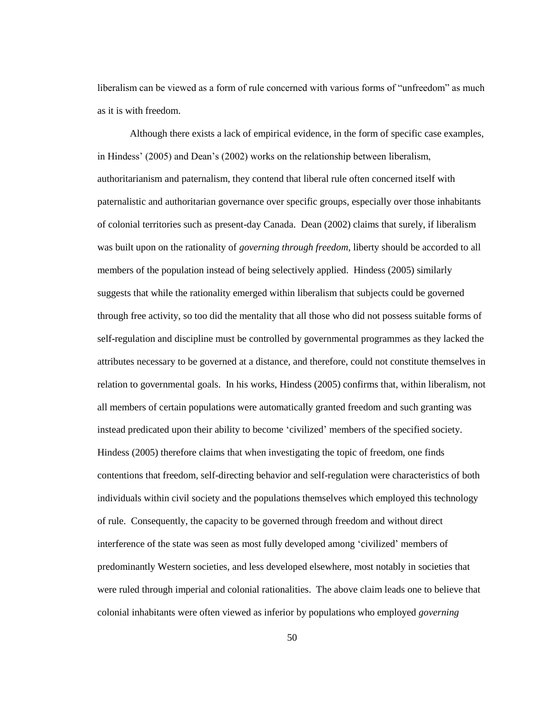liberalism can be viewed as a form of rule concerned with various forms of "unfreedom" as much as it is with freedom.

Although there exists a lack of empirical evidence, in the form of specific case examples, in Hindess" (2005) and Dean"s (2002) works on the relationship between liberalism, authoritarianism and paternalism, they contend that liberal rule often concerned itself with paternalistic and authoritarian governance over specific groups, especially over those inhabitants of colonial territories such as present-day Canada. Dean (2002) claims that surely, if liberalism was built upon on the rationality of *governing through freedom*, liberty should be accorded to all members of the population instead of being selectively applied. Hindess (2005) similarly suggests that while the rationality emerged within liberalism that subjects could be governed through free activity, so too did the mentality that all those who did not possess suitable forms of self-regulation and discipline must be controlled by governmental programmes as they lacked the attributes necessary to be governed at a distance, and therefore, could not constitute themselves in relation to governmental goals. In his works, Hindess (2005) confirms that, within liberalism, not all members of certain populations were automatically granted freedom and such granting was instead predicated upon their ability to become "civilized" members of the specified society. Hindess (2005) therefore claims that when investigating the topic of freedom, one finds contentions that freedom, self-directing behavior and self-regulation were characteristics of both individuals within civil society and the populations themselves which employed this technology of rule. Consequently, the capacity to be governed through freedom and without direct interference of the state was seen as most fully developed among "civilized" members of predominantly Western societies, and less developed elsewhere, most notably in societies that were ruled through imperial and colonial rationalities. The above claim leads one to believe that colonial inhabitants were often viewed as inferior by populations who employed *governing*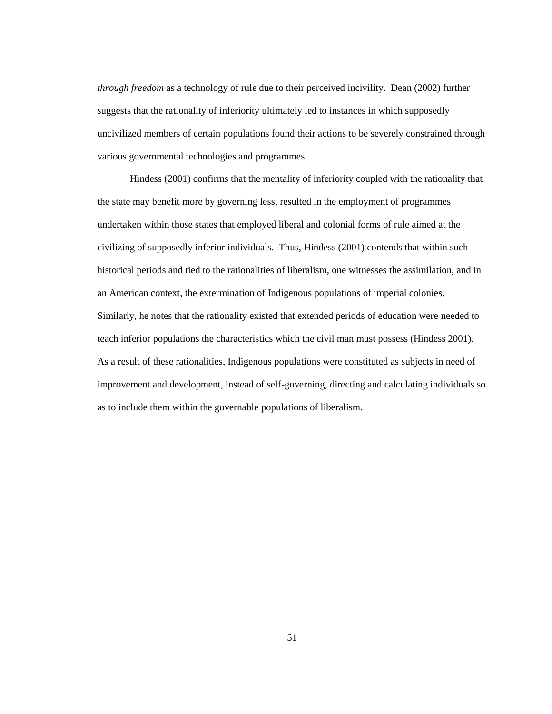*through freedom* as a technology of rule due to their perceived incivility. Dean (2002) further suggests that the rationality of inferiority ultimately led to instances in which supposedly uncivilized members of certain populations found their actions to be severely constrained through various governmental technologies and programmes.

Hindess (2001) confirms that the mentality of inferiority coupled with the rationality that the state may benefit more by governing less, resulted in the employment of programmes undertaken within those states that employed liberal and colonial forms of rule aimed at the civilizing of supposedly inferior individuals. Thus, Hindess (2001) contends that within such historical periods and tied to the rationalities of liberalism, one witnesses the assimilation, and in an American context, the extermination of Indigenous populations of imperial colonies. Similarly, he notes that the rationality existed that extended periods of education were needed to teach inferior populations the characteristics which the civil man must possess (Hindess 2001). As a result of these rationalities, Indigenous populations were constituted as subjects in need of improvement and development, instead of self-governing, directing and calculating individuals so as to include them within the governable populations of liberalism.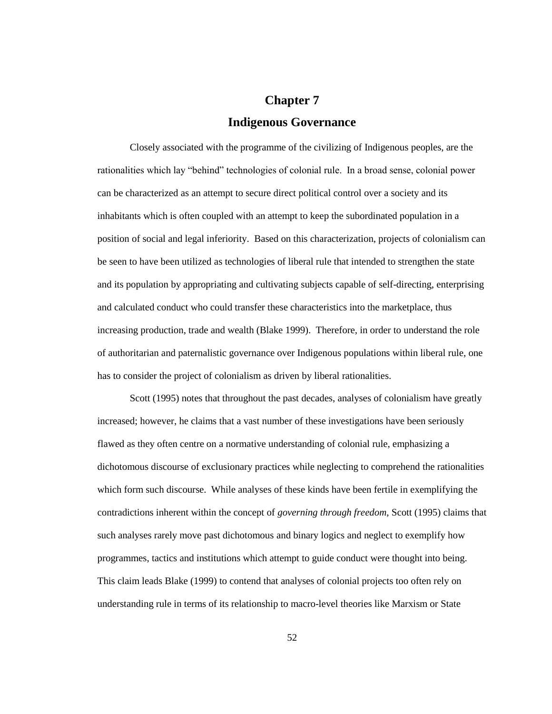## **Chapter 7 Indigenous Governance**

Closely associated with the programme of the civilizing of Indigenous peoples, are the rationalities which lay "behind" technologies of colonial rule. In a broad sense, colonial power can be characterized as an attempt to secure direct political control over a society and its inhabitants which is often coupled with an attempt to keep the subordinated population in a position of social and legal inferiority. Based on this characterization, projects of colonialism can be seen to have been utilized as technologies of liberal rule that intended to strengthen the state and its population by appropriating and cultivating subjects capable of self-directing, enterprising and calculated conduct who could transfer these characteristics into the marketplace, thus increasing production, trade and wealth (Blake 1999). Therefore, in order to understand the role of authoritarian and paternalistic governance over Indigenous populations within liberal rule, one has to consider the project of colonialism as driven by liberal rationalities.

Scott (1995) notes that throughout the past decades, analyses of colonialism have greatly increased; however, he claims that a vast number of these investigations have been seriously flawed as they often centre on a normative understanding of colonial rule, emphasizing a dichotomous discourse of exclusionary practices while neglecting to comprehend the rationalities which form such discourse. While analyses of these kinds have been fertile in exemplifying the contradictions inherent within the concept of *governing through freedom*, Scott (1995) claims that such analyses rarely move past dichotomous and binary logics and neglect to exemplify how programmes, tactics and institutions which attempt to guide conduct were thought into being. This claim leads Blake (1999) to contend that analyses of colonial projects too often rely on understanding rule in terms of its relationship to macro-level theories like Marxism or State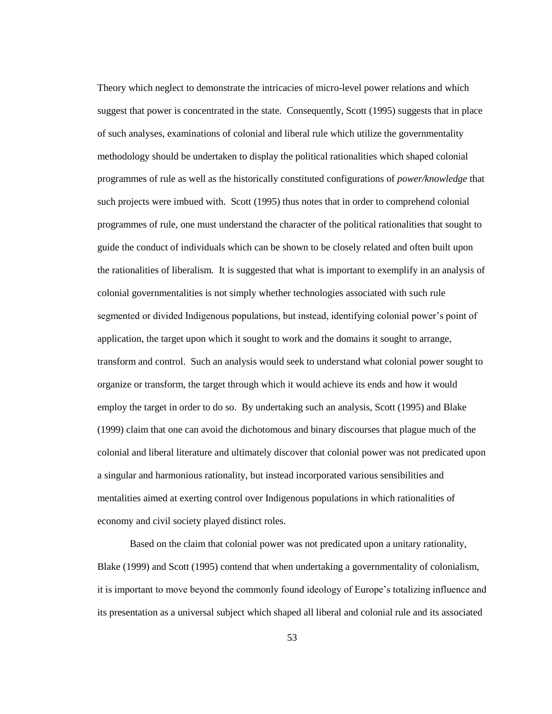Theory which neglect to demonstrate the intricacies of micro-level power relations and which suggest that power is concentrated in the state. Consequently, Scott (1995) suggests that in place of such analyses, examinations of colonial and liberal rule which utilize the governmentality methodology should be undertaken to display the political rationalities which shaped colonial programmes of rule as well as the historically constituted configurations of *power/knowledge* that such projects were imbued with. Scott (1995) thus notes that in order to comprehend colonial programmes of rule, one must understand the character of the political rationalities that sought to guide the conduct of individuals which can be shown to be closely related and often built upon the rationalities of liberalism. It is suggested that what is important to exemplify in an analysis of colonial governmentalities is not simply whether technologies associated with such rule segmented or divided Indigenous populations, but instead, identifying colonial power's point of application, the target upon which it sought to work and the domains it sought to arrange, transform and control. Such an analysis would seek to understand what colonial power sought to organize or transform, the target through which it would achieve its ends and how it would employ the target in order to do so. By undertaking such an analysis, Scott (1995) and Blake (1999) claim that one can avoid the dichotomous and binary discourses that plague much of the colonial and liberal literature and ultimately discover that colonial power was not predicated upon a singular and harmonious rationality, but instead incorporated various sensibilities and mentalities aimed at exerting control over Indigenous populations in which rationalities of economy and civil society played distinct roles.

Based on the claim that colonial power was not predicated upon a unitary rationality, Blake (1999) and Scott (1995) contend that when undertaking a governmentality of colonialism, it is important to move beyond the commonly found ideology of Europe"s totalizing influence and its presentation as a universal subject which shaped all liberal and colonial rule and its associated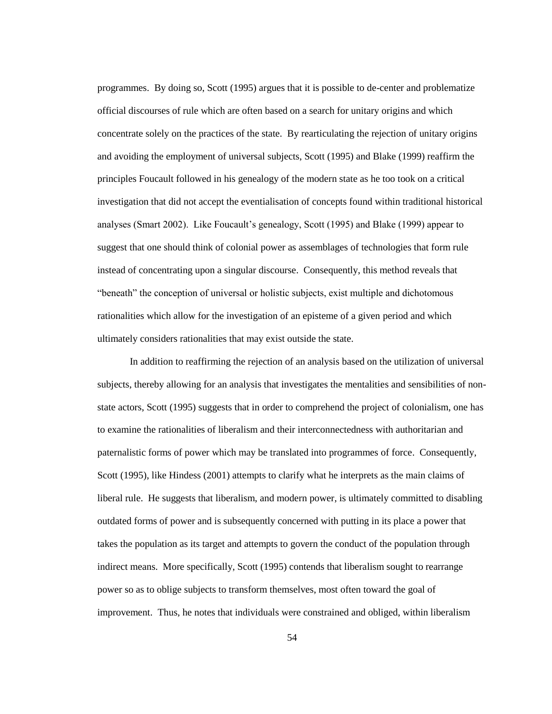programmes. By doing so, Scott (1995) argues that it is possible to de-center and problematize official discourses of rule which are often based on a search for unitary origins and which concentrate solely on the practices of the state. By rearticulating the rejection of unitary origins and avoiding the employment of universal subjects, Scott (1995) and Blake (1999) reaffirm the principles Foucault followed in his genealogy of the modern state as he too took on a critical investigation that did not accept the eventialisation of concepts found within traditional historical analyses (Smart 2002). Like Foucault"s genealogy, Scott (1995) and Blake (1999) appear to suggest that one should think of colonial power as assemblages of technologies that form rule instead of concentrating upon a singular discourse. Consequently, this method reveals that "beneath" the conception of universal or holistic subjects, exist multiple and dichotomous rationalities which allow for the investigation of an episteme of a given period and which ultimately considers rationalities that may exist outside the state.

In addition to reaffirming the rejection of an analysis based on the utilization of universal subjects, thereby allowing for an analysis that investigates the mentalities and sensibilities of nonstate actors, Scott (1995) suggests that in order to comprehend the project of colonialism, one has to examine the rationalities of liberalism and their interconnectedness with authoritarian and paternalistic forms of power which may be translated into programmes of force. Consequently, Scott (1995), like Hindess (2001) attempts to clarify what he interprets as the main claims of liberal rule. He suggests that liberalism, and modern power, is ultimately committed to disabling outdated forms of power and is subsequently concerned with putting in its place a power that takes the population as its target and attempts to govern the conduct of the population through indirect means. More specifically, Scott (1995) contends that liberalism sought to rearrange power so as to oblige subjects to transform themselves, most often toward the goal of improvement. Thus, he notes that individuals were constrained and obliged, within liberalism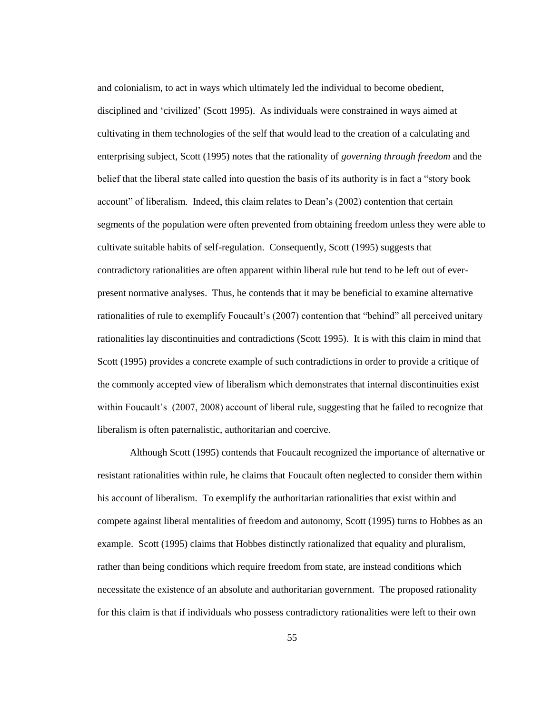and colonialism, to act in ways which ultimately led the individual to become obedient, disciplined and "civilized" (Scott 1995). As individuals were constrained in ways aimed at cultivating in them technologies of the self that would lead to the creation of a calculating and enterprising subject, Scott (1995) notes that the rationality of *governing through freedom* and the belief that the liberal state called into question the basis of its authority is in fact a "story book account" of liberalism. Indeed, this claim relates to Dean"s (2002) contention that certain segments of the population were often prevented from obtaining freedom unless they were able to cultivate suitable habits of self-regulation. Consequently, Scott (1995) suggests that contradictory rationalities are often apparent within liberal rule but tend to be left out of everpresent normative analyses. Thus, he contends that it may be beneficial to examine alternative rationalities of rule to exemplify Foucault's (2007) contention that "behind" all perceived unitary rationalities lay discontinuities and contradictions (Scott 1995). It is with this claim in mind that Scott (1995) provides a concrete example of such contradictions in order to provide a critique of the commonly accepted view of liberalism which demonstrates that internal discontinuities exist within Foucault's (2007, 2008) account of liberal rule, suggesting that he failed to recognize that liberalism is often paternalistic, authoritarian and coercive.

Although Scott (1995) contends that Foucault recognized the importance of alternative or resistant rationalities within rule, he claims that Foucault often neglected to consider them within his account of liberalism. To exemplify the authoritarian rationalities that exist within and compete against liberal mentalities of freedom and autonomy, Scott (1995) turns to Hobbes as an example. Scott (1995) claims that Hobbes distinctly rationalized that equality and pluralism, rather than being conditions which require freedom from state, are instead conditions which necessitate the existence of an absolute and authoritarian government. The proposed rationality for this claim is that if individuals who possess contradictory rationalities were left to their own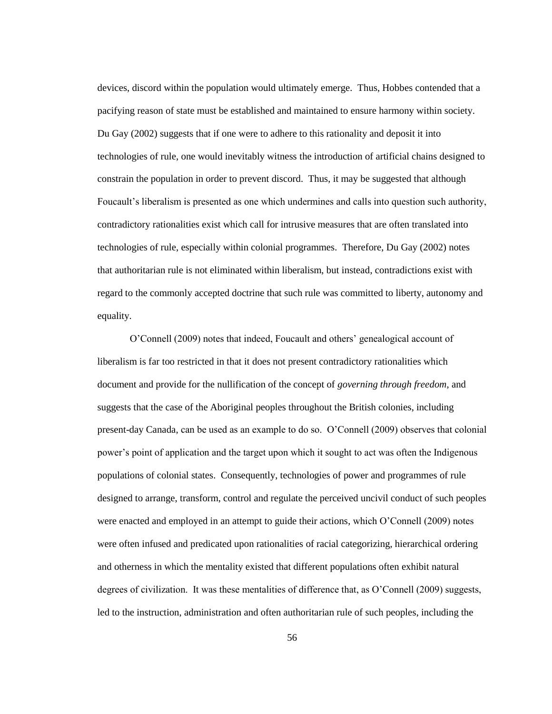devices, discord within the population would ultimately emerge. Thus, Hobbes contended that a pacifying reason of state must be established and maintained to ensure harmony within society. Du Gay (2002) suggests that if one were to adhere to this rationality and deposit it into technologies of rule, one would inevitably witness the introduction of artificial chains designed to constrain the population in order to prevent discord. Thus, it may be suggested that although Foucault"s liberalism is presented as one which undermines and calls into question such authority, contradictory rationalities exist which call for intrusive measures that are often translated into technologies of rule, especially within colonial programmes. Therefore, Du Gay (2002) notes that authoritarian rule is not eliminated within liberalism, but instead, contradictions exist with regard to the commonly accepted doctrine that such rule was committed to liberty, autonomy and equality.

O"Connell (2009) notes that indeed, Foucault and others" genealogical account of liberalism is far too restricted in that it does not present contradictory rationalities which document and provide for the nullification of the concept of *governing through freedom*, and suggests that the case of the Aboriginal peoples throughout the British colonies, including present-day Canada, can be used as an example to do so. O"Connell (2009) observes that colonial power"s point of application and the target upon which it sought to act was often the Indigenous populations of colonial states. Consequently, technologies of power and programmes of rule designed to arrange, transform, control and regulate the perceived uncivil conduct of such peoples were enacted and employed in an attempt to guide their actions, which O"Connell (2009) notes were often infused and predicated upon rationalities of racial categorizing, hierarchical ordering and otherness in which the mentality existed that different populations often exhibit natural degrees of civilization. It was these mentalities of difference that, as O'Connell (2009) suggests, led to the instruction, administration and often authoritarian rule of such peoples, including the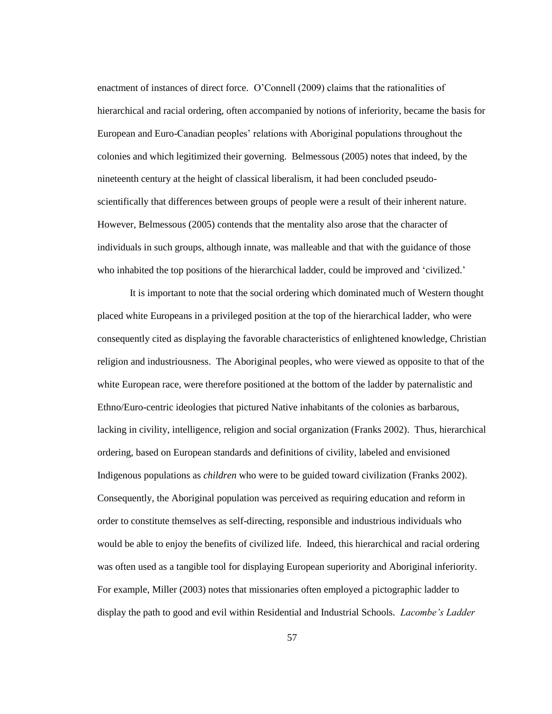enactment of instances of direct force. O"Connell (2009) claims that the rationalities of hierarchical and racial ordering, often accompanied by notions of inferiority, became the basis for European and Euro-Canadian peoples" relations with Aboriginal populations throughout the colonies and which legitimized their governing. Belmessous (2005) notes that indeed, by the nineteenth century at the height of classical liberalism, it had been concluded pseudoscientifically that differences between groups of people were a result of their inherent nature. However, Belmessous (2005) contends that the mentality also arose that the character of individuals in such groups, although innate, was malleable and that with the guidance of those who inhabited the top positions of the hierarchical ladder, could be improved and 'civilized.'

It is important to note that the social ordering which dominated much of Western thought placed white Europeans in a privileged position at the top of the hierarchical ladder, who were consequently cited as displaying the favorable characteristics of enlightened knowledge, Christian religion and industriousness. The Aboriginal peoples, who were viewed as opposite to that of the white European race, were therefore positioned at the bottom of the ladder by paternalistic and Ethno/Euro-centric ideologies that pictured Native inhabitants of the colonies as barbarous, lacking in civility, intelligence, religion and social organization (Franks 2002). Thus, hierarchical ordering, based on European standards and definitions of civility, labeled and envisioned Indigenous populations as *children* who were to be guided toward civilization (Franks 2002). Consequently, the Aboriginal population was perceived as requiring education and reform in order to constitute themselves as self-directing, responsible and industrious individuals who would be able to enjoy the benefits of civilized life. Indeed, this hierarchical and racial ordering was often used as a tangible tool for displaying European superiority and Aboriginal inferiority. For example, Miller (2003) notes that missionaries often employed a pictographic ladder to display the path to good and evil within Residential and Industrial Schools. *Lacombe's Ladder*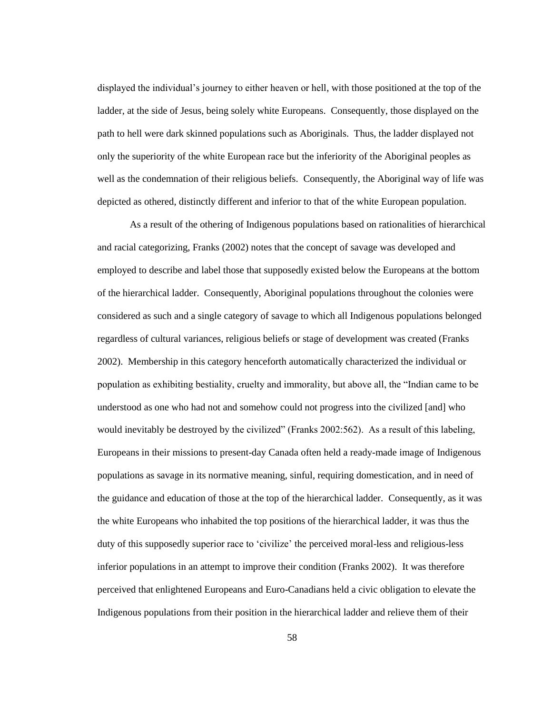displayed the individual"s journey to either heaven or hell, with those positioned at the top of the ladder, at the side of Jesus, being solely white Europeans. Consequently, those displayed on the path to hell were dark skinned populations such as Aboriginals. Thus, the ladder displayed not only the superiority of the white European race but the inferiority of the Aboriginal peoples as well as the condemnation of their religious beliefs. Consequently, the Aboriginal way of life was depicted as othered, distinctly different and inferior to that of the white European population.

As a result of the othering of Indigenous populations based on rationalities of hierarchical and racial categorizing, Franks (2002) notes that the concept of savage was developed and employed to describe and label those that supposedly existed below the Europeans at the bottom of the hierarchical ladder. Consequently, Aboriginal populations throughout the colonies were considered as such and a single category of savage to which all Indigenous populations belonged regardless of cultural variances, religious beliefs or stage of development was created (Franks 2002). Membership in this category henceforth automatically characterized the individual or population as exhibiting bestiality, cruelty and immorality, but above all, the "Indian came to be understood as one who had not and somehow could not progress into the civilized [and] who would inevitably be destroyed by the civilized" (Franks 2002:562). As a result of this labeling, Europeans in their missions to present-day Canada often held a ready-made image of Indigenous populations as savage in its normative meaning, sinful, requiring domestication, and in need of the guidance and education of those at the top of the hierarchical ladder. Consequently, as it was the white Europeans who inhabited the top positions of the hierarchical ladder, it was thus the duty of this supposedly superior race to "civilize" the perceived moral-less and religious-less inferior populations in an attempt to improve their condition (Franks 2002). It was therefore perceived that enlightened Europeans and Euro-Canadians held a civic obligation to elevate the Indigenous populations from their position in the hierarchical ladder and relieve them of their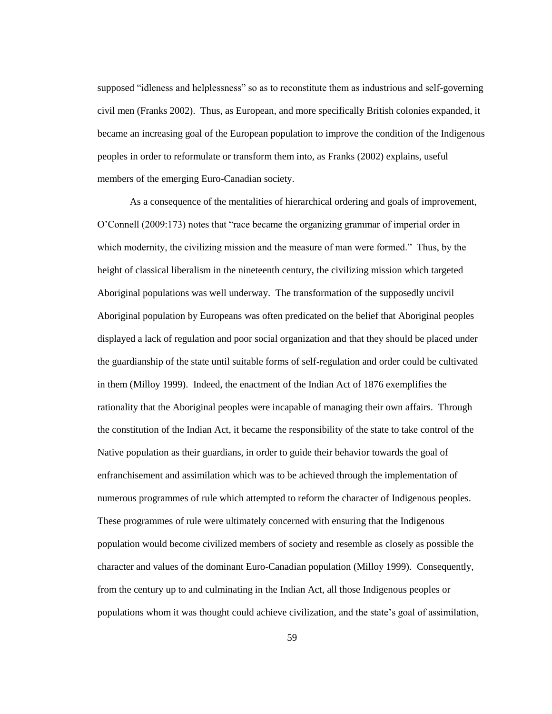supposed "idleness and helplessness" so as to reconstitute them as industrious and self-governing civil men (Franks 2002). Thus, as European, and more specifically British colonies expanded, it became an increasing goal of the European population to improve the condition of the Indigenous peoples in order to reformulate or transform them into, as Franks (2002) explains, useful members of the emerging Euro-Canadian society.

As a consequence of the mentalities of hierarchical ordering and goals of improvement, O"Connell (2009:173) notes that "race became the organizing grammar of imperial order in which modernity, the civilizing mission and the measure of man were formed." Thus, by the height of classical liberalism in the nineteenth century, the civilizing mission which targeted Aboriginal populations was well underway. The transformation of the supposedly uncivil Aboriginal population by Europeans was often predicated on the belief that Aboriginal peoples displayed a lack of regulation and poor social organization and that they should be placed under the guardianship of the state until suitable forms of self-regulation and order could be cultivated in them (Milloy 1999). Indeed, the enactment of the Indian Act of 1876 exemplifies the rationality that the Aboriginal peoples were incapable of managing their own affairs. Through the constitution of the Indian Act, it became the responsibility of the state to take control of the Native population as their guardians, in order to guide their behavior towards the goal of enfranchisement and assimilation which was to be achieved through the implementation of numerous programmes of rule which attempted to reform the character of Indigenous peoples. These programmes of rule were ultimately concerned with ensuring that the Indigenous population would become civilized members of society and resemble as closely as possible the character and values of the dominant Euro-Canadian population (Milloy 1999). Consequently, from the century up to and culminating in the Indian Act, all those Indigenous peoples or populations whom it was thought could achieve civilization, and the state"s goal of assimilation,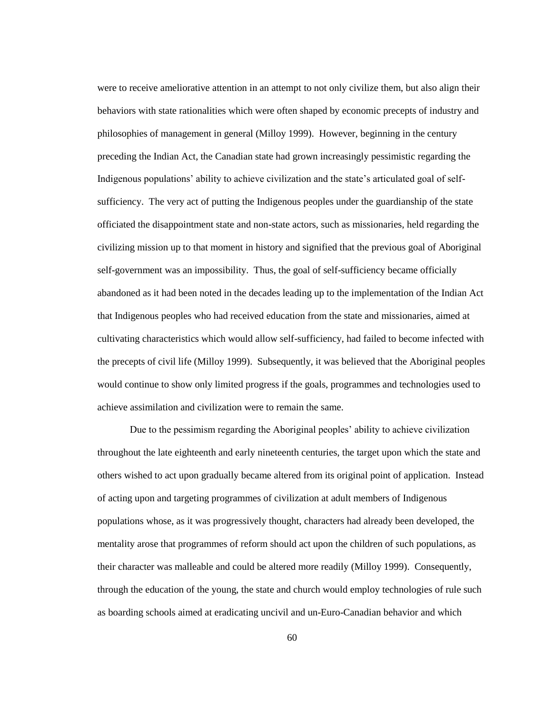were to receive ameliorative attention in an attempt to not only civilize them, but also align their behaviors with state rationalities which were often shaped by economic precepts of industry and philosophies of management in general (Milloy 1999). However, beginning in the century preceding the Indian Act, the Canadian state had grown increasingly pessimistic regarding the Indigenous populations" ability to achieve civilization and the state"s articulated goal of selfsufficiency. The very act of putting the Indigenous peoples under the guardianship of the state officiated the disappointment state and non-state actors, such as missionaries, held regarding the civilizing mission up to that moment in history and signified that the previous goal of Aboriginal self-government was an impossibility. Thus, the goal of self-sufficiency became officially abandoned as it had been noted in the decades leading up to the implementation of the Indian Act that Indigenous peoples who had received education from the state and missionaries, aimed at cultivating characteristics which would allow self-sufficiency, had failed to become infected with the precepts of civil life (Milloy 1999). Subsequently, it was believed that the Aboriginal peoples would continue to show only limited progress if the goals, programmes and technologies used to achieve assimilation and civilization were to remain the same.

Due to the pessimism regarding the Aboriginal peoples" ability to achieve civilization throughout the late eighteenth and early nineteenth centuries, the target upon which the state and others wished to act upon gradually became altered from its original point of application. Instead of acting upon and targeting programmes of civilization at adult members of Indigenous populations whose, as it was progressively thought, characters had already been developed, the mentality arose that programmes of reform should act upon the children of such populations, as their character was malleable and could be altered more readily (Milloy 1999). Consequently, through the education of the young, the state and church would employ technologies of rule such as boarding schools aimed at eradicating uncivil and un-Euro-Canadian behavior and which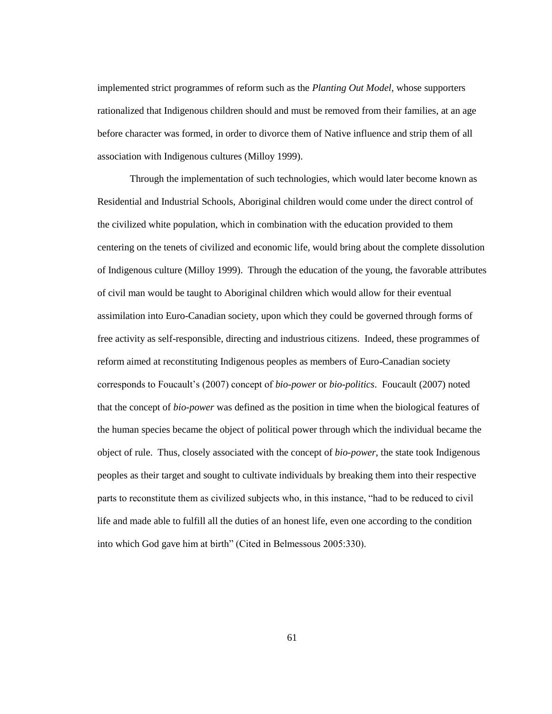implemented strict programmes of reform such as the *Planting Out Model*, whose supporters rationalized that Indigenous children should and must be removed from their families, at an age before character was formed, in order to divorce them of Native influence and strip them of all association with Indigenous cultures (Milloy 1999).

Through the implementation of such technologies, which would later become known as Residential and Industrial Schools, Aboriginal children would come under the direct control of the civilized white population, which in combination with the education provided to them centering on the tenets of civilized and economic life, would bring about the complete dissolution of Indigenous culture (Milloy 1999). Through the education of the young, the favorable attributes of civil man would be taught to Aboriginal children which would allow for their eventual assimilation into Euro-Canadian society, upon which they could be governed through forms of free activity as self-responsible, directing and industrious citizens. Indeed, these programmes of reform aimed at reconstituting Indigenous peoples as members of Euro-Canadian society corresponds to Foucault"s (2007) concept of *bio-power* or *bio-politics*. Foucault (2007) noted that the concept of *bio-power* was defined as the position in time when the biological features of the human species became the object of political power through which the individual became the object of rule. Thus, closely associated with the concept of *bio-power*, the state took Indigenous peoples as their target and sought to cultivate individuals by breaking them into their respective parts to reconstitute them as civilized subjects who, in this instance, "had to be reduced to civil life and made able to fulfill all the duties of an honest life, even one according to the condition into which God gave him at birth" (Cited in Belmessous 2005:330).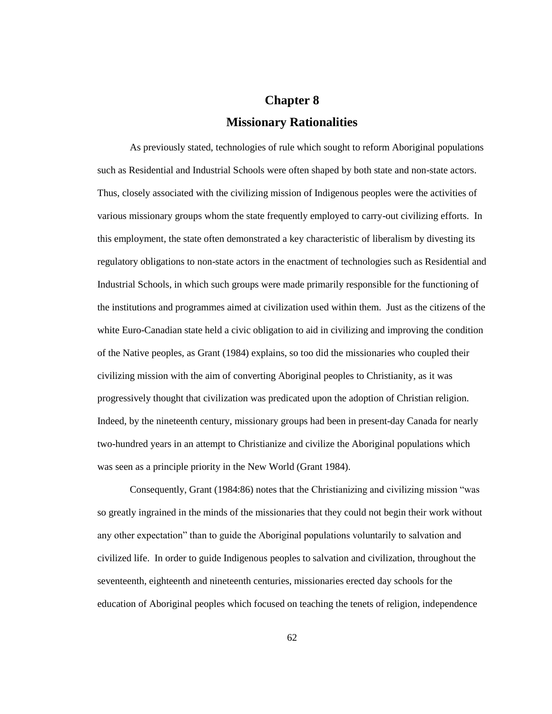## **Chapter 8 Missionary Rationalities**

As previously stated, technologies of rule which sought to reform Aboriginal populations such as Residential and Industrial Schools were often shaped by both state and non-state actors. Thus, closely associated with the civilizing mission of Indigenous peoples were the activities of various missionary groups whom the state frequently employed to carry-out civilizing efforts. In this employment, the state often demonstrated a key characteristic of liberalism by divesting its regulatory obligations to non-state actors in the enactment of technologies such as Residential and Industrial Schools, in which such groups were made primarily responsible for the functioning of the institutions and programmes aimed at civilization used within them. Just as the citizens of the white Euro-Canadian state held a civic obligation to aid in civilizing and improving the condition of the Native peoples, as Grant (1984) explains, so too did the missionaries who coupled their civilizing mission with the aim of converting Aboriginal peoples to Christianity, as it was progressively thought that civilization was predicated upon the adoption of Christian religion. Indeed, by the nineteenth century, missionary groups had been in present-day Canada for nearly two-hundred years in an attempt to Christianize and civilize the Aboriginal populations which was seen as a principle priority in the New World (Grant 1984).

Consequently, Grant (1984:86) notes that the Christianizing and civilizing mission "was so greatly ingrained in the minds of the missionaries that they could not begin their work without any other expectation" than to guide the Aboriginal populations voluntarily to salvation and civilized life. In order to guide Indigenous peoples to salvation and civilization, throughout the seventeenth, eighteenth and nineteenth centuries, missionaries erected day schools for the education of Aboriginal peoples which focused on teaching the tenets of religion, independence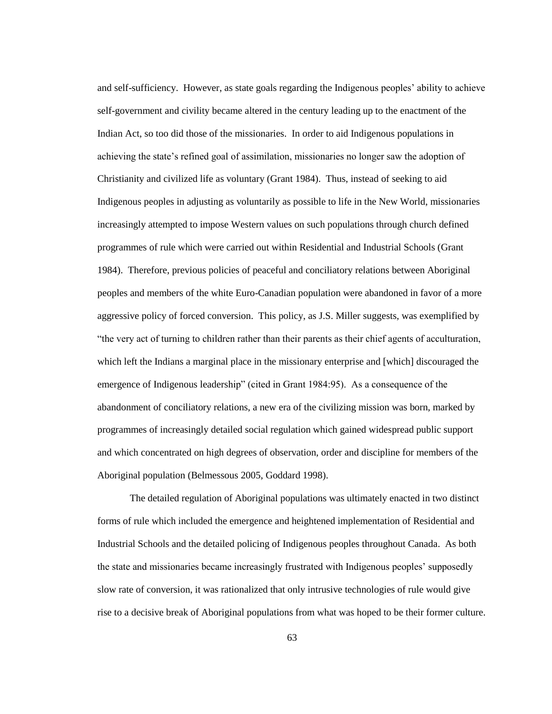and self-sufficiency. However, as state goals regarding the Indigenous peoples" ability to achieve self-government and civility became altered in the century leading up to the enactment of the Indian Act, so too did those of the missionaries. In order to aid Indigenous populations in achieving the state"s refined goal of assimilation, missionaries no longer saw the adoption of Christianity and civilized life as voluntary (Grant 1984). Thus, instead of seeking to aid Indigenous peoples in adjusting as voluntarily as possible to life in the New World, missionaries increasingly attempted to impose Western values on such populations through church defined programmes of rule which were carried out within Residential and Industrial Schools (Grant 1984). Therefore, previous policies of peaceful and conciliatory relations between Aboriginal peoples and members of the white Euro-Canadian population were abandoned in favor of a more aggressive policy of forced conversion. This policy, as J.S. Miller suggests, was exemplified by "the very act of turning to children rather than their parents as their chief agents of acculturation, which left the Indians a marginal place in the missionary enterprise and [which] discouraged the emergence of Indigenous leadership" (cited in Grant 1984:95). As a consequence of the abandonment of conciliatory relations, a new era of the civilizing mission was born, marked by programmes of increasingly detailed social regulation which gained widespread public support and which concentrated on high degrees of observation, order and discipline for members of the Aboriginal population (Belmessous 2005, Goddard 1998).

The detailed regulation of Aboriginal populations was ultimately enacted in two distinct forms of rule which included the emergence and heightened implementation of Residential and Industrial Schools and the detailed policing of Indigenous peoples throughout Canada. As both the state and missionaries became increasingly frustrated with Indigenous peoples" supposedly slow rate of conversion, it was rationalized that only intrusive technologies of rule would give rise to a decisive break of Aboriginal populations from what was hoped to be their former culture.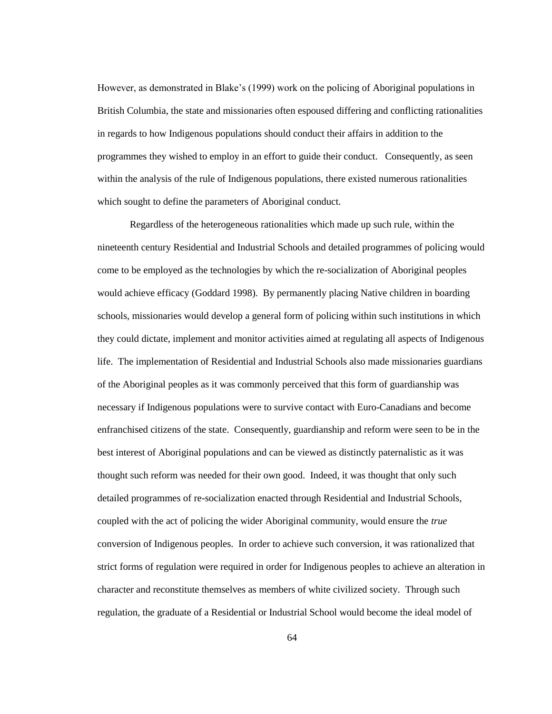However, as demonstrated in Blake"s (1999) work on the policing of Aboriginal populations in British Columbia, the state and missionaries often espoused differing and conflicting rationalities in regards to how Indigenous populations should conduct their affairs in addition to the programmes they wished to employ in an effort to guide their conduct. Consequently, as seen within the analysis of the rule of Indigenous populations, there existed numerous rationalities which sought to define the parameters of Aboriginal conduct.

Regardless of the heterogeneous rationalities which made up such rule, within the nineteenth century Residential and Industrial Schools and detailed programmes of policing would come to be employed as the technologies by which the re-socialization of Aboriginal peoples would achieve efficacy (Goddard 1998). By permanently placing Native children in boarding schools, missionaries would develop a general form of policing within such institutions in which they could dictate, implement and monitor activities aimed at regulating all aspects of Indigenous life. The implementation of Residential and Industrial Schools also made missionaries guardians of the Aboriginal peoples as it was commonly perceived that this form of guardianship was necessary if Indigenous populations were to survive contact with Euro-Canadians and become enfranchised citizens of the state. Consequently, guardianship and reform were seen to be in the best interest of Aboriginal populations and can be viewed as distinctly paternalistic as it was thought such reform was needed for their own good. Indeed, it was thought that only such detailed programmes of re-socialization enacted through Residential and Industrial Schools, coupled with the act of policing the wider Aboriginal community, would ensure the *true* conversion of Indigenous peoples. In order to achieve such conversion, it was rationalized that strict forms of regulation were required in order for Indigenous peoples to achieve an alteration in character and reconstitute themselves as members of white civilized society. Through such regulation, the graduate of a Residential or Industrial School would become the ideal model of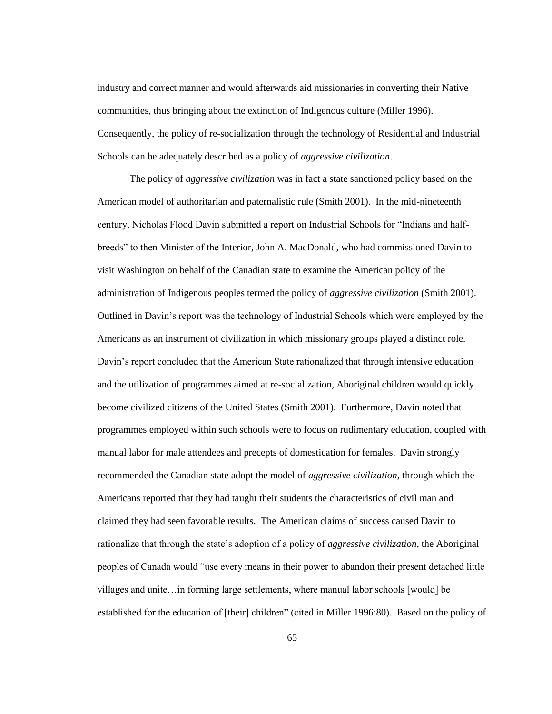industry and correct manner and would afterwards aid missionaries in converting their Native communities, thus bringing about the extinction of Indigenous culture (Miller 1996). Consequently, the policy of re-socialization through the technology of Residential and Industrial Schools can be adequately described as a policy of *aggressive civilization*.

The policy of *aggressive civilization* was in fact a state sanctioned policy based on the American model of authoritarian and paternalistic rule (Smith 2001). In the mid-nineteenth century, Nicholas Flood Davin submitted a report on Industrial Schools for "Indians and halfbreeds" to then Minister of the Interior, John A. MacDonald, who had commissioned Davin to visit Washington on behalf of the Canadian state to examine the American policy of the administration of Indigenous peoples termed the policy of *aggressive civilization* (Smith 2001). Outlined in Davin"s report was the technology of Industrial Schools which were employed by the Americans as an instrument of civilization in which missionary groups played a distinct role. Davin"s report concluded that the American State rationalized that through intensive education and the utilization of programmes aimed at re-socialization, Aboriginal children would quickly become civilized citizens of the United States (Smith 2001). Furthermore, Davin noted that programmes employed within such schools were to focus on rudimentary education, coupled with manual labor for male attendees and precepts of domestication for females. Davin strongly recommended the Canadian state adopt the model of *aggressive civilization*, through which the Americans reported that they had taught their students the characteristics of civil man and claimed they had seen favorable results. The American claims of success caused Davin to rationalize that through the state"s adoption of a policy of *aggressive civilization,* the Aboriginal peoples of Canada would "use every means in their power to abandon their present detached little villages and unite…in forming large settlements, where manual labor schools [would] be established for the education of [their] children" (cited in Miller 1996:80). Based on the policy of

65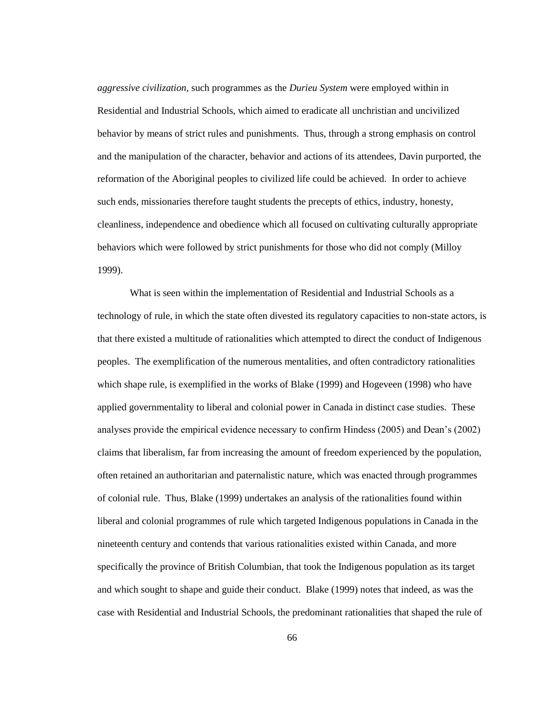*aggressive civilization,* such programmes as the *Durieu System* were employed within in Residential and Industrial Schools, which aimed to eradicate all unchristian and uncivilized behavior by means of strict rules and punishments. Thus, through a strong emphasis on control and the manipulation of the character, behavior and actions of its attendees, Davin purported, the reformation of the Aboriginal peoples to civilized life could be achieved. In order to achieve such ends, missionaries therefore taught students the precepts of ethics, industry, honesty, cleanliness, independence and obedience which all focused on cultivating culturally appropriate behaviors which were followed by strict punishments for those who did not comply (Milloy 1999).

What is seen within the implementation of Residential and Industrial Schools as a technology of rule, in which the state often divested its regulatory capacities to non-state actors, is that there existed a multitude of rationalities which attempted to direct the conduct of Indigenous peoples. The exemplification of the numerous mentalities, and often contradictory rationalities which shape rule, is exemplified in the works of Blake (1999) and Hogeveen (1998) who have applied governmentality to liberal and colonial power in Canada in distinct case studies. These analyses provide the empirical evidence necessary to confirm Hindess (2005) and Dean"s (2002) claims that liberalism, far from increasing the amount of freedom experienced by the population, often retained an authoritarian and paternalistic nature, which was enacted through programmes of colonial rule. Thus, Blake (1999) undertakes an analysis of the rationalities found within liberal and colonial programmes of rule which targeted Indigenous populations in Canada in the nineteenth century and contends that various rationalities existed within Canada, and more specifically the province of British Columbian, that took the Indigenous population as its target and which sought to shape and guide their conduct. Blake (1999) notes that indeed, as was the case with Residential and Industrial Schools, the predominant rationalities that shaped the rule of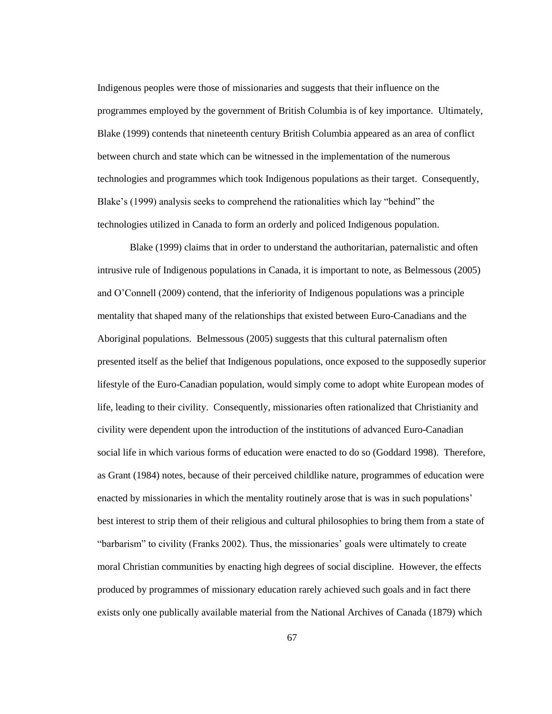Indigenous peoples were those of missionaries and suggests that their influence on the programmes employed by the government of British Columbia is of key importance. Ultimately, Blake (1999) contends that nineteenth century British Columbia appeared as an area of conflict between church and state which can be witnessed in the implementation of the numerous technologies and programmes which took Indigenous populations as their target. Consequently, Blake"s (1999) analysis seeks to comprehend the rationalities which lay "behind" the technologies utilized in Canada to form an orderly and policed Indigenous population.

Blake (1999) claims that in order to understand the authoritarian, paternalistic and often intrusive rule of Indigenous populations in Canada, it is important to note, as Belmessous (2005) and O"Connell (2009) contend, that the inferiority of Indigenous populations was a principle mentality that shaped many of the relationships that existed between Euro-Canadians and the Aboriginal populations. Belmessous (2005) suggests that this cultural paternalism often presented itself as the belief that Indigenous populations, once exposed to the supposedly superior lifestyle of the Euro-Canadian population, would simply come to adopt white European modes of life, leading to their civility. Consequently, missionaries often rationalized that Christianity and civility were dependent upon the introduction of the institutions of advanced Euro-Canadian social life in which various forms of education were enacted to do so (Goddard 1998). Therefore, as Grant (1984) notes, because of their perceived childlike nature, programmes of education were enacted by missionaries in which the mentality routinely arose that is was in such populations' best interest to strip them of their religious and cultural philosophies to bring them from a state of "barbarism" to civility (Franks 2002). Thus, the missionaries" goals were ultimately to create moral Christian communities by enacting high degrees of social discipline. However, the effects produced by programmes of missionary education rarely achieved such goals and in fact there exists only one publically available material from the National Archives of Canada (1879) which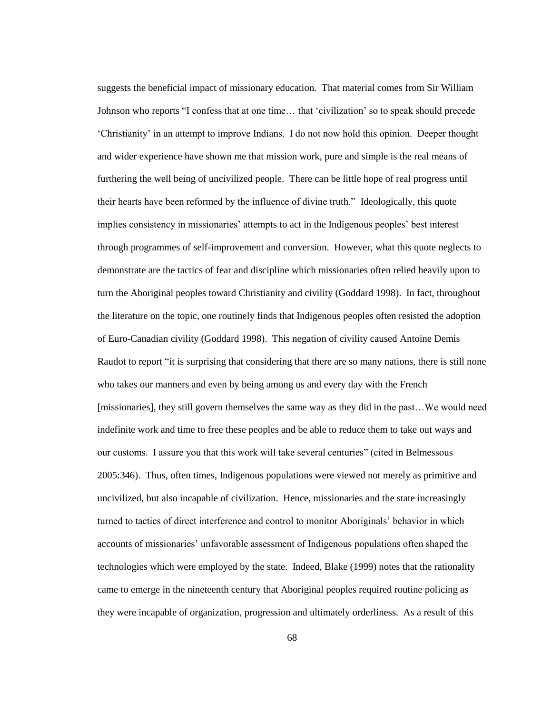suggests the beneficial impact of missionary education. That material comes from Sir William Johnson who reports "I confess that at one time… that "civilization" so to speak should precede "Christianity" in an attempt to improve Indians. I do not now hold this opinion. Deeper thought and wider experience have shown me that mission work, pure and simple is the real means of furthering the well being of uncivilized people. There can be little hope of real progress until their hearts have been reformed by the influence of divine truth." Ideologically, this quote implies consistency in missionaries' attempts to act in the Indigenous peoples' best interest through programmes of self-improvement and conversion. However, what this quote neglects to demonstrate are the tactics of fear and discipline which missionaries often relied heavily upon to turn the Aboriginal peoples toward Christianity and civility (Goddard 1998). In fact, throughout the literature on the topic, one routinely finds that Indigenous peoples often resisted the adoption of Euro-Canadian civility (Goddard 1998). This negation of civility caused Antoine Demis Raudot to report "it is surprising that considering that there are so many nations, there is still none who takes our manners and even by being among us and every day with the French [missionaries], they still govern themselves the same way as they did in the past…We would need indefinite work and time to free these peoples and be able to reduce them to take out ways and our customs. I assure you that this work will take several centuries" (cited in Belmessous 2005:346). Thus, often times, Indigenous populations were viewed not merely as primitive and uncivilized, but also incapable of civilization. Hence, missionaries and the state increasingly turned to tactics of direct interference and control to monitor Aboriginals" behavior in which accounts of missionaries" unfavorable assessment of Indigenous populations often shaped the technologies which were employed by the state. Indeed, Blake (1999) notes that the rationality came to emerge in the nineteenth century that Aboriginal peoples required routine policing as they were incapable of organization, progression and ultimately orderliness. As a result of this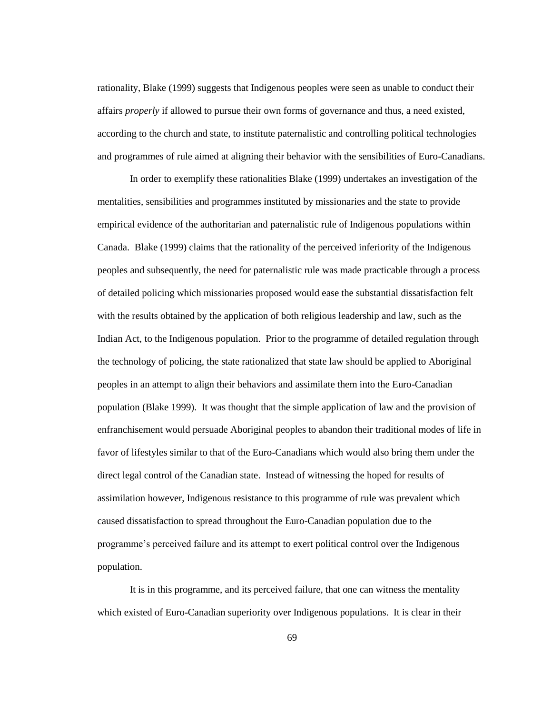rationality, Blake (1999) suggests that Indigenous peoples were seen as unable to conduct their affairs *properly* if allowed to pursue their own forms of governance and thus, a need existed, according to the church and state, to institute paternalistic and controlling political technologies and programmes of rule aimed at aligning their behavior with the sensibilities of Euro-Canadians.

In order to exemplify these rationalities Blake (1999) undertakes an investigation of the mentalities, sensibilities and programmes instituted by missionaries and the state to provide empirical evidence of the authoritarian and paternalistic rule of Indigenous populations within Canada. Blake (1999) claims that the rationality of the perceived inferiority of the Indigenous peoples and subsequently, the need for paternalistic rule was made practicable through a process of detailed policing which missionaries proposed would ease the substantial dissatisfaction felt with the results obtained by the application of both religious leadership and law, such as the Indian Act, to the Indigenous population. Prior to the programme of detailed regulation through the technology of policing, the state rationalized that state law should be applied to Aboriginal peoples in an attempt to align their behaviors and assimilate them into the Euro-Canadian population (Blake 1999). It was thought that the simple application of law and the provision of enfranchisement would persuade Aboriginal peoples to abandon their traditional modes of life in favor of lifestyles similar to that of the Euro-Canadians which would also bring them under the direct legal control of the Canadian state. Instead of witnessing the hoped for results of assimilation however, Indigenous resistance to this programme of rule was prevalent which caused dissatisfaction to spread throughout the Euro-Canadian population due to the programme"s perceived failure and its attempt to exert political control over the Indigenous population.

It is in this programme, and its perceived failure, that one can witness the mentality which existed of Euro-Canadian superiority over Indigenous populations. It is clear in their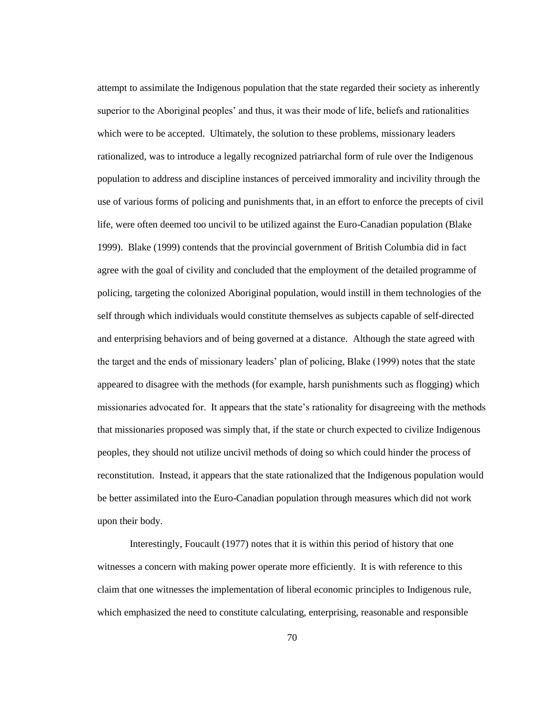attempt to assimilate the Indigenous population that the state regarded their society as inherently superior to the Aboriginal peoples" and thus, it was their mode of life, beliefs and rationalities which were to be accepted. Ultimately, the solution to these problems, missionary leaders rationalized, was to introduce a legally recognized patriarchal form of rule over the Indigenous population to address and discipline instances of perceived immorality and incivility through the use of various forms of policing and punishments that, in an effort to enforce the precepts of civil life, were often deemed too uncivil to be utilized against the Euro-Canadian population (Blake 1999). Blake (1999) contends that the provincial government of British Columbia did in fact agree with the goal of civility and concluded that the employment of the detailed programme of policing, targeting the colonized Aboriginal population, would instill in them technologies of the self through which individuals would constitute themselves as subjects capable of self-directed and enterprising behaviors and of being governed at a distance. Although the state agreed with the target and the ends of missionary leaders" plan of policing, Blake (1999) notes that the state appeared to disagree with the methods (for example, harsh punishments such as flogging) which missionaries advocated for. It appears that the state"s rationality for disagreeing with the methods that missionaries proposed was simply that, if the state or church expected to civilize Indigenous peoples, they should not utilize uncivil methods of doing so which could hinder the process of reconstitution. Instead, it appears that the state rationalized that the Indigenous population would be better assimilated into the Euro-Canadian population through measures which did not work upon their body.

Interestingly, Foucault (1977) notes that it is within this period of history that one witnesses a concern with making power operate more efficiently. It is with reference to this claim that one witnesses the implementation of liberal economic principles to Indigenous rule, which emphasized the need to constitute calculating, enterprising, reasonable and responsible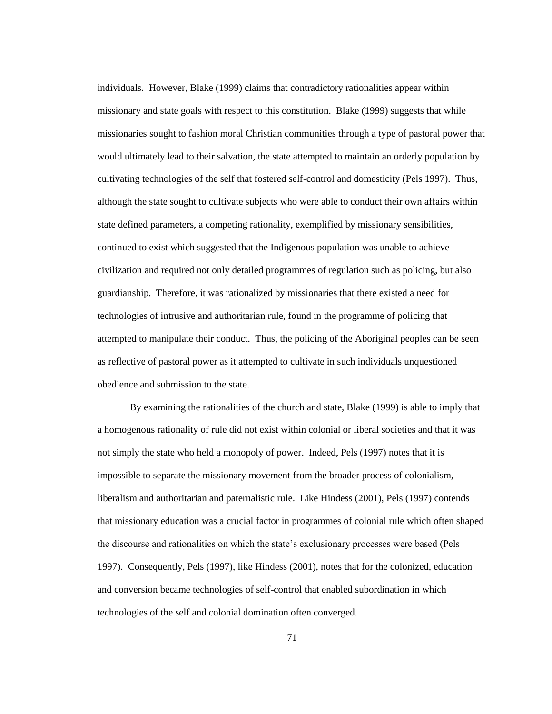individuals. However, Blake (1999) claims that contradictory rationalities appear within missionary and state goals with respect to this constitution. Blake (1999) suggests that while missionaries sought to fashion moral Christian communities through a type of pastoral power that would ultimately lead to their salvation, the state attempted to maintain an orderly population by cultivating technologies of the self that fostered self-control and domesticity (Pels 1997). Thus, although the state sought to cultivate subjects who were able to conduct their own affairs within state defined parameters, a competing rationality, exemplified by missionary sensibilities, continued to exist which suggested that the Indigenous population was unable to achieve civilization and required not only detailed programmes of regulation such as policing, but also guardianship. Therefore, it was rationalized by missionaries that there existed a need for technologies of intrusive and authoritarian rule, found in the programme of policing that attempted to manipulate their conduct. Thus, the policing of the Aboriginal peoples can be seen as reflective of pastoral power as it attempted to cultivate in such individuals unquestioned obedience and submission to the state.

By examining the rationalities of the church and state, Blake (1999) is able to imply that a homogenous rationality of rule did not exist within colonial or liberal societies and that it was not simply the state who held a monopoly of power. Indeed, Pels (1997) notes that it is impossible to separate the missionary movement from the broader process of colonialism, liberalism and authoritarian and paternalistic rule. Like Hindess (2001), Pels (1997) contends that missionary education was a crucial factor in programmes of colonial rule which often shaped the discourse and rationalities on which the state"s exclusionary processes were based (Pels 1997). Consequently, Pels (1997), like Hindess (2001), notes that for the colonized, education and conversion became technologies of self-control that enabled subordination in which technologies of the self and colonial domination often converged.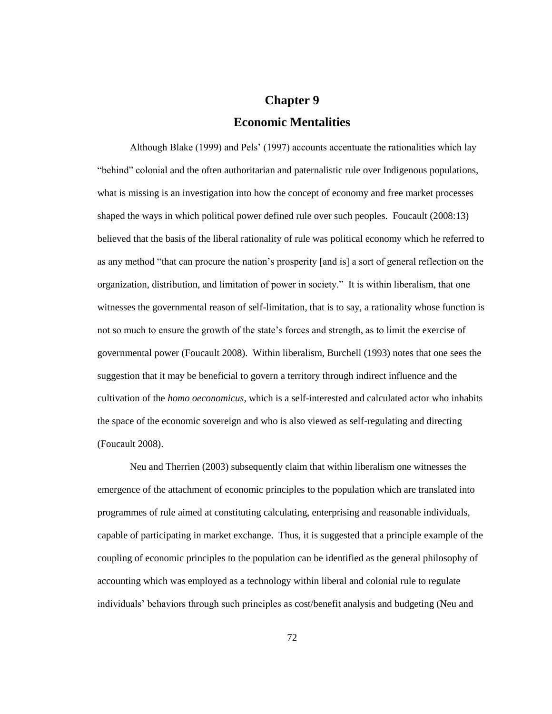## **Chapter 9 Economic Mentalities**

Although Blake (1999) and Pels" (1997) accounts accentuate the rationalities which lay "behind" colonial and the often authoritarian and paternalistic rule over Indigenous populations, what is missing is an investigation into how the concept of economy and free market processes shaped the ways in which political power defined rule over such peoples. Foucault (2008:13) believed that the basis of the liberal rationality of rule was political economy which he referred to as any method "that can procure the nation"s prosperity [and is] a sort of general reflection on the organization, distribution, and limitation of power in society." It is within liberalism, that one witnesses the governmental reason of self-limitation, that is to say, a rationality whose function is not so much to ensure the growth of the state"s forces and strength, as to limit the exercise of governmental power (Foucault 2008). Within liberalism, Burchell (1993) notes that one sees the suggestion that it may be beneficial to govern a territory through indirect influence and the cultivation of the *homo oeconomicus*, which is a self-interested and calculated actor who inhabits the space of the economic sovereign and who is also viewed as self-regulating and directing (Foucault 2008).

Neu and Therrien (2003) subsequently claim that within liberalism one witnesses the emergence of the attachment of economic principles to the population which are translated into programmes of rule aimed at constituting calculating, enterprising and reasonable individuals, capable of participating in market exchange. Thus, it is suggested that a principle example of the coupling of economic principles to the population can be identified as the general philosophy of accounting which was employed as a technology within liberal and colonial rule to regulate individuals" behaviors through such principles as cost/benefit analysis and budgeting (Neu and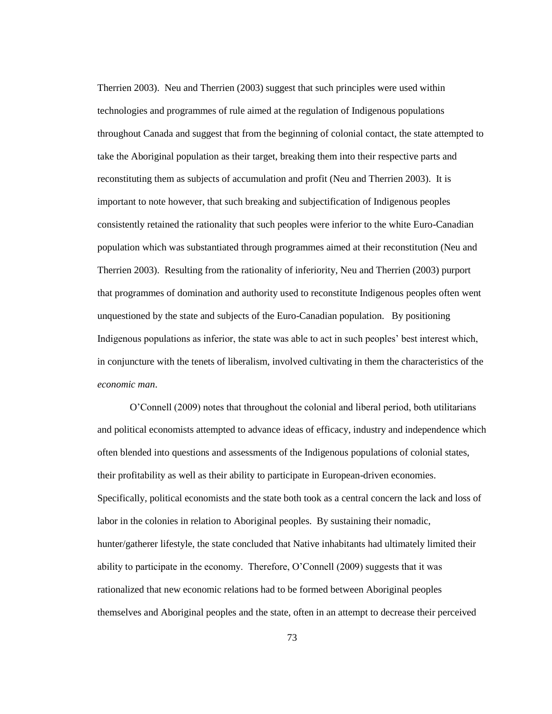Therrien 2003). Neu and Therrien (2003) suggest that such principles were used within technologies and programmes of rule aimed at the regulation of Indigenous populations throughout Canada and suggest that from the beginning of colonial contact, the state attempted to take the Aboriginal population as their target, breaking them into their respective parts and reconstituting them as subjects of accumulation and profit (Neu and Therrien 2003). It is important to note however, that such breaking and subjectification of Indigenous peoples consistently retained the rationality that such peoples were inferior to the white Euro-Canadian population which was substantiated through programmes aimed at their reconstitution (Neu and Therrien 2003). Resulting from the rationality of inferiority, Neu and Therrien (2003) purport that programmes of domination and authority used to reconstitute Indigenous peoples often went unquestioned by the state and subjects of the Euro-Canadian population. By positioning Indigenous populations as inferior, the state was able to act in such peoples" best interest which, in conjuncture with the tenets of liberalism, involved cultivating in them the characteristics of the *economic man*.

O"Connell (2009) notes that throughout the colonial and liberal period, both utilitarians and political economists attempted to advance ideas of efficacy, industry and independence which often blended into questions and assessments of the Indigenous populations of colonial states, their profitability as well as their ability to participate in European-driven economies. Specifically, political economists and the state both took as a central concern the lack and loss of labor in the colonies in relation to Aboriginal peoples. By sustaining their nomadic, hunter/gatherer lifestyle, the state concluded that Native inhabitants had ultimately limited their ability to participate in the economy. Therefore, O"Connell (2009) suggests that it was rationalized that new economic relations had to be formed between Aboriginal peoples themselves and Aboriginal peoples and the state, often in an attempt to decrease their perceived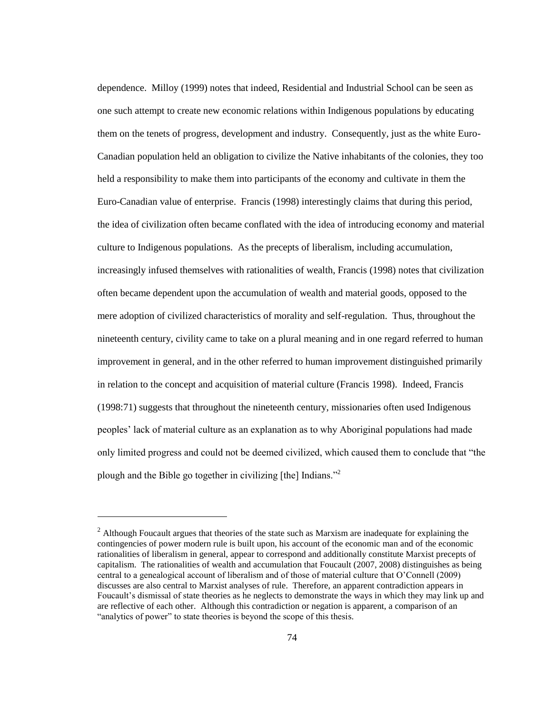dependence. Milloy (1999) notes that indeed, Residential and Industrial School can be seen as one such attempt to create new economic relations within Indigenous populations by educating them on the tenets of progress, development and industry. Consequently, just as the white Euro-Canadian population held an obligation to civilize the Native inhabitants of the colonies, they too held a responsibility to make them into participants of the economy and cultivate in them the Euro-Canadian value of enterprise. Francis (1998) interestingly claims that during this period, the idea of civilization often became conflated with the idea of introducing economy and material culture to Indigenous populations. As the precepts of liberalism, including accumulation, increasingly infused themselves with rationalities of wealth, Francis (1998) notes that civilization often became dependent upon the accumulation of wealth and material goods, opposed to the mere adoption of civilized characteristics of morality and self-regulation. Thus, throughout the nineteenth century, civility came to take on a plural meaning and in one regard referred to human improvement in general, and in the other referred to human improvement distinguished primarily in relation to the concept and acquisition of material culture (Francis 1998). Indeed, Francis (1998:71) suggests that throughout the nineteenth century, missionaries often used Indigenous peoples" lack of material culture as an explanation as to why Aboriginal populations had made only limited progress and could not be deemed civilized, which caused them to conclude that "the plough and the Bible go together in civilizing [the] Indians."<sup>2</sup>

l

 $<sup>2</sup>$  Although Foucault argues that theories of the state such as Marxism are inadequate for explaining the</sup> contingencies of power modern rule is built upon, his account of the economic man and of the economic rationalities of liberalism in general, appear to correspond and additionally constitute Marxist precepts of capitalism. The rationalities of wealth and accumulation that Foucault (2007, 2008) distinguishes as being central to a genealogical account of liberalism and of those of material culture that O"Connell (2009) discusses are also central to Marxist analyses of rule. Therefore, an apparent contradiction appears in Foucault's dismissal of state theories as he neglects to demonstrate the ways in which they may link up and are reflective of each other. Although this contradiction or negation is apparent, a comparison of an "analytics of power" to state theories is beyond the scope of this thesis.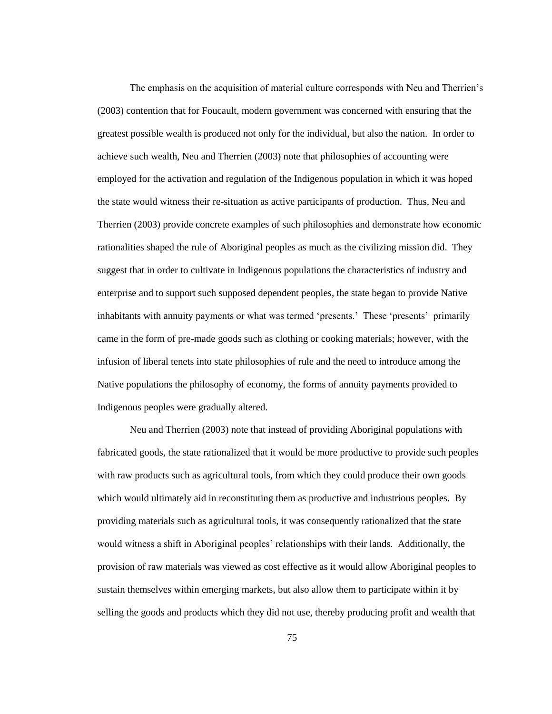The emphasis on the acquisition of material culture corresponds with Neu and Therrien"s (2003) contention that for Foucault, modern government was concerned with ensuring that the greatest possible wealth is produced not only for the individual, but also the nation. In order to achieve such wealth, Neu and Therrien (2003) note that philosophies of accounting were employed for the activation and regulation of the Indigenous population in which it was hoped the state would witness their re-situation as active participants of production. Thus, Neu and Therrien (2003) provide concrete examples of such philosophies and demonstrate how economic rationalities shaped the rule of Aboriginal peoples as much as the civilizing mission did. They suggest that in order to cultivate in Indigenous populations the characteristics of industry and enterprise and to support such supposed dependent peoples, the state began to provide Native inhabitants with annuity payments or what was termed 'presents.' These 'presents' primarily came in the form of pre-made goods such as clothing or cooking materials; however, with the infusion of liberal tenets into state philosophies of rule and the need to introduce among the Native populations the philosophy of economy, the forms of annuity payments provided to Indigenous peoples were gradually altered.

Neu and Therrien (2003) note that instead of providing Aboriginal populations with fabricated goods, the state rationalized that it would be more productive to provide such peoples with raw products such as agricultural tools, from which they could produce their own goods which would ultimately aid in reconstituting them as productive and industrious peoples. By providing materials such as agricultural tools, it was consequently rationalized that the state would witness a shift in Aboriginal peoples" relationships with their lands. Additionally, the provision of raw materials was viewed as cost effective as it would allow Aboriginal peoples to sustain themselves within emerging markets, but also allow them to participate within it by selling the goods and products which they did not use, thereby producing profit and wealth that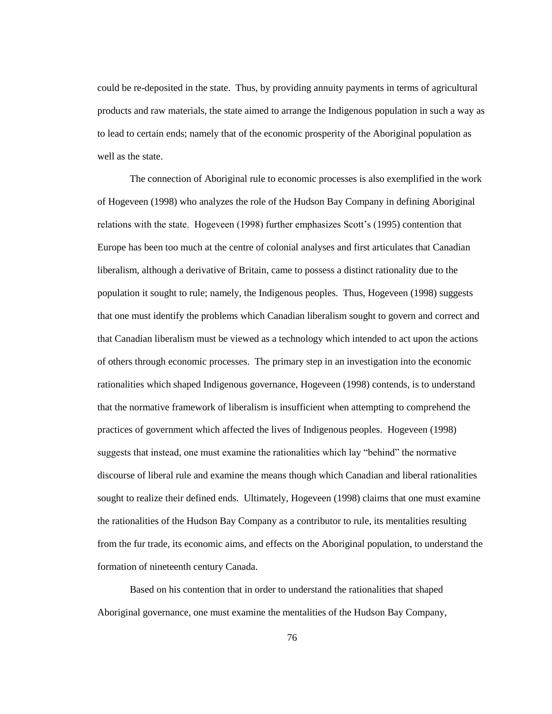could be re-deposited in the state. Thus, by providing annuity payments in terms of agricultural products and raw materials, the state aimed to arrange the Indigenous population in such a way as to lead to certain ends; namely that of the economic prosperity of the Aboriginal population as well as the state.

The connection of Aboriginal rule to economic processes is also exemplified in the work of Hogeveen (1998) who analyzes the role of the Hudson Bay Company in defining Aboriginal relations with the state. Hogeveen (1998) further emphasizes Scott"s (1995) contention that Europe has been too much at the centre of colonial analyses and first articulates that Canadian liberalism, although a derivative of Britain, came to possess a distinct rationality due to the population it sought to rule; namely, the Indigenous peoples. Thus, Hogeveen (1998) suggests that one must identify the problems which Canadian liberalism sought to govern and correct and that Canadian liberalism must be viewed as a technology which intended to act upon the actions of others through economic processes. The primary step in an investigation into the economic rationalities which shaped Indigenous governance, Hogeveen (1998) contends, is to understand that the normative framework of liberalism is insufficient when attempting to comprehend the practices of government which affected the lives of Indigenous peoples. Hogeveen (1998) suggests that instead, one must examine the rationalities which lay "behind" the normative discourse of liberal rule and examine the means though which Canadian and liberal rationalities sought to realize their defined ends. Ultimately, Hogeveen (1998) claims that one must examine the rationalities of the Hudson Bay Company as a contributor to rule, its mentalities resulting from the fur trade, its economic aims, and effects on the Aboriginal population, to understand the formation of nineteenth century Canada.

Based on his contention that in order to understand the rationalities that shaped Aboriginal governance, one must examine the mentalities of the Hudson Bay Company,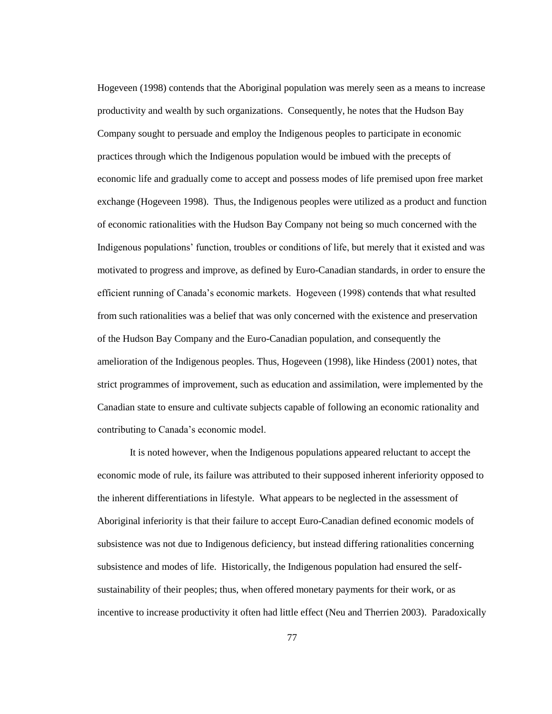Hogeveen (1998) contends that the Aboriginal population was merely seen as a means to increase productivity and wealth by such organizations. Consequently, he notes that the Hudson Bay Company sought to persuade and employ the Indigenous peoples to participate in economic practices through which the Indigenous population would be imbued with the precepts of economic life and gradually come to accept and possess modes of life premised upon free market exchange (Hogeveen 1998). Thus, the Indigenous peoples were utilized as a product and function of economic rationalities with the Hudson Bay Company not being so much concerned with the Indigenous populations" function, troubles or conditions of life, but merely that it existed and was motivated to progress and improve, as defined by Euro-Canadian standards, in order to ensure the efficient running of Canada"s economic markets. Hogeveen (1998) contends that what resulted from such rationalities was a belief that was only concerned with the existence and preservation of the Hudson Bay Company and the Euro-Canadian population, and consequently the amelioration of the Indigenous peoples. Thus, Hogeveen (1998), like Hindess (2001) notes, that strict programmes of improvement, such as education and assimilation, were implemented by the Canadian state to ensure and cultivate subjects capable of following an economic rationality and contributing to Canada"s economic model.

It is noted however, when the Indigenous populations appeared reluctant to accept the economic mode of rule, its failure was attributed to their supposed inherent inferiority opposed to the inherent differentiations in lifestyle. What appears to be neglected in the assessment of Aboriginal inferiority is that their failure to accept Euro-Canadian defined economic models of subsistence was not due to Indigenous deficiency, but instead differing rationalities concerning subsistence and modes of life. Historically, the Indigenous population had ensured the selfsustainability of their peoples; thus, when offered monetary payments for their work, or as incentive to increase productivity it often had little effect (Neu and Therrien 2003). Paradoxically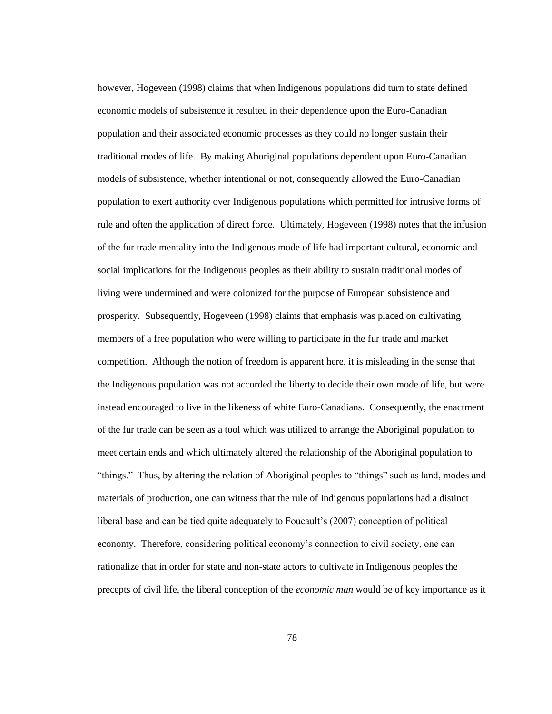however, Hogeveen (1998) claims that when Indigenous populations did turn to state defined economic models of subsistence it resulted in their dependence upon the Euro-Canadian population and their associated economic processes as they could no longer sustain their traditional modes of life. By making Aboriginal populations dependent upon Euro-Canadian models of subsistence, whether intentional or not, consequently allowed the Euro-Canadian population to exert authority over Indigenous populations which permitted for intrusive forms of rule and often the application of direct force. Ultimately, Hogeveen (1998) notes that the infusion of the fur trade mentality into the Indigenous mode of life had important cultural, economic and social implications for the Indigenous peoples as their ability to sustain traditional modes of living were undermined and were colonized for the purpose of European subsistence and prosperity. Subsequently, Hogeveen (1998) claims that emphasis was placed on cultivating members of a free population who were willing to participate in the fur trade and market competition. Although the notion of freedom is apparent here, it is misleading in the sense that the Indigenous population was not accorded the liberty to decide their own mode of life, but were instead encouraged to live in the likeness of white Euro-Canadians. Consequently, the enactment of the fur trade can be seen as a tool which was utilized to arrange the Aboriginal population to meet certain ends and which ultimately altered the relationship of the Aboriginal population to "things." Thus, by altering the relation of Aboriginal peoples to "things" such as land, modes and materials of production, one can witness that the rule of Indigenous populations had a distinct liberal base and can be tied quite adequately to Foucault's (2007) conception of political economy. Therefore, considering political economy's connection to civil society, one can rationalize that in order for state and non-state actors to cultivate in Indigenous peoples the precepts of civil life, the liberal conception of the *economic man* would be of key importance as it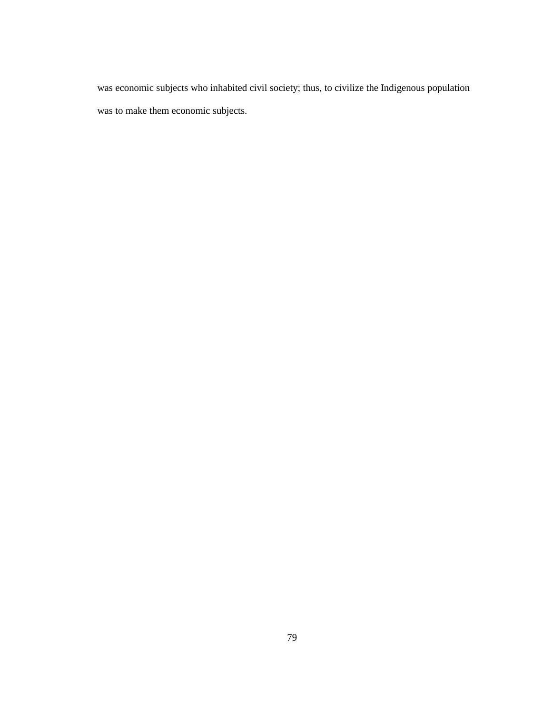was economic subjects who inhabited civil society; thus, to civilize the Indigenous population was to make them economic subjects.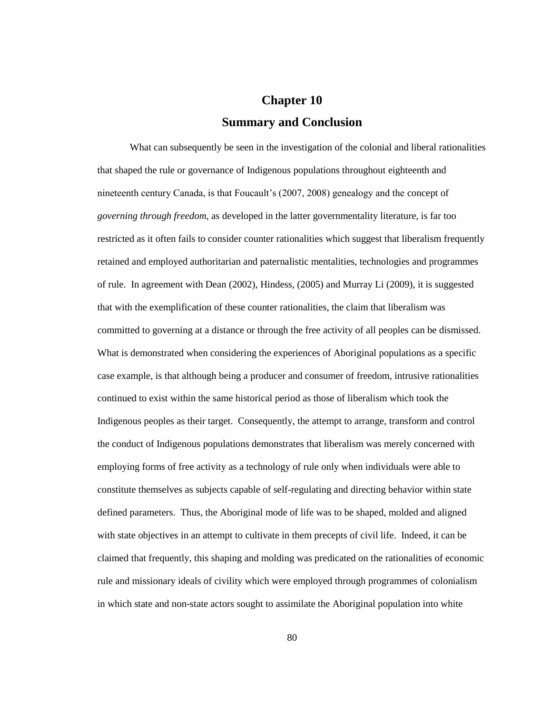## **Chapter 10 Summary and Conclusion**

What can subsequently be seen in the investigation of the colonial and liberal rationalities that shaped the rule or governance of Indigenous populations throughout eighteenth and nineteenth century Canada, is that Foucault's (2007, 2008) genealogy and the concept of *governing through freedom*, as developed in the latter governmentality literature, is far too restricted as it often fails to consider counter rationalities which suggest that liberalism frequently retained and employed authoritarian and paternalistic mentalities, technologies and programmes of rule. In agreement with Dean (2002), Hindess, (2005) and Murray Li (2009), it is suggested that with the exemplification of these counter rationalities, the claim that liberalism was committed to governing at a distance or through the free activity of all peoples can be dismissed. What is demonstrated when considering the experiences of Aboriginal populations as a specific case example, is that although being a producer and consumer of freedom, intrusive rationalities continued to exist within the same historical period as those of liberalism which took the Indigenous peoples as their target. Consequently, the attempt to arrange, transform and control the conduct of Indigenous populations demonstrates that liberalism was merely concerned with employing forms of free activity as a technology of rule only when individuals were able to constitute themselves as subjects capable of self-regulating and directing behavior within state defined parameters. Thus, the Aboriginal mode of life was to be shaped, molded and aligned with state objectives in an attempt to cultivate in them precepts of civil life. Indeed, it can be claimed that frequently, this shaping and molding was predicated on the rationalities of economic rule and missionary ideals of civility which were employed through programmes of colonialism in which state and non-state actors sought to assimilate the Aboriginal population into white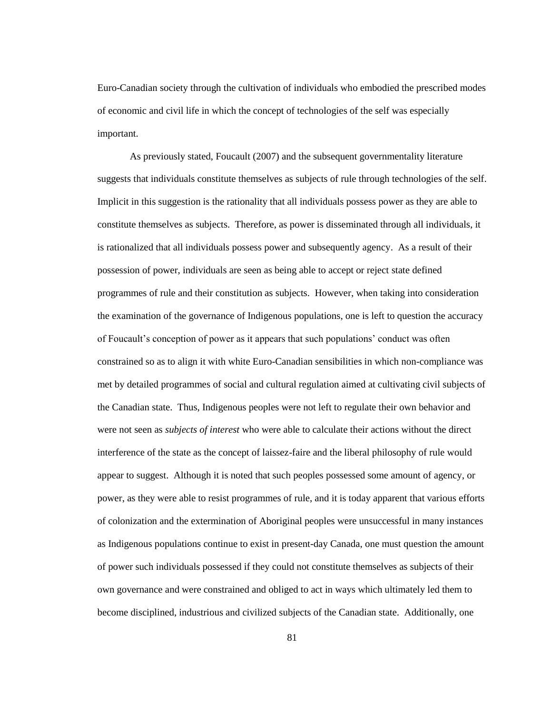Euro-Canadian society through the cultivation of individuals who embodied the prescribed modes of economic and civil life in which the concept of technologies of the self was especially important.

As previously stated, Foucault (2007) and the subsequent governmentality literature suggests that individuals constitute themselves as subjects of rule through technologies of the self. Implicit in this suggestion is the rationality that all individuals possess power as they are able to constitute themselves as subjects. Therefore, as power is disseminated through all individuals, it is rationalized that all individuals possess power and subsequently agency. As a result of their possession of power, individuals are seen as being able to accept or reject state defined programmes of rule and their constitution as subjects. However, when taking into consideration the examination of the governance of Indigenous populations, one is left to question the accuracy of Foucault"s conception of power as it appears that such populations" conduct was often constrained so as to align it with white Euro-Canadian sensibilities in which non-compliance was met by detailed programmes of social and cultural regulation aimed at cultivating civil subjects of the Canadian state. Thus, Indigenous peoples were not left to regulate their own behavior and were not seen as *subjects of interest* who were able to calculate their actions without the direct interference of the state as the concept of laissez-faire and the liberal philosophy of rule would appear to suggest. Although it is noted that such peoples possessed some amount of agency, or power, as they were able to resist programmes of rule, and it is today apparent that various efforts of colonization and the extermination of Aboriginal peoples were unsuccessful in many instances as Indigenous populations continue to exist in present-day Canada, one must question the amount of power such individuals possessed if they could not constitute themselves as subjects of their own governance and were constrained and obliged to act in ways which ultimately led them to become disciplined, industrious and civilized subjects of the Canadian state. Additionally, one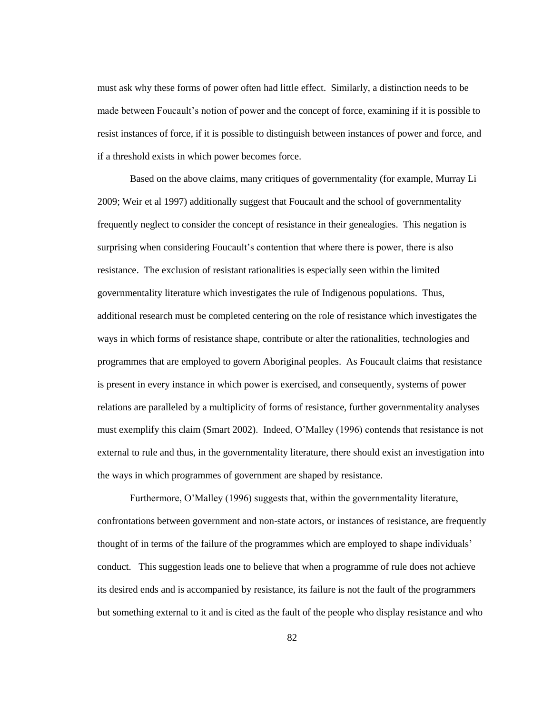must ask why these forms of power often had little effect. Similarly, a distinction needs to be made between Foucault"s notion of power and the concept of force, examining if it is possible to resist instances of force, if it is possible to distinguish between instances of power and force, and if a threshold exists in which power becomes force.

Based on the above claims, many critiques of governmentality (for example, Murray Li 2009; Weir et al 1997) additionally suggest that Foucault and the school of governmentality frequently neglect to consider the concept of resistance in their genealogies. This negation is surprising when considering Foucault's contention that where there is power, there is also resistance. The exclusion of resistant rationalities is especially seen within the limited governmentality literature which investigates the rule of Indigenous populations. Thus, additional research must be completed centering on the role of resistance which investigates the ways in which forms of resistance shape, contribute or alter the rationalities, technologies and programmes that are employed to govern Aboriginal peoples. As Foucault claims that resistance is present in every instance in which power is exercised, and consequently, systems of power relations are paralleled by a multiplicity of forms of resistance, further governmentality analyses must exemplify this claim (Smart 2002). Indeed, O"Malley (1996) contends that resistance is not external to rule and thus, in the governmentality literature, there should exist an investigation into the ways in which programmes of government are shaped by resistance.

Furthermore, O"Malley (1996) suggests that, within the governmentality literature, confrontations between government and non-state actors, or instances of resistance, are frequently thought of in terms of the failure of the programmes which are employed to shape individuals" conduct. This suggestion leads one to believe that when a programme of rule does not achieve its desired ends and is accompanied by resistance, its failure is not the fault of the programmers but something external to it and is cited as the fault of the people who display resistance and who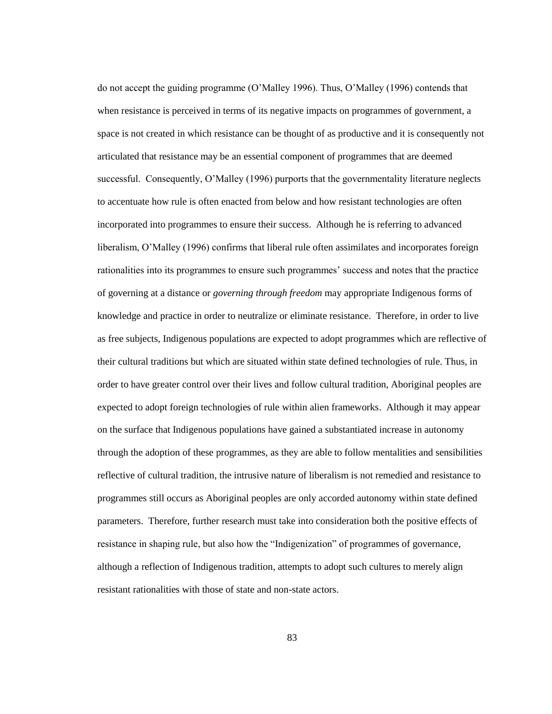do not accept the guiding programme (O"Malley 1996). Thus, O"Malley (1996) contends that when resistance is perceived in terms of its negative impacts on programmes of government, a space is not created in which resistance can be thought of as productive and it is consequently not articulated that resistance may be an essential component of programmes that are deemed successful. Consequently, O"Malley (1996) purports that the governmentality literature neglects to accentuate how rule is often enacted from below and how resistant technologies are often incorporated into programmes to ensure their success. Although he is referring to advanced liberalism, O"Malley (1996) confirms that liberal rule often assimilates and incorporates foreign rationalities into its programmes to ensure such programmes" success and notes that the practice of governing at a distance or *governing through freedom* may appropriate Indigenous forms of knowledge and practice in order to neutralize or eliminate resistance. Therefore, in order to live as free subjects, Indigenous populations are expected to adopt programmes which are reflective of their cultural traditions but which are situated within state defined technologies of rule. Thus, in order to have greater control over their lives and follow cultural tradition, Aboriginal peoples are expected to adopt foreign technologies of rule within alien frameworks. Although it may appear on the surface that Indigenous populations have gained a substantiated increase in autonomy through the adoption of these programmes, as they are able to follow mentalities and sensibilities reflective of cultural tradition, the intrusive nature of liberalism is not remedied and resistance to programmes still occurs as Aboriginal peoples are only accorded autonomy within state defined parameters. Therefore, further research must take into consideration both the positive effects of resistance in shaping rule, but also how the "Indigenization" of programmes of governance, although a reflection of Indigenous tradition, attempts to adopt such cultures to merely align resistant rationalities with those of state and non-state actors.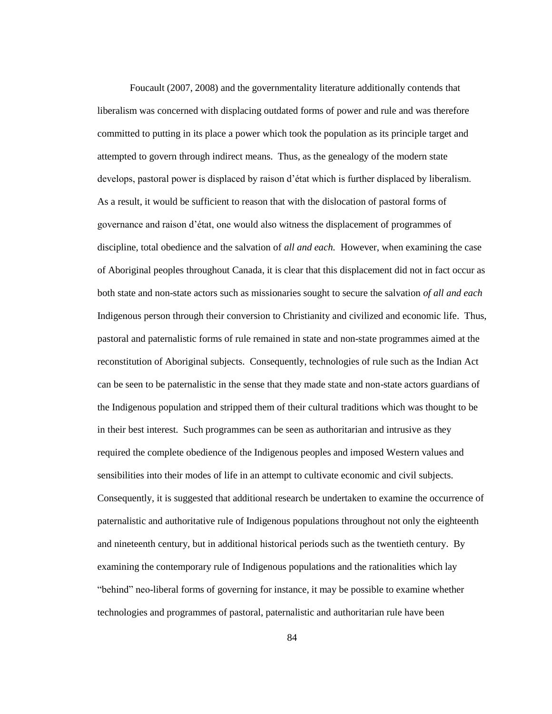Foucault (2007, 2008) and the governmentality literature additionally contends that liberalism was concerned with displacing outdated forms of power and rule and was therefore committed to putting in its place a power which took the population as its principle target and attempted to govern through indirect means. Thus, as the genealogy of the modern state develops, pastoral power is displaced by raison d"état which is further displaced by liberalism. As a result, it would be sufficient to reason that with the dislocation of pastoral forms of governance and raison d"état, one would also witness the displacement of programmes of discipline, total obedience and the salvation of *all and each.* However, when examining the case of Aboriginal peoples throughout Canada, it is clear that this displacement did not in fact occur as both state and non-state actors such as missionaries sought to secure the salvation *of all and each* Indigenous person through their conversion to Christianity and civilized and economic life. Thus, pastoral and paternalistic forms of rule remained in state and non-state programmes aimed at the reconstitution of Aboriginal subjects. Consequently, technologies of rule such as the Indian Act can be seen to be paternalistic in the sense that they made state and non-state actors guardians of the Indigenous population and stripped them of their cultural traditions which was thought to be in their best interest. Such programmes can be seen as authoritarian and intrusive as they required the complete obedience of the Indigenous peoples and imposed Western values and sensibilities into their modes of life in an attempt to cultivate economic and civil subjects. Consequently, it is suggested that additional research be undertaken to examine the occurrence of paternalistic and authoritative rule of Indigenous populations throughout not only the eighteenth and nineteenth century, but in additional historical periods such as the twentieth century. By examining the contemporary rule of Indigenous populations and the rationalities which lay "behind" neo-liberal forms of governing for instance, it may be possible to examine whether technologies and programmes of pastoral, paternalistic and authoritarian rule have been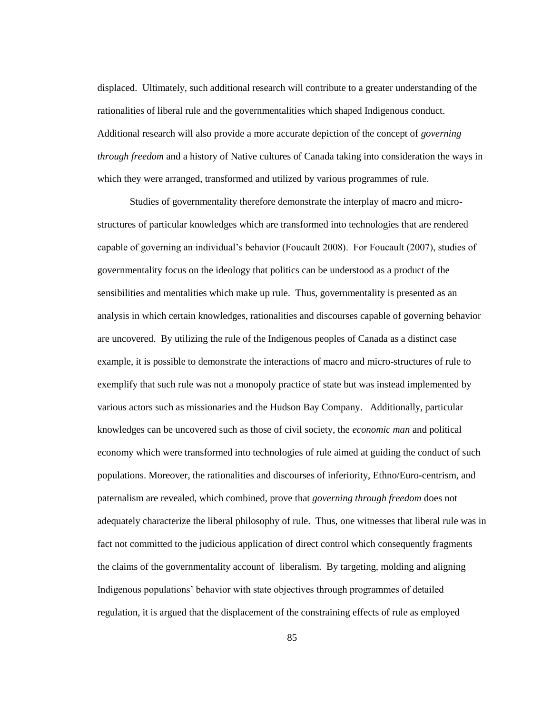displaced. Ultimately, such additional research will contribute to a greater understanding of the rationalities of liberal rule and the governmentalities which shaped Indigenous conduct. Additional research will also provide a more accurate depiction of the concept of *governing through freedom* and a history of Native cultures of Canada taking into consideration the ways in which they were arranged, transformed and utilized by various programmes of rule.

Studies of governmentality therefore demonstrate the interplay of macro and microstructures of particular knowledges which are transformed into technologies that are rendered capable of governing an individual"s behavior (Foucault 2008). For Foucault (2007), studies of governmentality focus on the ideology that politics can be understood as a product of the sensibilities and mentalities which make up rule. Thus, governmentality is presented as an analysis in which certain knowledges, rationalities and discourses capable of governing behavior are uncovered. By utilizing the rule of the Indigenous peoples of Canada as a distinct case example, it is possible to demonstrate the interactions of macro and micro-structures of rule to exemplify that such rule was not a monopoly practice of state but was instead implemented by various actors such as missionaries and the Hudson Bay Company. Additionally, particular knowledges can be uncovered such as those of civil society, the *economic man* and political economy which were transformed into technologies of rule aimed at guiding the conduct of such populations. Moreover, the rationalities and discourses of inferiority, Ethno/Euro-centrism, and paternalism are revealed, which combined, prove that *governing through freedom* does not adequately characterize the liberal philosophy of rule. Thus, one witnesses that liberal rule was in fact not committed to the judicious application of direct control which consequently fragments the claims of the governmentality account of liberalism. By targeting, molding and aligning Indigenous populations" behavior with state objectives through programmes of detailed regulation, it is argued that the displacement of the constraining effects of rule as employed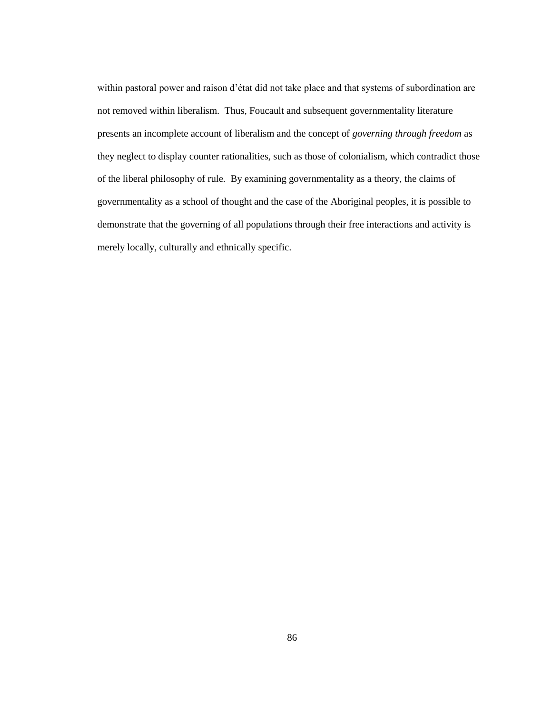within pastoral power and raison d"état did not take place and that systems of subordination are not removed within liberalism. Thus, Foucault and subsequent governmentality literature presents an incomplete account of liberalism and the concept of *governing through freedom* as they neglect to display counter rationalities, such as those of colonialism, which contradict those of the liberal philosophy of rule. By examining governmentality as a theory, the claims of governmentality as a school of thought and the case of the Aboriginal peoples, it is possible to demonstrate that the governing of all populations through their free interactions and activity is merely locally, culturally and ethnically specific.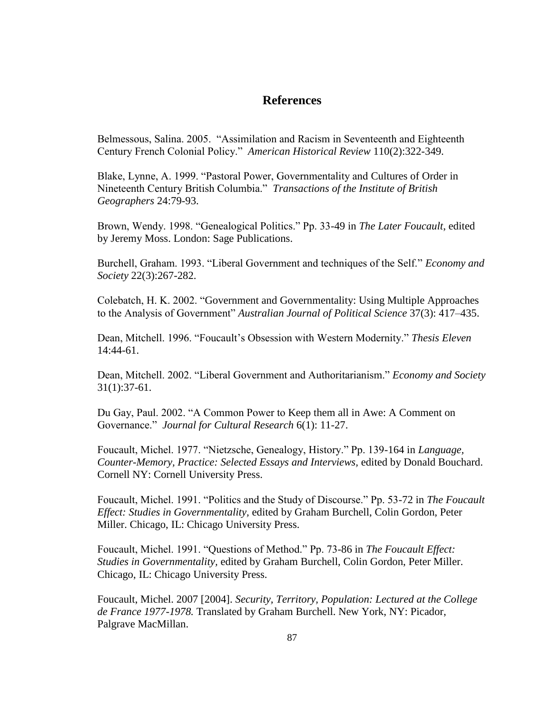## **References**

Belmessous, Salina. 2005. "Assimilation and Racism in Seventeenth and Eighteenth Century French Colonial Policy." *American Historical Review* 110(2):322-349.

Blake, Lynne, A. 1999. "Pastoral Power, Governmentality and Cultures of Order in Nineteenth Century British Columbia." *Transactions of the Institute of British Geographers* 24:79-93.

Brown, Wendy. 1998. "Genealogical Politics." Pp. 33-49 in *The Later Foucault*, edited by Jeremy Moss. London: Sage Publications.

Burchell, Graham. 1993. "Liberal Government and techniques of the Self." *Economy and Society* 22(3):267-282.

Colebatch, H. K. 2002. "Government and Governmentality: Using Multiple Approaches to the Analysis of Government" *Australian Journal of Political Science* 37(3): 417–435.

Dean, Mitchell. 1996. "Foucault"s Obsession with Western Modernity." *Thesis Eleven* 14:44-61.

Dean, Mitchell. 2002. "Liberal Government and Authoritarianism." *Economy and Society* 31(1):37-61.

Du Gay, Paul. 2002. "A Common Power to Keep them all in Awe: A Comment on Governance." *[Journal for Cultural Research](http://www.informaworld.com.proxy.queensu.ca/smpp/title~db=all~content=t713684902)* [6\(](http://www.informaworld.com.proxy.queensu.ca/smpp/title~db=all~content=t713684902~tab=issueslist~branches=6#v6)1): 11-27.

Foucault, Michel. 1977. "Nietzsche, Genealogy, History." Pp. 139-164 in *Language, Counter-Memory, Practice: Selected Essays and Interviews,* edited by Donald Bouchard. Cornell NY: Cornell University Press.

Foucault, Michel. 1991. "Politics and the Study of Discourse." Pp. 53-72 in *The Foucault Effect: Studies in Governmentality,* edited by Graham Burchell, Colin Gordon, Peter Miller. Chicago, IL: Chicago University Press.

Foucault, Michel. 1991. "Questions of Method." Pp. 73-86 in *The Foucault Effect: Studies in Governmentality,* edited by Graham Burchell, Colin Gordon, Peter Miller. Chicago, IL: Chicago University Press.

Foucault, Michel. 2007 [2004]. *Security, Territory, Population: Lectured at the College de France 1977-1978.* Translated by Graham Burchell. New York, NY: Picador, Palgrave MacMillan.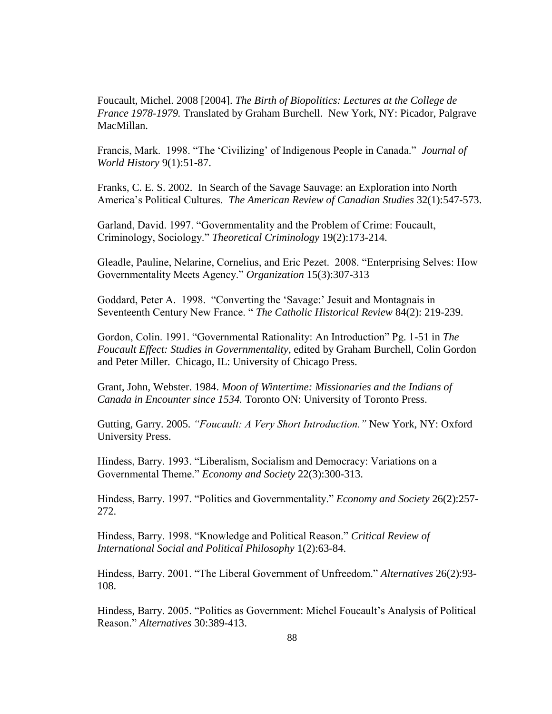Foucault, Michel. 2008 [2004]. *The Birth of Biopolitics: Lectures at the College de France 1978-1979.* Translated by Graham Burchell. New York, NY: Picador, Palgrave MacMillan.

Francis, Mark. 1998. "The "Civilizing" of Indigenous People in Canada." *Journal of World History* 9(1):51-87.

Franks, C. E. S. 2002. In Search of the Savage Sauvage: an Exploration into North America"s Political Cultures. *The American Review of Canadian Studies* 32(1):547-573.

Garland, David. 1997. "Governmentality and the Problem of Crime: Foucault, Criminology, Sociology." *Theoretical Criminology* 19(2):173-214.

Gleadle, Pauline, Nelarine, Cornelius, and Eric Pezet. 2008. "Enterprising Selves: How Governmentality Meets Agency." *Organization* 15(3):307-313

Goddard, Peter A. 1998. "Converting the 'Savage:' Jesuit and Montagnais in Seventeenth Century New France. " *The Catholic Historical Review* 84(2): 219-239.

Gordon, Colin. 1991. "Governmental Rationality: An Introduction" Pg. 1-51 in *The Foucault Effect: Studies in Governmentality*, edited by Graham Burchell, Colin Gordon and Peter Miller. Chicago, IL: University of Chicago Press.

Grant, John, Webster. 1984. *Moon of Wintertime: Missionaries and the Indians of Canada in Encounter since 1534.* Toronto ON: University of Toronto Press.

Gutting, Garry. 2005. *"Foucault: A Very Short Introduction."* New York, NY: Oxford University Press.

Hindess, Barry. 1993. "Liberalism, Socialism and Democracy: Variations on a Governmental Theme." *Economy and Society* 22(3):300-313.

Hindess, Barry. 1997. "Politics and Governmentality." *Economy and Society* 26(2):257- 272.

Hindess, Barry. 1998. "Knowledge and Political Reason." *Critical Review of International Social and Political Philosophy* 1(2):63-84.

Hindess, Barry. 2001. "The Liberal Government of Unfreedom." *Alternatives* 26(2):93- 108.

Hindess, Barry. 2005. "Politics as Government: Michel Foucault"s Analysis of Political Reason." *Alternatives* 30:389-413.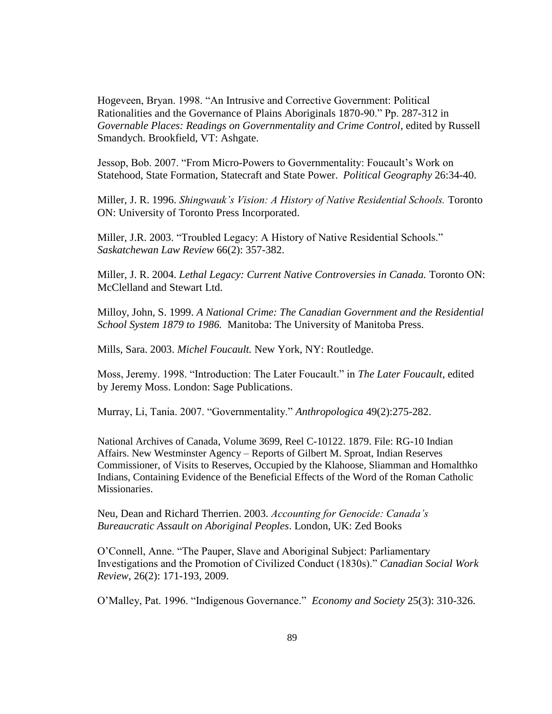Hogeveen, Bryan. 1998. "An Intrusive and Corrective Government: Political Rationalities and the Governance of Plains Aboriginals 1870-90." Pp. 287-312 in *Governable Places: Readings on Governmentality and Crime Control*, edited by Russell Smandych. Brookfield, VT: Ashgate.

Jessop, Bob. 2007. "From Micro-Powers to Governmentality: Foucault's Work on Statehood, State Formation, Statecraft and State Power. *Political Geography* 26:34-40.

Miller, J. R. 1996. *Shingwauk's Vision: A History of Native Residential Schools.* Toronto ON: University of Toronto Press Incorporated.

Miller, J.R. 2003. "Troubled Legacy: A History of Native Residential Schools." *Saskatchewan Law Review* 66(2): 357-382.

Miller, J. R. 2004. *Lethal Legacy: Current Native Controversies in Canada.* Toronto ON: McClelland and Stewart Ltd.

Milloy, John, S. 1999. *A National Crime: The Canadian Government and the Residential School System 1879 to 1986.* Manitoba: The University of Manitoba Press.

Mills, Sara. 2003. *Michel Foucault.* New York, NY: Routledge.

Moss, Jeremy. 1998. "Introduction: The Later Foucault." in *The Later Foucault*, edited by Jeremy Moss. London: Sage Publications.

Murray, Li, Tania. 2007. "Governmentality." *Anthropologica* 49(2):275-282.

National Archives of Canada, Volume 3699, Reel C-10122. 1879. File: RG-10 Indian Affairs. New Westminster Agency – Reports of Gilbert M. Sproat, Indian Reserves Commissioner, of Visits to Reserves, Occupied by the Klahoose, Sliamman and Homalthko Indians, Containing Evidence of the Beneficial Effects of the Word of the Roman Catholic Missionaries.

Neu, Dean and Richard Therrien. 2003. *Accounting for Genocide: Canada's Bureaucratic Assault on Aboriginal Peoples*. London, UK: Zed Books

O"Connell, Anne. "The Pauper, Slave and Aboriginal Subject: Parliamentary Investigations and the Promotion of Civilized Conduct (1830s)." *Canadian Social Work Review*, 26(2): 171-193, 2009.

O"Malley, Pat. 1996. "Indigenous Governance." *Economy and Society* 25(3): 310-326.